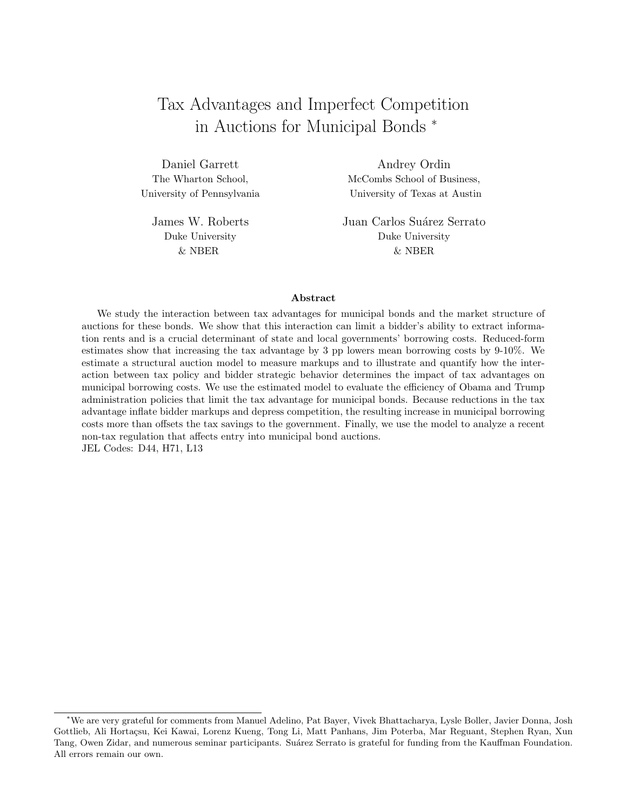# Tax Advantages and Imperfect Competition in Auctions for Municipal Bonds <sup>∗</sup>

Daniel Garrett Andrey Ordin The Wharton School, McCombs School of Business, University of Pennsylvania University of Texas at Austin

James W. Roberts Juan Carlos Suárez Serrato Duke University Duke University & NBER & NBER

#### Abstract

We study the interaction between tax advantages for municipal bonds and the market structure of auctions for these bonds. We show that this interaction can limit a bidder's ability to extract information rents and is a crucial determinant of state and local governments' borrowing costs. Reduced-form estimates show that increasing the tax advantage by 3 pp lowers mean borrowing costs by 9-10%. We estimate a structural auction model to measure markups and to illustrate and quantify how the interaction between tax policy and bidder strategic behavior determines the impact of tax advantages on municipal borrowing costs. We use the estimated model to evaluate the efficiency of Obama and Trump administration policies that limit the tax advantage for municipal bonds. Because reductions in the tax advantage inflate bidder markups and depress competition, the resulting increase in municipal borrowing costs more than offsets the tax savings to the government. Finally, we use the model to analyze a recent non-tax regulation that affects entry into municipal bond auctions. JEL Codes: D44, H71, L13

<sup>∗</sup>We are very grateful for comments from Manuel Adelino, Pat Bayer, Vivek Bhattacharya, Lysle Boller, Javier Donna, Josh Gottlieb, Ali Horta¸csu, Kei Kawai, Lorenz Kueng, Tong Li, Matt Panhans, Jim Poterba, Mar Reguant, Stephen Ryan, Xun Tang, Owen Zidar, and numerous seminar participants. Suárez Serrato is grateful for funding from the Kauffman Foundation. All errors remain our own.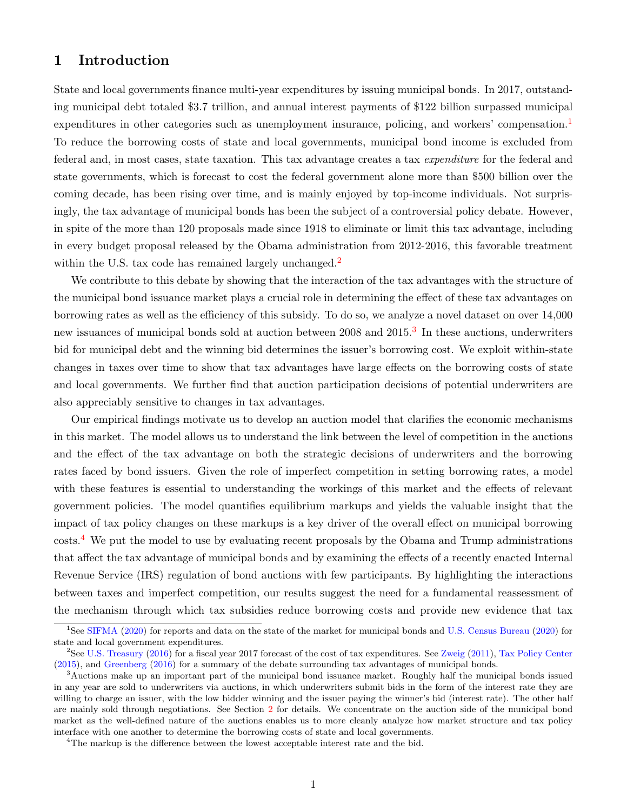# 1 Introduction

State and local governments finance multi-year expenditures by issuing municipal bonds. In 2017, outstanding municipal debt totaled \$3.7 trillion, and annual interest payments of \$122 billion surpassed municipal expenditures in other categories such as unemployment insurance, policing, and workers' compensation.<sup>[1](#page-1-0)</sup> To reduce the borrowing costs of state and local governments, municipal bond income is excluded from federal and, in most cases, state taxation. This tax advantage creates a tax expenditure for the federal and state governments, which is forecast to cost the federal government alone more than \$500 billion over the coming decade, has been rising over time, and is mainly enjoyed by top-income individuals. Not surprisingly, the tax advantage of municipal bonds has been the subject of a controversial policy debate. However, in spite of the more than 120 proposals made since 1918 to eliminate or limit this tax advantage, including in every budget proposal released by the Obama administration from 2012-2016, this favorable treatment within the U.S. tax code has remained largely unchanged.<sup>[2](#page-1-1)</sup>

We contribute to this debate by showing that the interaction of the tax advantages with the structure of the municipal bond issuance market plays a crucial role in determining the effect of these tax advantages on borrowing rates as well as the efficiency of this subsidy. To do so, we analyze a novel dataset on over 14,000 new issuances of municipal bonds sold at auction between 2008 and 2015.<sup>[3](#page-1-2)</sup> In these auctions, underwriters bid for municipal debt and the winning bid determines the issuer's borrowing cost. We exploit within-state changes in taxes over time to show that tax advantages have large effects on the borrowing costs of state and local governments. We further find that auction participation decisions of potential underwriters are also appreciably sensitive to changes in tax advantages.

Our empirical findings motivate us to develop an auction model that clarifies the economic mechanisms in this market. The model allows us to understand the link between the level of competition in the auctions and the effect of the tax advantage on both the strategic decisions of underwriters and the borrowing rates faced by bond issuers. Given the role of imperfect competition in setting borrowing rates, a model with these features is essential to understanding the workings of this market and the effects of relevant government policies. The model quantifies equilibrium markups and yields the valuable insight that the impact of tax policy changes on these markups is a key driver of the overall effect on municipal borrowing costs.[4](#page-1-3) We put the model to use by evaluating recent proposals by the Obama and Trump administrations that affect the tax advantage of municipal bonds and by examining the effects of a recently enacted Internal Revenue Service (IRS) regulation of bond auctions with few participants. By highlighting the interactions between taxes and imperfect competition, our results suggest the need for a fundamental reassessment of the mechanism through which tax subsidies reduce borrowing costs and provide new evidence that tax

<span id="page-1-0"></span><sup>&</sup>lt;sup>1</sup>See [SIFMA](#page-39-0) [\(2020\)](#page-39-1) for reports and data on the state of the market for municipal bonds and [U.S. Census Bureau](#page-39-1) (2020) for state and local government expenditures.

<span id="page-1-1"></span><sup>2</sup>See [U.S. Treasury](#page-40-0) [\(2016\)](#page-40-0) for a fiscal year 2017 forecast of the cost of tax expenditures. See [Zweig](#page-40-1) [\(2011\)](#page-40-1), [Tax Policy Center](#page-39-2) [\(2015\)](#page-39-2), and [Greenberg](#page-38-0) [\(2016\)](#page-38-0) for a summary of the debate surrounding tax advantages of municipal bonds.

<span id="page-1-2"></span><sup>3</sup>Auctions make up an important part of the municipal bond issuance market. Roughly half the municipal bonds issued in any year are sold to underwriters via auctions, in which underwriters submit bids in the form of the interest rate they are willing to charge an issuer, with the low bidder winning and the issuer paying the winner's bid (interest rate). The other half are mainly sold through negotiations. See Section [2](#page-5-0) for details. We concentrate on the auction side of the municipal bond market as the well-defined nature of the auctions enables us to more cleanly analyze how market structure and tax policy interface with one another to determine the borrowing costs of state and local governments.

<span id="page-1-3"></span><sup>&</sup>lt;sup>4</sup>The markup is the difference between the lowest acceptable interest rate and the bid.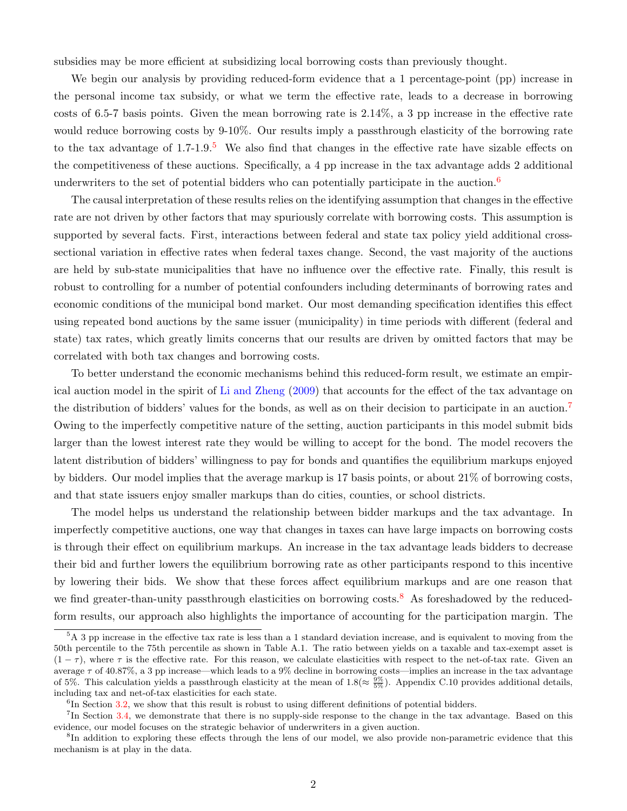subsidies may be more efficient at subsidizing local borrowing costs than previously thought.

We begin our analysis by providing reduced-form evidence that a 1 percentage-point (pp) increase in the personal income tax subsidy, or what we term the effective rate, leads to a decrease in borrowing costs of 6.5-7 basis points. Given the mean borrowing rate is 2.14%, a 3 pp increase in the effective rate would reduce borrowing costs by 9-10%. Our results imply a passthrough elasticity of the borrowing rate to the tax advantage of  $1.7$ -1.9.<sup>[5](#page-2-0)</sup> We also find that changes in the effective rate have sizable effects on the competitiveness of these auctions. Specifically, a 4 pp increase in the tax advantage adds 2 additional underwriters to the set of potential bidders who can potentially participate in the auction.<sup>[6](#page-2-1)</sup>

The causal interpretation of these results relies on the identifying assumption that changes in the effective rate are not driven by other factors that may spuriously correlate with borrowing costs. This assumption is supported by several facts. First, interactions between federal and state tax policy yield additional crosssectional variation in effective rates when federal taxes change. Second, the vast majority of the auctions are held by sub-state municipalities that have no influence over the effective rate. Finally, this result is robust to controlling for a number of potential confounders including determinants of borrowing rates and economic conditions of the municipal bond market. Our most demanding specification identifies this effect using repeated bond auctions by the same issuer (municipality) in time periods with different (federal and state) tax rates, which greatly limits concerns that our results are driven by omitted factors that may be correlated with both tax changes and borrowing costs.

To better understand the economic mechanisms behind this reduced-form result, we estimate an empirical auction model in the spirit of [Li and Zheng](#page-39-3) [\(2009\)](#page-39-3) that accounts for the effect of the tax advantage on the distribution of bidders' values for the bonds, as well as on their decision to participate in an auction.<sup>[7](#page-2-2)</sup> Owing to the imperfectly competitive nature of the setting, auction participants in this model submit bids larger than the lowest interest rate they would be willing to accept for the bond. The model recovers the latent distribution of bidders' willingness to pay for bonds and quantifies the equilibrium markups enjoyed by bidders. Our model implies that the average markup is 17 basis points, or about 21% of borrowing costs, and that state issuers enjoy smaller markups than do cities, counties, or school districts.

The model helps us understand the relationship between bidder markups and the tax advantage. In imperfectly competitive auctions, one way that changes in taxes can have large impacts on borrowing costs is through their effect on equilibrium markups. An increase in the tax advantage leads bidders to decrease their bid and further lowers the equilibrium borrowing rate as other participants respond to this incentive by lowering their bids. We show that these forces affect equilibrium markups and are one reason that we find greater-than-unity passthrough elasticities on borrowing costs.<sup>[8](#page-2-3)</sup> As foreshadowed by the reducedform results, our approach also highlights the importance of accounting for the participation margin. The

<span id="page-2-0"></span><sup>&</sup>lt;sup>5</sup>A 3 pp increase in the effective tax rate is less than a 1 standard deviation increase, and is equivalent to moving from the 50th percentile to the 75th percentile as shown in Table A.1. The ratio between yields on a taxable and tax-exempt asset is  $(1 - \tau)$ , where  $\tau$  is the effective rate. For this reason, we calculate elasticities with respect to the net-of-tax rate. Given an average  $\tau$  of 40.87%, a 3 pp increase—which leads to a 9% decline in borrowing costs—implies an increase in the tax advantage of 5%. This calculation yields a passthrough elasticity at the mean of  $1.8 (\approx \frac{9\%}{5\%})$ . Appendix C.10 provides additional details, including tax and net-of-tax elasticities for each state.

<span id="page-2-2"></span><span id="page-2-1"></span><sup>&</sup>lt;sup>6</sup>In Section [3.2,](#page-12-0) we show that this result is robust to using different definitions of potential bidders.

<sup>&</sup>lt;sup>7</sup>In Section [3.4,](#page-16-0) we demonstrate that there is no supply-side response to the change in the tax advantage. Based on this evidence, our model focuses on the strategic behavior of underwriters in a given auction.

<span id="page-2-3"></span><sup>&</sup>lt;sup>8</sup>In addition to exploring these effects through the lens of our model, we also provide non-parametric evidence that this mechanism is at play in the data.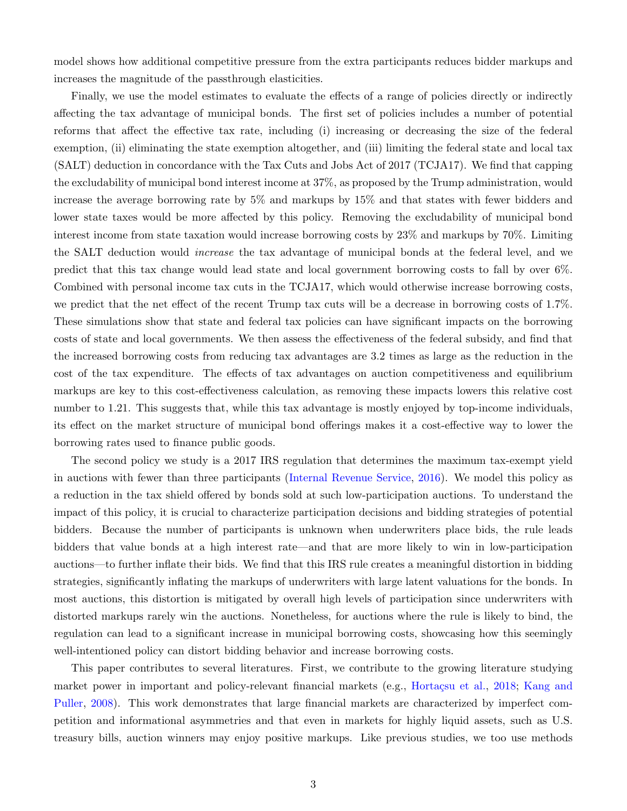model shows how additional competitive pressure from the extra participants reduces bidder markups and increases the magnitude of the passthrough elasticities.

Finally, we use the model estimates to evaluate the effects of a range of policies directly or indirectly affecting the tax advantage of municipal bonds. The first set of policies includes a number of potential reforms that affect the effective tax rate, including (i) increasing or decreasing the size of the federal exemption, (ii) eliminating the state exemption altogether, and (iii) limiting the federal state and local tax (SALT) deduction in concordance with the Tax Cuts and Jobs Act of 2017 (TCJA17). We find that capping the excludability of municipal bond interest income at 37%, as proposed by the Trump administration, would increase the average borrowing rate by 5% and markups by 15% and that states with fewer bidders and lower state taxes would be more affected by this policy. Removing the excludability of municipal bond interest income from state taxation would increase borrowing costs by 23% and markups by 70%. Limiting the SALT deduction would increase the tax advantage of municipal bonds at the federal level, and we predict that this tax change would lead state and local government borrowing costs to fall by over 6%. Combined with personal income tax cuts in the TCJA17, which would otherwise increase borrowing costs, we predict that the net effect of the recent Trump tax cuts will be a decrease in borrowing costs of 1.7%. These simulations show that state and federal tax policies can have significant impacts on the borrowing costs of state and local governments. We then assess the effectiveness of the federal subsidy, and find that the increased borrowing costs from reducing tax advantages are 3.2 times as large as the reduction in the cost of the tax expenditure. The effects of tax advantages on auction competitiveness and equilibrium markups are key to this cost-effectiveness calculation, as removing these impacts lowers this relative cost number to 1.21. This suggests that, while this tax advantage is mostly enjoyed by top-income individuals, its effect on the market structure of municipal bond offerings makes it a cost-effective way to lower the borrowing rates used to finance public goods.

The second policy we study is a 2017 IRS regulation that determines the maximum tax-exempt yield in auctions with fewer than three participants [\(Internal Revenue Service,](#page-38-1) [2016\)](#page-38-1). We model this policy as a reduction in the tax shield offered by bonds sold at such low-participation auctions. To understand the impact of this policy, it is crucial to characterize participation decisions and bidding strategies of potential bidders. Because the number of participants is unknown when underwriters place bids, the rule leads bidders that value bonds at a high interest rate—and that are more likely to win in low-participation auctions—to further inflate their bids. We find that this IRS rule creates a meaningful distortion in bidding strategies, significantly inflating the markups of underwriters with large latent valuations for the bonds. In most auctions, this distortion is mitigated by overall high levels of participation since underwriters with distorted markups rarely win the auctions. Nonetheless, for auctions where the rule is likely to bind, the regulation can lead to a significant increase in municipal borrowing costs, showcasing how this seemingly well-intentioned policy can distort bidding behavior and increase borrowing costs.

This paper contributes to several literatures. First, we contribute to the growing literature studying market power in important and policy-relevant financial markets (e.g., Hortaçsu et al., [2018;](#page-38-2) [Kang and](#page-38-3) [Puller,](#page-38-3) [2008\)](#page-38-3). This work demonstrates that large financial markets are characterized by imperfect competition and informational asymmetries and that even in markets for highly liquid assets, such as U.S. treasury bills, auction winners may enjoy positive markups. Like previous studies, we too use methods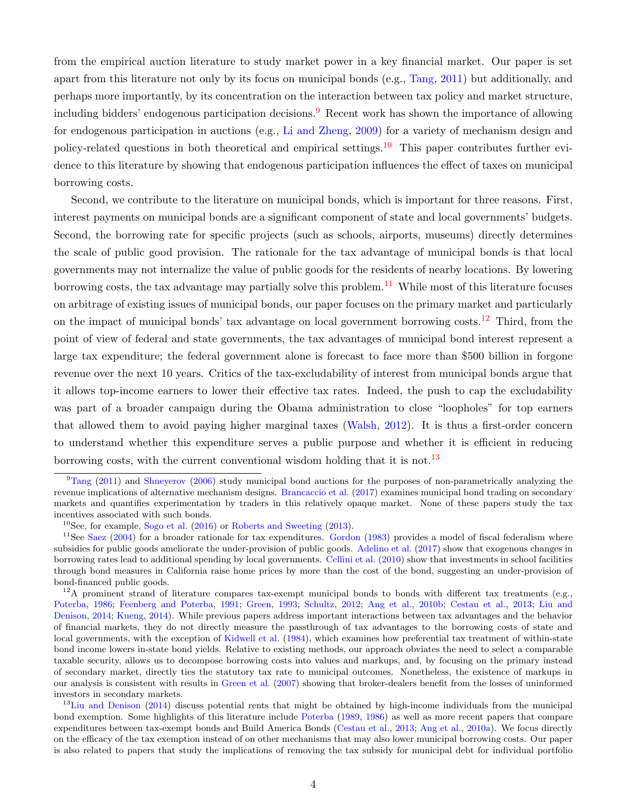from the empirical auction literature to study market power in a key financial market. Our paper is set apart from this literature not only by its focus on municipal bonds (e.g., [Tang,](#page-39-4) [2011\)](#page-39-4) but additionally, and perhaps more importantly, by its concentration on the interaction between tax policy and market structure, including bidders' endogenous participation decisions.<sup>[9](#page-4-0)</sup> Recent work has shown the importance of allowing for endogenous participation in auctions (e.g., [Li and Zheng,](#page-39-3) [2009\)](#page-39-3) for a variety of mechanism design and policy-related questions in both theoretical and empirical settings.<sup>[10](#page-4-1)</sup> This paper contributes further evidence to this literature by showing that endogenous participation influences the effect of taxes on municipal borrowing costs.

Second, we contribute to the literature on municipal bonds, which is important for three reasons. First, interest payments on municipal bonds are a significant component of state and local governments' budgets. Second, the borrowing rate for specific projects (such as schools, airports, museums) directly determines the scale of public good provision. The rationale for the tax advantage of municipal bonds is that local governments may not internalize the value of public goods for the residents of nearby locations. By lowering borrowing costs, the tax advantage may partially solve this problem.<sup>[11](#page-4-2)</sup> While most of this literature focuses on arbitrage of existing issues of municipal bonds, our paper focuses on the primary market and particularly on the impact of municipal bonds' tax advantage on local government borrowing costs.<sup>[12](#page-4-3)</sup> Third, from the point of view of federal and state governments, the tax advantages of municipal bond interest represent a large tax expenditure; the federal government alone is forecast to face more than \$500 billion in forgone revenue over the next 10 years. Critics of the tax-excludability of interest from municipal bonds argue that it allows top-income earners to lower their effective tax rates. Indeed, the push to cap the excludability was part of a broader campaign during the Obama administration to close "loopholes" for top earners that allowed them to avoid paying higher marginal taxes [\(Walsh,](#page-40-2) [2012\)](#page-40-2). It is thus a first-order concern to understand whether this expenditure serves a public purpose and whether it is efficient in reducing borrowing costs, with the current conventional wisdom holding that it is not.<sup>[13](#page-4-4)</sup>

<span id="page-4-0"></span> $9$ [Tang](#page-39-4) [\(2011\)](#page-39-4) and [Shneyerov](#page-39-5) [\(2006\)](#page-39-5) study municipal bond auctions for the purposes of non-parametrically analyzing the revenue implications of alternative mechanism designs. [Brancaccio et al.](#page-37-0) [\(2017\)](#page-37-0) examines municipal bond trading on secondary markets and quantifies experimentation by traders in this relatively opaque market. None of these papers study the tax incentives associated with such bonds.

<span id="page-4-2"></span><span id="page-4-1"></span><sup>&</sup>lt;sup>10</sup>See, for example, [Sogo et al.](#page-39-6)  $(2016)$  or [Roberts and Sweeting](#page-39-7)  $(2013)$ .

 $11$ See [Saez](#page-39-8) [\(2004\)](#page-39-8) for a broader rationale for tax expenditures. [Gordon](#page-38-4) [\(1983\)](#page-38-4) provides a model of fiscal federalism where subsidies for public goods ameliorate the under-provision of public goods. [Adelino et al.](#page-37-1) [\(2017\)](#page-37-1) show that exogenous changes in borrowing rates lead to additional spending by local governments. [Cellini et al.](#page-37-2) [\(2010\)](#page-37-2) show that investments in school facilities through bond measures in California raise home prices by more than the cost of the bond, suggesting an under-provision of bond-financed public goods.

<span id="page-4-3"></span><sup>&</sup>lt;sup>12</sup>A prominent strand of literature compares tax-exempt municipal bonds to bonds with different tax treatments (e.g., [Poterba,](#page-39-9) [1986;](#page-39-9) [Feenberg and Poterba,](#page-38-5) [1991;](#page-38-5) [Green,](#page-38-6) [1993;](#page-38-6) [Schultz,](#page-39-10) [2012;](#page-39-10) [Ang et al.,](#page-37-3) [2010b;](#page-37-3) [Cestau et al.,](#page-37-4) [2013;](#page-37-4) [Liu and](#page-39-11) [Denison,](#page-39-11) [2014;](#page-39-11) [Kueng,](#page-38-7) [2014\)](#page-38-7). While previous papers address important interactions between tax advantages and the behavior of financial markets, they do not directly measure the passthrough of tax advantages to the borrowing costs of state and local governments, with the exception of [Kidwell et al.](#page-38-8) [\(1984\)](#page-38-8), which examines how preferential tax treatment of within-state bond income lowers in-state bond yields. Relative to existing methods, our approach obviates the need to select a comparable taxable security, allows us to decompose borrowing costs into values and markups, and, by focusing on the primary instead of secondary market, directly ties the statutory tax rate to municipal outcomes. Nonetheless, the existence of markups in our analysis is consistent with results in [Green et al.](#page-38-9) [\(2007\)](#page-38-9) showing that broker-dealers benefit from the losses of uninformed investors in secondary markets.

<span id="page-4-4"></span><sup>&</sup>lt;sup>13</sup>[Liu and Denison](#page-39-11) [\(2014\)](#page-39-11) discuss potential rents that might be obtained by high-income individuals from the municipal bond exemption. Some highlights of this literature include [Poterba](#page-39-12) [\(1989,](#page-39-12) [1986\)](#page-39-9) as well as more recent papers that compare expenditures between tax-exempt bonds and Build America Bonds [\(Cestau et al.,](#page-37-4) [2013;](#page-37-4) [Ang et al.,](#page-37-5) [2010a\)](#page-37-5). We focus directly on the efficacy of the tax exemption instead of on other mechanisms that may also lower municipal borrowing costs. Our paper is also related to papers that study the implications of removing the tax subsidy for municipal debt for individual portfolio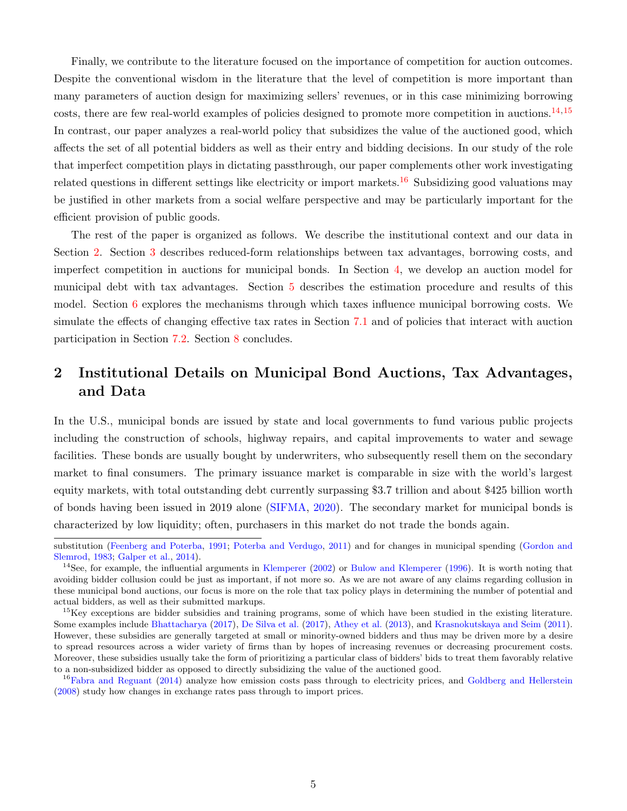Finally, we contribute to the literature focused on the importance of competition for auction outcomes. Despite the conventional wisdom in the literature that the level of competition is more important than many parameters of auction design for maximizing sellers' revenues, or in this case minimizing borrowing costs, there are few real-world examples of policies designed to promote more competition in auctions.<sup>[14](#page-5-1),[15](#page-5-2)</sup> In contrast, our paper analyzes a real-world policy that subsidizes the value of the auctioned good, which affects the set of all potential bidders as well as their entry and bidding decisions. In our study of the role that imperfect competition plays in dictating passthrough, our paper complements other work investigating related questions in different settings like electricity or import markets.<sup>[16](#page-5-3)</sup> Subsidizing good valuations may be justified in other markets from a social welfare perspective and may be particularly important for the efficient provision of public goods.

The rest of the paper is organized as follows. We describe the institutional context and our data in Section [2.](#page-5-0) Section [3](#page-10-0) describes reduced-form relationships between tax advantages, borrowing costs, and imperfect competition in auctions for municipal bonds. In Section [4,](#page-16-1) we develop an auction model for municipal debt with tax advantages. Section [5](#page-20-0) describes the estimation procedure and results of this model. Section [6](#page-24-0) explores the mechanisms through which taxes influence municipal borrowing costs. We simulate the effects of changing effective tax rates in Section [7.1](#page-29-0) and of policies that interact with auction participation in Section [7.2.](#page-32-0) Section [8](#page-35-0) concludes.

# <span id="page-5-0"></span>2 Institutional Details on Municipal Bond Auctions, Tax Advantages, and Data

In the U.S., municipal bonds are issued by state and local governments to fund various public projects including the construction of schools, highway repairs, and capital improvements to water and sewage facilities. These bonds are usually bought by underwriters, who subsequently resell them on the secondary market to final consumers. The primary issuance market is comparable in size with the world's largest equity markets, with total outstanding debt currently surpassing \$3.7 trillion and about \$425 billion worth of bonds having been issued in 2019 alone [\(SIFMA,](#page-39-0) [2020\)](#page-39-0). The secondary market for municipal bonds is characterized by low liquidity; often, purchasers in this market do not trade the bonds again.

substitution [\(Feenberg and Poterba,](#page-38-5) [1991;](#page-38-5) [Poterba and Verdugo,](#page-39-13) [2011\)](#page-39-13) and for changes in municipal spending [\(Gordon and](#page-38-10) [Slemrod,](#page-38-10) [1983;](#page-38-10) [Galper et al.,](#page-38-11) [2014\)](#page-38-11).

<span id="page-5-1"></span><sup>&</sup>lt;sup>14</sup>See, for example, the influential arguments in [Klemperer](#page-38-12)  $(2002)$  or [Bulow and Klemperer](#page-37-6) [\(1996\)](#page-37-6). It is worth noting that avoiding bidder collusion could be just as important, if not more so. As we are not aware of any claims regarding collusion in these municipal bond auctions, our focus is more on the role that tax policy plays in determining the number of potential and actual bidders, as well as their submitted markups.

<span id="page-5-2"></span><sup>&</sup>lt;sup>15</sup>Key exceptions are bidder subsidies and training programs, some of which have been studied in the existing literature. Some examples include [Bhattacharya](#page-37-7) [\(2017\)](#page-37-7), [De Silva et al.](#page-37-8) [\(2017\)](#page-37-8), [Athey et al.](#page-37-9) [\(2013\)](#page-37-9), and [Krasnokutskaya and Seim](#page-38-13) [\(2011\)](#page-38-13). However, these subsidies are generally targeted at small or minority-owned bidders and thus may be driven more by a desire to spread resources across a wider variety of firms than by hopes of increasing revenues or decreasing procurement costs. Moreover, these subsidies usually take the form of prioritizing a particular class of bidders' bids to treat them favorably relative to a non-subsidized bidder as opposed to directly subsidizing the value of the auctioned good.

<span id="page-5-3"></span><sup>&</sup>lt;sup>16</sup>[Fabra and Reguant](#page-37-10) [\(2014\)](#page-37-10) analyze how emission costs pass through to electricity prices, and [Goldberg and Hellerstein](#page-38-14) [\(2008\)](#page-38-14) study how changes in exchange rates pass through to import prices.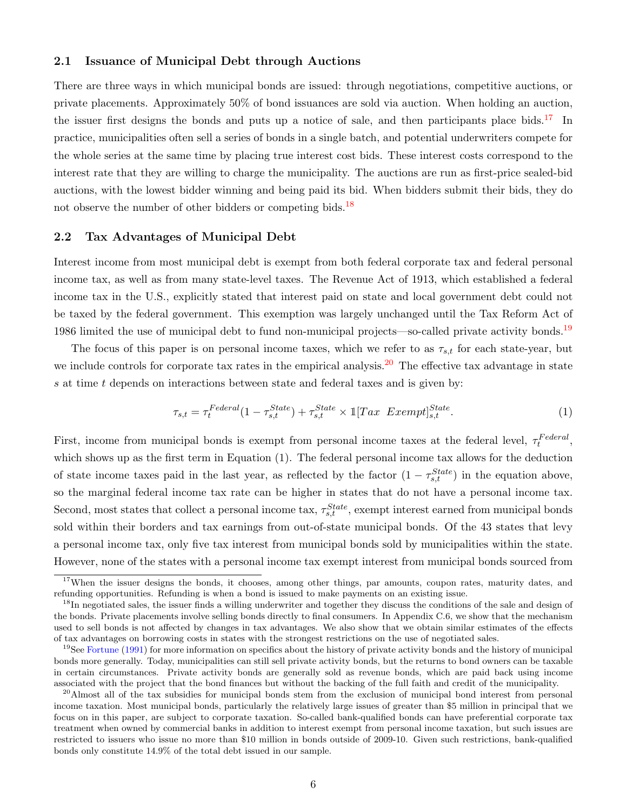## 2.1 Issuance of Municipal Debt through Auctions

There are three ways in which municipal bonds are issued: through negotiations, competitive auctions, or private placements. Approximately 50% of bond issuances are sold via auction. When holding an auction, the issuer first designs the bonds and puts up a notice of sale, and then participants place bids.<sup>[17](#page-6-0)</sup> In practice, municipalities often sell a series of bonds in a single batch, and potential underwriters compete for the whole series at the same time by placing true interest cost bids. These interest costs correspond to the interest rate that they are willing to charge the municipality. The auctions are run as first-price sealed-bid auctions, with the lowest bidder winning and being paid its bid. When bidders submit their bids, they do not observe the number of other bidders or competing bids.<sup>[18](#page-6-1)</sup>

## 2.2 Tax Advantages of Municipal Debt

Interest income from most municipal debt is exempt from both federal corporate tax and federal personal income tax, as well as from many state-level taxes. The Revenue Act of 1913, which established a federal income tax in the U.S., explicitly stated that interest paid on state and local government debt could not be taxed by the federal government. This exemption was largely unchanged until the Tax Reform Act of [19](#page-6-2)86 limited the use of municipal debt to fund non-municipal projects—so-called private activity bonds.<sup>19</sup>

The focus of this paper is on personal income taxes, which we refer to as  $\tau_{s,t}$  for each state-year, but we include controls for corporate tax rates in the empirical analysis.<sup>[20](#page-6-3)</sup> The effective tax advantage in state s at time t depends on interactions between state and federal taxes and is given by:

<span id="page-6-4"></span>
$$
\tau_{s,t} = \tau_t^{Federal}(1 - \tau_{s,t}^{State}) + \tau_{s,t}^{State} \times \mathbb{1}[Tax\ Exempt]_{s,t}^{State}.
$$
\n
$$
(1)
$$

First, income from municipal bonds is exempt from personal income taxes at the federal level,  $\tau_t^{Federal}$ , which shows up as the first term in Equation (1). The federal personal income tax allows for the deduction of state income taxes paid in the last year, as reflected by the factor  $(1 - \tau_{s,t}^{State})$  in the equation above, so the marginal federal income tax rate can be higher in states that do not have a personal income tax. Second, most states that collect a personal income tax,  $\tau_{s,t}^{State}$ , exempt interest earned from municipal bonds sold within their borders and tax earnings from out-of-state municipal bonds. Of the 43 states that levy a personal income tax, only five tax interest from municipal bonds sold by municipalities within the state. However, none of the states with a personal income tax exempt interest from municipal bonds sourced from

<span id="page-6-0"></span><sup>&</sup>lt;sup>17</sup>When the issuer designs the bonds, it chooses, among other things, par amounts, coupon rates, maturity dates, and refunding opportunities. Refunding is when a bond is issued to make payments on an existing issue.

<span id="page-6-1"></span><sup>&</sup>lt;sup>18</sup>In negotiated sales, the issuer finds a willing underwriter and together they discuss the conditions of the sale and design of the bonds. Private placements involve selling bonds directly to final consumers. In Appendix C.6, we show that the mechanism used to sell bonds is not affected by changes in tax advantages. We also show that we obtain similar estimates of the effects of tax advantages on borrowing costs in states with the strongest restrictions on the use of negotiated sales.

<span id="page-6-2"></span><sup>&</sup>lt;sup>19</sup>See [Fortune](#page-38-15) [\(1991\)](#page-38-15) for more information on specifics about the history of private activity bonds and the history of municipal bonds more generally. Today, municipalities can still sell private activity bonds, but the returns to bond owners can be taxable in certain circumstances. Private activity bonds are generally sold as revenue bonds, which are paid back using income associated with the project that the bond finances but without the backing of the full faith and credit of the municipality.

<span id="page-6-3"></span> $^{20}$ Almost all of the tax subsidies for municipal bonds stem from the exclusion of municipal bond interest from personal income taxation. Most municipal bonds, particularly the relatively large issues of greater than \$5 million in principal that we focus on in this paper, are subject to corporate taxation. So-called bank-qualified bonds can have preferential corporate tax treatment when owned by commercial banks in addition to interest exempt from personal income taxation, but such issues are restricted to issuers who issue no more than \$10 million in bonds outside of 2009-10. Given such restrictions, bank-qualified bonds only constitute 14.9% of the total debt issued in our sample.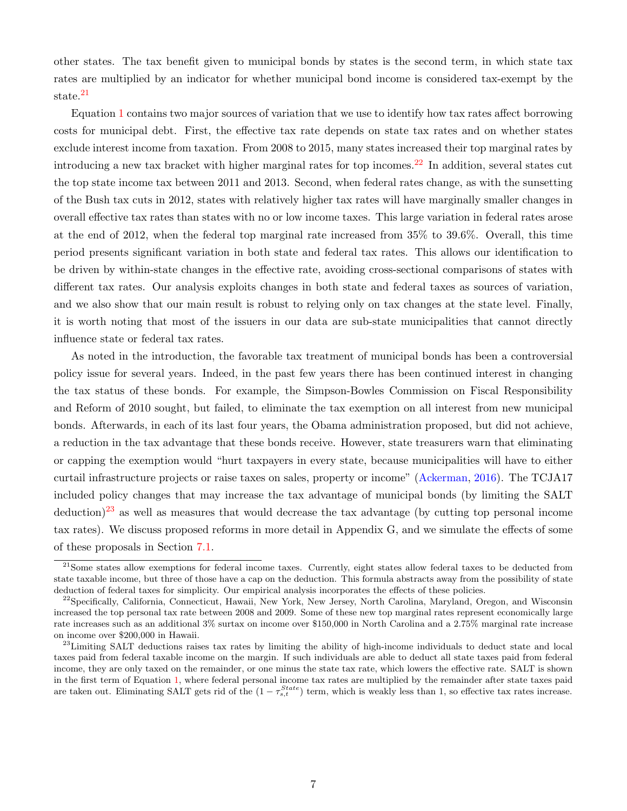other states. The tax benefit given to municipal bonds by states is the second term, in which state tax rates are multiplied by an indicator for whether municipal bond income is considered tax-exempt by the state.<sup>[21](#page-7-0)</sup>

Equation [1](#page-6-4) contains two major sources of variation that we use to identify how tax rates affect borrowing costs for municipal debt. First, the effective tax rate depends on state tax rates and on whether states exclude interest income from taxation. From 2008 to 2015, many states increased their top marginal rates by introducing a new tax bracket with higher marginal rates for top incomes.<sup>[22](#page-7-1)</sup> In addition, several states cut the top state income tax between 2011 and 2013. Second, when federal rates change, as with the sunsetting of the Bush tax cuts in 2012, states with relatively higher tax rates will have marginally smaller changes in overall effective tax rates than states with no or low income taxes. This large variation in federal rates arose at the end of 2012, when the federal top marginal rate increased from 35% to 39.6%. Overall, this time period presents significant variation in both state and federal tax rates. This allows our identification to be driven by within-state changes in the effective rate, avoiding cross-sectional comparisons of states with different tax rates. Our analysis exploits changes in both state and federal taxes as sources of variation, and we also show that our main result is robust to relying only on tax changes at the state level. Finally, it is worth noting that most of the issuers in our data are sub-state municipalities that cannot directly influence state or federal tax rates.

As noted in the introduction, the favorable tax treatment of municipal bonds has been a controversial policy issue for several years. Indeed, in the past few years there has been continued interest in changing the tax status of these bonds. For example, the Simpson-Bowles Commission on Fiscal Responsibility and Reform of 2010 sought, but failed, to eliminate the tax exemption on all interest from new municipal bonds. Afterwards, in each of its last four years, the Obama administration proposed, but did not achieve, a reduction in the tax advantage that these bonds receive. However, state treasurers warn that eliminating or capping the exemption would "hurt taxpayers in every state, because municipalities will have to either curtail infrastructure projects or raise taxes on sales, property or income" [\(Ackerman,](#page-37-11) [2016\)](#page-37-11). The TCJA17 included policy changes that may increase the tax advantage of municipal bonds (by limiting the SALT  $\text{deduction}<sup>23</sup>$  $\text{deduction}<sup>23</sup>$  $\text{deduction}<sup>23</sup>$  as well as measures that would decrease the tax advantage (by cutting top personal income tax rates). We discuss proposed reforms in more detail in Appendix G, and we simulate the effects of some of these proposals in Section [7.1.](#page-29-0)

<span id="page-7-0"></span> $21$ Some states allow exemptions for federal income taxes. Currently, eight states allow federal taxes to be deducted from state taxable income, but three of those have a cap on the deduction. This formula abstracts away from the possibility of state deduction of federal taxes for simplicity. Our empirical analysis incorporates the effects of these policies.

<span id="page-7-1"></span><sup>&</sup>lt;sup>22</sup>Specifically, California, Connecticut, Hawaii, New York, New Jersey, North Carolina, Maryland, Oregon, and Wisconsin increased the top personal tax rate between 2008 and 2009. Some of these new top marginal rates represent economically large rate increases such as an additional 3% surtax on income over \$150,000 in North Carolina and a 2.75% marginal rate increase on income over \$200,000 in Hawaii.

<span id="page-7-2"></span><sup>&</sup>lt;sup>23</sup>Limiting SALT deductions raises tax rates by limiting the ability of high-income individuals to deduct state and local taxes paid from federal taxable income on the margin. If such individuals are able to deduct all state taxes paid from federal income, they are only taxed on the remainder, or one minus the state tax rate, which lowers the effective rate. SALT is shown in the first term of Equation [1,](#page-6-4) where federal personal income tax rates are multiplied by the remainder after state taxes paid are taken out. Eliminating SALT gets rid of the  $(1 - \tau_{s,t}^{State})$  term, which is weakly less than 1, so effective tax rates increase.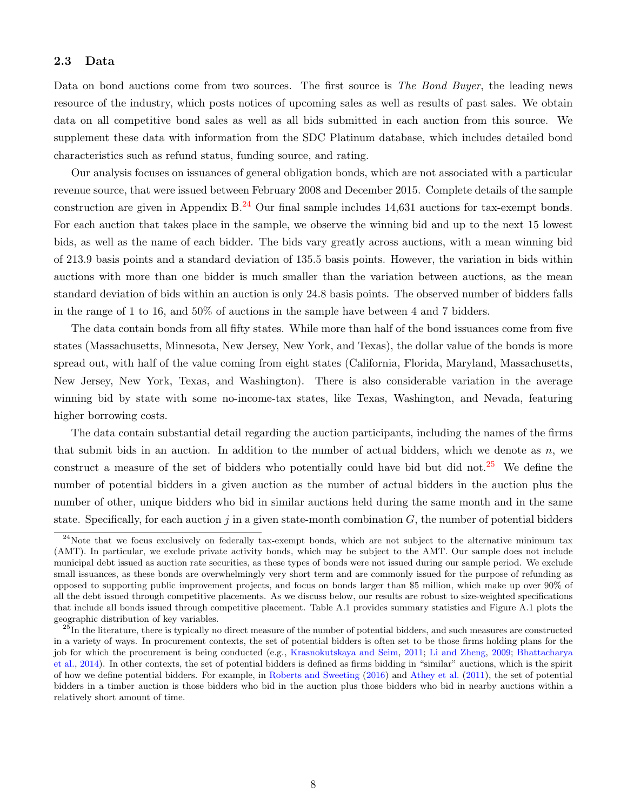# <span id="page-8-2"></span>2.3 Data

Data on bond auctions come from two sources. The first source is The Bond Buyer, the leading news resource of the industry, which posts notices of upcoming sales as well as results of past sales. We obtain data on all competitive bond sales as well as all bids submitted in each auction from this source. We supplement these data with information from the SDC Platinum database, which includes detailed bond characteristics such as refund status, funding source, and rating.

Our analysis focuses on issuances of general obligation bonds, which are not associated with a particular revenue source, that were issued between February 2008 and December 2015. Complete details of the sample construction are given in Appendix B.<sup>[24](#page-8-0)</sup> Our final sample includes 14,631 auctions for tax-exempt bonds. For each auction that takes place in the sample, we observe the winning bid and up to the next 15 lowest bids, as well as the name of each bidder. The bids vary greatly across auctions, with a mean winning bid of 213.9 basis points and a standard deviation of 135.5 basis points. However, the variation in bids within auctions with more than one bidder is much smaller than the variation between auctions, as the mean standard deviation of bids within an auction is only 24.8 basis points. The observed number of bidders falls in the range of 1 to 16, and 50% of auctions in the sample have between 4 and 7 bidders.

The data contain bonds from all fifty states. While more than half of the bond issuances come from five states (Massachusetts, Minnesota, New Jersey, New York, and Texas), the dollar value of the bonds is more spread out, with half of the value coming from eight states (California, Florida, Maryland, Massachusetts, New Jersey, New York, Texas, and Washington). There is also considerable variation in the average winning bid by state with some no-income-tax states, like Texas, Washington, and Nevada, featuring higher borrowing costs.

The data contain substantial detail regarding the auction participants, including the names of the firms that submit bids in an auction. In addition to the number of actual bidders, which we denote as  $n$ , we construct a measure of the set of bidders who potentially could have bid but did not.<sup>[25](#page-8-1)</sup> We define the number of potential bidders in a given auction as the number of actual bidders in the auction plus the number of other, unique bidders who bid in similar auctions held during the same month and in the same state. Specifically, for each auction  $j$  in a given state-month combination  $G$ , the number of potential bidders

<span id="page-8-0"></span><sup>&</sup>lt;sup>24</sup>Note that we focus exclusively on federally tax-exempt bonds, which are not subject to the alternative minimum tax (AMT). In particular, we exclude private activity bonds, which may be subject to the AMT. Our sample does not include municipal debt issued as auction rate securities, as these types of bonds were not issued during our sample period. We exclude small issuances, as these bonds are overwhelmingly very short term and are commonly issued for the purpose of refunding as opposed to supporting public improvement projects, and focus on bonds larger than \$5 million, which make up over 90% of all the debt issued through competitive placements. As we discuss below, our results are robust to size-weighted specifications that include all bonds issued through competitive placement. Table A.1 provides summary statistics and Figure A.1 plots the geographic distribution of key variables.

<span id="page-8-1"></span> $^{25}$ In the literature, there is typically no direct measure of the number of potential bidders, and such measures are constructed in a variety of ways. In procurement contexts, the set of potential bidders is often set to be those firms holding plans for the job for which the procurement is being conducted (e.g., [Krasnokutskaya and Seim,](#page-38-13) [2011;](#page-38-13) [Li and Zheng,](#page-39-3) [2009;](#page-39-3) [Bhattacharya](#page-37-12) [et al.,](#page-37-12) [2014\)](#page-37-12). In other contexts, the set of potential bidders is defined as firms bidding in "similar" auctions, which is the spirit of how we define potential bidders. For example, in [Roberts and Sweeting](#page-39-14) [\(2016\)](#page-39-14) and [Athey et al.](#page-37-13) [\(2011\)](#page-37-13), the set of potential bidders in a timber auction is those bidders who bid in the auction plus those bidders who bid in nearby auctions within a relatively short amount of time.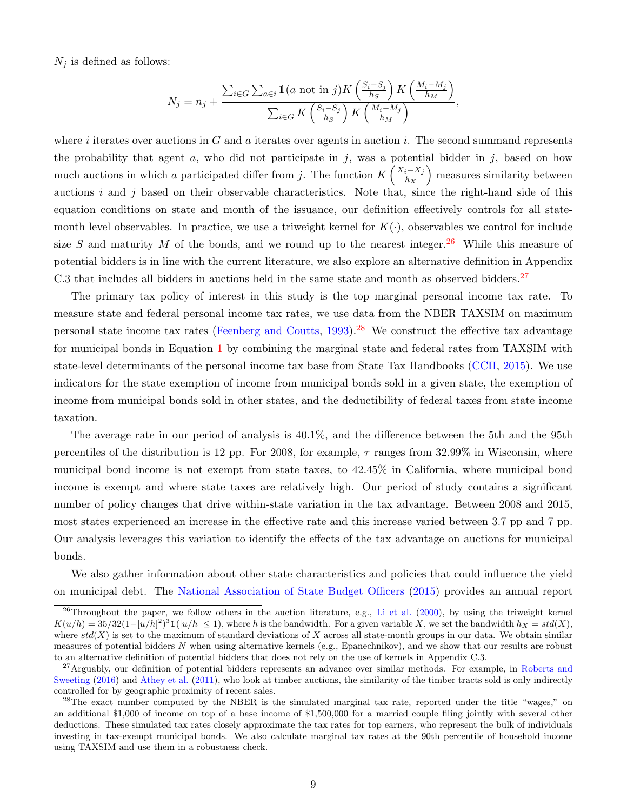$N_j$  is defined as follows:

$$
N_j = n_j + \frac{\sum_{i \in G} \sum_{a \in i} \mathbb{1}(a \text{ not in } j) K\left(\frac{S_i - S_j}{h_S}\right) K\left(\frac{M_i - M_j}{h_M}\right)}{\sum_{i \in G} K\left(\frac{S_i - S_j}{h_S}\right) K\left(\frac{M_i - M_j}{h_M}\right)},
$$

where i iterates over auctions in G and a iterates over agents in auction i. The second summand represents the probability that agent a, who did not participate in j, was a potential bidder in j, based on how much auctions in which a participated differ from j. The function  $K\left(\frac{X_i-X_j}{h_X}\right)$  $h_X$ ) measures similarity between auctions i and j based on their observable characteristics. Note that, since the right-hand side of this equation conditions on state and month of the issuance, our definition effectively controls for all statemonth level observables. In practice, we use a triweight kernel for  $K(\cdot)$ , observables we control for include size S and maturity M of the bonds, and we round up to the nearest integer.<sup>[26](#page-9-0)</sup> While this measure of potential bidders is in line with the current literature, we also explore an alternative definition in Appendix C.3 that includes all bidders in auctions held in the same state and month as observed bidders.<sup>[27](#page-9-1)</sup>

The primary tax policy of interest in this study is the top marginal personal income tax rate. To measure state and federal personal income tax rates, we use data from the NBER TAXSIM on maximum personal state income tax rates [\(Feenberg and Coutts,](#page-38-16) [1993\)](#page-38-16).<sup>[28](#page-9-2)</sup> We construct the effective tax advantage for municipal bonds in Equation [1](#page-6-4) by combining the marginal state and federal rates from TAXSIM with state-level determinants of the personal income tax base from State Tax Handbooks [\(CCH,](#page-37-14) [2015\)](#page-37-14). We use indicators for the state exemption of income from municipal bonds sold in a given state, the exemption of income from municipal bonds sold in other states, and the deductibility of federal taxes from state income taxation.

The average rate in our period of analysis is 40.1%, and the difference between the 5th and the 95th percentiles of the distribution is 12 pp. For 2008, for example,  $\tau$  ranges from 32.99% in Wisconsin, where municipal bond income is not exempt from state taxes, to 42.45% in California, where municipal bond income is exempt and where state taxes are relatively high. Our period of study contains a significant number of policy changes that drive within-state variation in the tax advantage. Between 2008 and 2015, most states experienced an increase in the effective rate and this increase varied between 3.7 pp and 7 pp. Our analysis leverages this variation to identify the effects of the tax advantage on auctions for municipal bonds.

We also gather information about other state characteristics and policies that could influence the yield on municipal debt. The [National Association of State Budget Officers](#page-39-15) [\(2015\)](#page-39-15) provides an annual report

<span id="page-9-0"></span> $26$ Throughout the paper, we follow others in the auction literature, e.g., [Li et al.](#page-39-16) [\(2000\)](#page-39-16), by using the triweight kernel  $K(u/h) = 35/32(1-[u/h]^2)^31(|u/h| \le 1)$ , where h is the bandwidth. For a given variable X, we set the bandwidth  $h_X = std(X)$ , where  $std(X)$  is set to the maximum of standard deviations of X across all state-month groups in our data. We obtain similar measures of potential bidders N when using alternative kernels (e.g., Epanechnikov), and we show that our results are robust to an alternative definition of potential bidders that does not rely on the use of kernels in Appendix C.3.

<span id="page-9-1"></span><sup>&</sup>lt;sup>27</sup> Arguably, our definition of potential bidders represents an advance over similar methods. For example, in [Roberts and](#page-39-14) [Sweeting](#page-39-14) [\(2016\)](#page-39-14) and [Athey et al.](#page-37-13) [\(2011\)](#page-37-13), who look at timber auctions, the similarity of the timber tracts sold is only indirectly controlled for by geographic proximity of recent sales.

<span id="page-9-2"></span><sup>&</sup>lt;sup>28</sup>The exact number computed by the NBER is the simulated marginal tax rate, reported under the title "wages," on an additional \$1,000 of income on top of a base income of \$1,500,000 for a married couple filing jointly with several other deductions. These simulated tax rates closely approximate the tax rates for top earners, who represent the bulk of individuals investing in tax-exempt municipal bonds. We also calculate marginal tax rates at the 90th percentile of household income using TAXSIM and use them in a robustness check.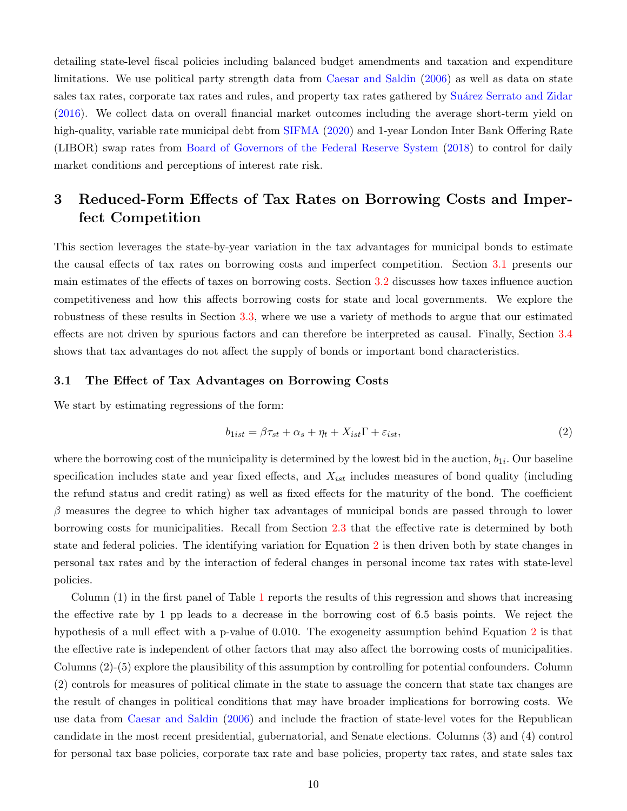detailing state-level fiscal policies including balanced budget amendments and taxation and expenditure limitations. We use political party strength data from [Caesar and Saldin](#page-37-15) [\(2006\)](#page-37-15) as well as data on state sales tax rates, corporate tax rates and rules, and property tax rates gathered by Suárez Serrato and Zidar [\(2016\)](#page-39-17). We collect data on overall financial market outcomes including the average short-term yield on high-quality, variable rate municipal debt from [SIFMA](#page-39-0) [\(2020\)](#page-39-0) and 1-year London Inter Bank Offering Rate (LIBOR) swap rates from [Board of Governors of the Federal Reserve System](#page-37-16) [\(2018\)](#page-37-16) to control for daily market conditions and perceptions of interest rate risk.

# <span id="page-10-0"></span>3 Reduced-Form Effects of Tax Rates on Borrowing Costs and Imperfect Competition

This section leverages the state-by-year variation in the tax advantages for municipal bonds to estimate the causal effects of tax rates on borrowing costs and imperfect competition. Section [3.1](#page-10-1) presents our main estimates of the effects of taxes on borrowing costs. Section [3.2](#page-12-0) discusses how taxes influence auction competitiveness and how this affects borrowing costs for state and local governments. We explore the robustness of these results in Section [3.3,](#page-13-0) where we use a variety of methods to argue that our estimated effects are not driven by spurious factors and can therefore be interpreted as causal. Finally, Section [3.4](#page-16-0) shows that tax advantages do not affect the supply of bonds or important bond characteristics.

## <span id="page-10-1"></span>3.1 The Effect of Tax Advantages on Borrowing Costs

We start by estimating regressions of the form:

<span id="page-10-2"></span>
$$
b_{1ist} = \beta \tau_{st} + \alpha_s + \eta_t + X_{ist} \Gamma + \varepsilon_{ist}, \tag{2}
$$

where the borrowing cost of the municipality is determined by the lowest bid in the auction,  $b_{1i}$ . Our baseline specification includes state and year fixed effects, and  $X_{ist}$  includes measures of bond quality (including the refund status and credit rating) as well as fixed effects for the maturity of the bond. The coefficient  $\beta$  measures the degree to which higher tax advantages of municipal bonds are passed through to lower borrowing costs for municipalities. Recall from Section [2.3](#page-8-2) that the effective rate is determined by both state and federal policies. The identifying variation for Equation [2](#page-10-2) is then driven both by state changes in personal tax rates and by the interaction of federal changes in personal income tax rates with state-level policies.

Column (1) in the first panel of Table [1](#page-11-0) reports the results of this regression and shows that increasing the effective rate by 1 pp leads to a decrease in the borrowing cost of 6.5 basis points. We reject the hypothesis of a null effect with a p-value of 0.010. The exogeneity assumption behind Equation [2](#page-10-2) is that the effective rate is independent of other factors that may also affect the borrowing costs of municipalities. Columns (2)-(5) explore the plausibility of this assumption by controlling for potential confounders. Column (2) controls for measures of political climate in the state to assuage the concern that state tax changes are the result of changes in political conditions that may have broader implications for borrowing costs. We use data from [Caesar and Saldin](#page-37-15) [\(2006\)](#page-37-15) and include the fraction of state-level votes for the Republican candidate in the most recent presidential, gubernatorial, and Senate elections. Columns (3) and (4) control for personal tax base policies, corporate tax rate and base policies, property tax rates, and state sales tax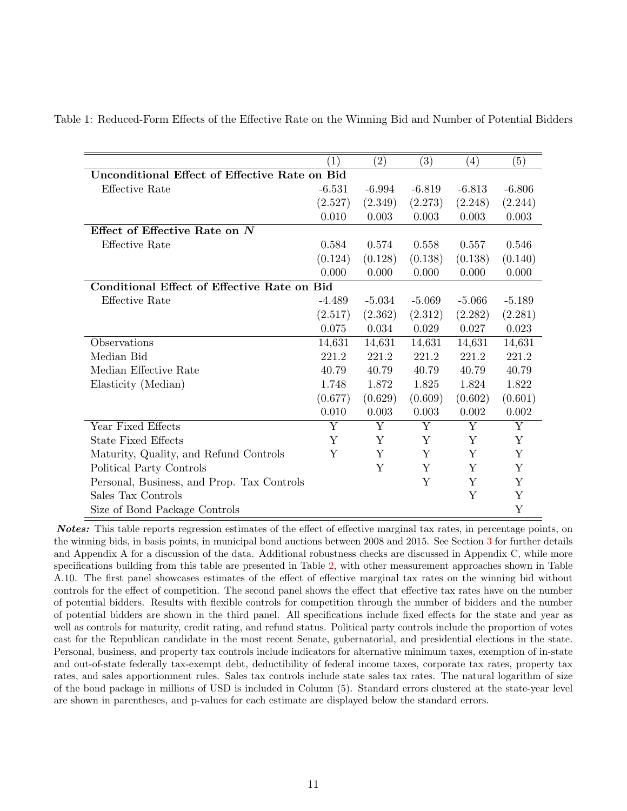|                                                      | $\left( 1\right)$ | $\left( 2\right)$ | (3)      | (4)      | (5)         |  |  |  |
|------------------------------------------------------|-------------------|-------------------|----------|----------|-------------|--|--|--|
| <b>Unconditional Effect of Effective Rate on Bid</b> |                   |                   |          |          |             |  |  |  |
| <b>Effective Rate</b>                                | $-6.531$          | $-6.994$          | $-6.819$ | $-6.813$ | $-6.806$    |  |  |  |
|                                                      | (2.527)           | (2.349)           | (2.273)  | (2.248)  | (2.244)     |  |  |  |
|                                                      | 0.010             | 0.003             | 0.003    | 0.003    | 0.003       |  |  |  |
| Effect of Effective Rate on $N$                      |                   |                   |          |          |             |  |  |  |
| <b>Effective Rate</b>                                | 0.584             | 0.574             | 0.558    | 0.557    | 0.546       |  |  |  |
|                                                      | (0.124)           | (0.128)           | (0.138)  | (0.138)  | (0.140)     |  |  |  |
|                                                      | 0.000             | 0.000             | 0.000    | 0.000    | 0.000       |  |  |  |
| Conditional Effect of Effective Rate on Bid          |                   |                   |          |          |             |  |  |  |
| Effective Rate                                       | $-4.489$          | $-5.034$          | $-5.069$ | $-5.066$ | $-5.189$    |  |  |  |
|                                                      | (2.517)           | (2.362)           | (2.312)  | (2.282)  | (2.281)     |  |  |  |
|                                                      | 0.075             | 0.034             | 0.029    | 0.027    | 0.023       |  |  |  |
| Observations                                         | 14,631            | 14,631            | 14,631   | 14,631   | 14,631      |  |  |  |
| Median Bid                                           | 221.2             | 221.2             | 221.2    | 221.2    | 221.2       |  |  |  |
| Median Effective Rate                                | 40.79             | 40.79             | 40.79    | 40.79    | 40.79       |  |  |  |
| Elasticity (Median)                                  | 1.748             | 1.872             | 1.825    | 1.824    | 1.822       |  |  |  |
|                                                      | (0.677)           | (0.629)           | (0.609)  | (0.602)  | (0.601)     |  |  |  |
|                                                      | 0.010             | 0.003             | 0.003    | 0.002    | 0.002       |  |  |  |
| Year Fixed Effects                                   | Y                 | Y                 | Y        | Y        | $\mathbf Y$ |  |  |  |
| <b>State Fixed Effects</b>                           | Y                 | Y                 | Υ        | Υ        | Υ           |  |  |  |
| Maturity, Quality, and Refund Controls               | Y                 | Y                 | Y        | Y        | Y           |  |  |  |
| Political Party Controls                             |                   | Υ                 | Y        | Y        | Y           |  |  |  |
| Personal, Business, and Prop. Tax Controls           |                   |                   | Y        | Y        | $\mathbf Y$ |  |  |  |
| Sales Tax Controls                                   |                   |                   |          | Y        | Y           |  |  |  |
| Size of Bond Package Controls                        |                   |                   |          |          | Y           |  |  |  |

<span id="page-11-0"></span>Table 1: Reduced-Form Effects of the Effective Rate on the Winning Bid and Number of Potential Bidders

Notes: This table reports regression estimates of the effect of effective marginal tax rates, in percentage points, on the winning bids, in basis points, in municipal bond auctions between 2008 and 2015. See Section [3](#page-10-0) for further details and Appendix A for a discussion of the data. Additional robustness checks are discussed in Appendix C, while more specifications building from this table are presented in Table [2,](#page-15-0) with other measurement approaches shown in Table A.10. The first panel showcases estimates of the effect of effective marginal tax rates on the winning bid without controls for the effect of competition. The second panel shows the effect that effective tax rates have on the number of potential bidders. Results with flexible controls for competition through the number of bidders and the number of potential bidders are shown in the third panel. All specifications include fixed effects for the state and year as well as controls for maturity, credit rating, and refund status. Political party controls include the proportion of votes cast for the Republican candidate in the most recent Senate, gubernatorial, and presidential elections in the state. Personal, business, and property tax controls include indicators for alternative minimum taxes, exemption of in-state and out-of-state federally tax-exempt debt, deductibility of federal income taxes, corporate tax rates, property tax rates, and sales apportionment rules. Sales tax controls include state sales tax rates. The natural logarithm of size of the bond package in millions of USD is included in Column (5). Standard errors clustered at the state-year level are shown in parentheses, and p-values for each estimate are displayed below the standard errors.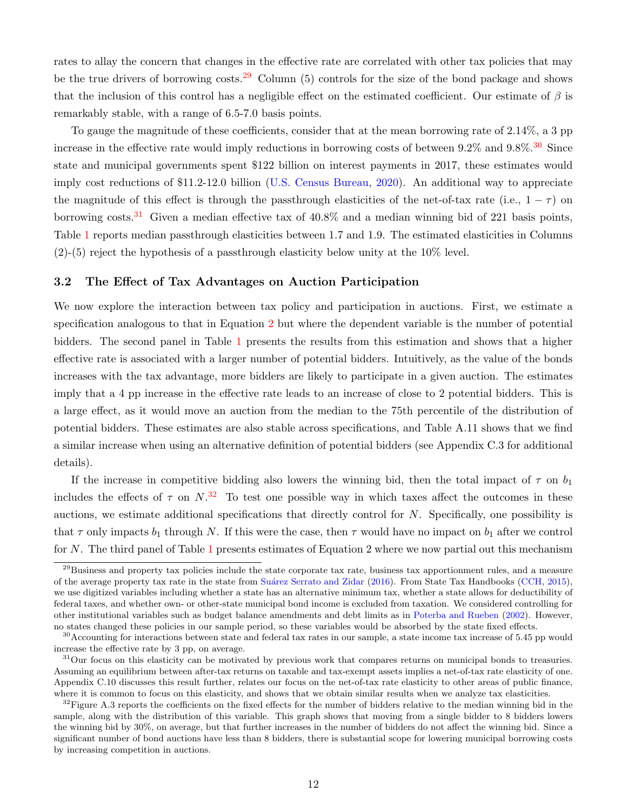rates to allay the concern that changes in the effective rate are correlated with other tax policies that may be the true drivers of borrowing costs.<sup>[29](#page-12-1)</sup> Column (5) controls for the size of the bond package and shows that the inclusion of this control has a negligible effect on the estimated coefficient. Our estimate of  $\beta$  is remarkably stable, with a range of 6.5-7.0 basis points.

To gauge the magnitude of these coefficients, consider that at the mean borrowing rate of 2.14%, a 3 pp increase in the effective rate would imply reductions in borrowing costs of between  $9.2\%$  and  $9.8\%$ .<sup>[30](#page-12-2)</sup> Since state and municipal governments spent \$122 billion on interest payments in 2017, these estimates would imply cost reductions of \$11.2-12.0 billion [\(U.S. Census Bureau,](#page-39-1) [2020\)](#page-39-1). An additional way to appreciate the magnitude of this effect is through the passthrough elasticities of the net-of-tax rate (i.e.,  $1 - \tau$ ) on borrowing costs.<sup>[31](#page-12-3)</sup> Given a median effective tax of  $40.8\%$  and a median winning bid of 221 basis points, Table [1](#page-11-0) reports median passthrough elasticities between 1.7 and 1.9. The estimated elasticities in Columns (2)-(5) reject the hypothesis of a passthrough elasticity below unity at the 10% level.

#### <span id="page-12-0"></span>3.2 The Effect of Tax Advantages on Auction Participation

We now explore the interaction between tax policy and participation in auctions. First, we estimate a specification analogous to that in Equation [2](#page-10-2) but where the dependent variable is the number of potential bidders. The second panel in Table [1](#page-11-0) presents the results from this estimation and shows that a higher effective rate is associated with a larger number of potential bidders. Intuitively, as the value of the bonds increases with the tax advantage, more bidders are likely to participate in a given auction. The estimates imply that a 4 pp increase in the effective rate leads to an increase of close to 2 potential bidders. This is a large effect, as it would move an auction from the median to the 75th percentile of the distribution of potential bidders. These estimates are also stable across specifications, and Table A.11 shows that we find a similar increase when using an alternative definition of potential bidders (see Appendix C.3 for additional details).

If the increase in competitive bidding also lowers the winning bid, then the total impact of  $\tau$  on  $b_1$ includes the effects of  $\tau$  on  $N^{32}$  $N^{32}$  $N^{32}$ . To test one possible way in which taxes affect the outcomes in these auctions, we estimate additional specifications that directly control for  $N$ . Specifically, one possibility is that  $\tau$  only impacts  $b_1$  through N. If this were the case, then  $\tau$  would have no impact on  $b_1$  after we control for N. The third panel of Table [1](#page-11-0) presents estimates of Equation 2 where we now partial out this mechanism

<span id="page-12-1"></span> $^{29}$ Business and property tax policies include the state corporate tax rate, business tax apportionment rules, and a measure of the average property tax rate in the state from Suárez Serrato and Zidar [\(2016\)](#page-39-17). From State Tax Handbooks [\(CCH,](#page-37-14) [2015\)](#page-37-14), we use digitized variables including whether a state has an alternative minimum tax, whether a state allows for deductibility of federal taxes, and whether own- or other-state municipal bond income is excluded from taxation. We considered controlling for other institutional variables such as budget balance amendments and debt limits as in [Poterba and Rueben](#page-39-18) [\(2002\)](#page-39-18). However, no states changed these policies in our sample period, so these variables would be absorbed by the state fixed effects.

<span id="page-12-2"></span> $30$  Accounting for interactions between state and federal tax rates in our sample, a state income tax increase of 5.45 pp would increase the effective rate by 3 pp, on average.

<span id="page-12-3"></span> $31$ Our focus on this elasticity can be motivated by previous work that compares returns on municipal bonds to treasuries. Assuming an equilibrium between after-tax returns on taxable and tax-exempt assets implies a net-of-tax rate elasticity of one. Appendix C.10 discusses this result further, relates our focus on the net-of-tax rate elasticity to other areas of public finance, where it is common to focus on this elasticity, and shows that we obtain similar results when we analyze tax elasticities.

<span id="page-12-4"></span> $32$ Figure A.3 reports the coefficients on the fixed effects for the number of bidders relative to the median winning bid in the sample, along with the distribution of this variable. This graph shows that moving from a single bidder to 8 bidders lowers the winning bid by 30%, on average, but that further increases in the number of bidders do not affect the winning bid. Since a significant number of bond auctions have less than 8 bidders, there is substantial scope for lowering municipal borrowing costs by increasing competition in auctions.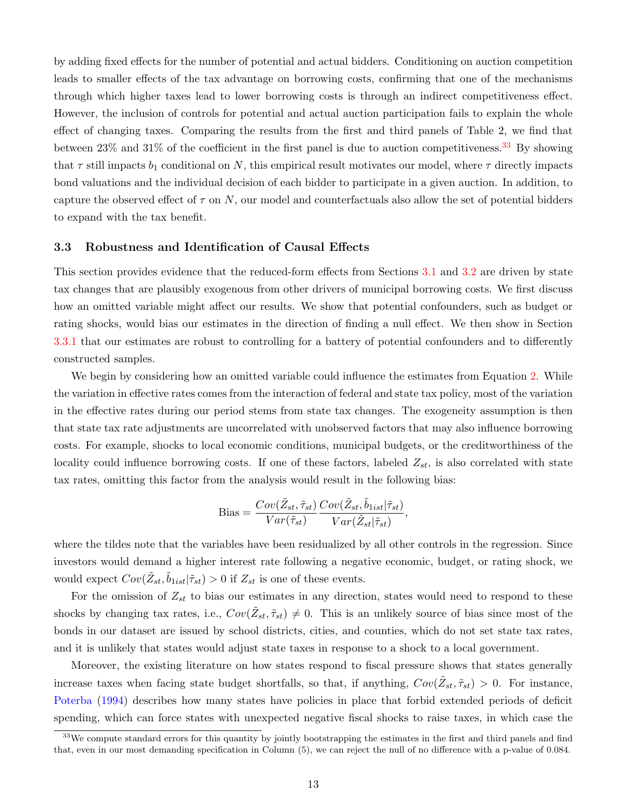by adding fixed effects for the number of potential and actual bidders. Conditioning on auction competition leads to smaller effects of the tax advantage on borrowing costs, confirming that one of the mechanisms through which higher taxes lead to lower borrowing costs is through an indirect competitiveness effect. However, the inclusion of controls for potential and actual auction participation fails to explain the whole effect of changing taxes. Comparing the results from the first and third panels of Table 2, we find that between  $23\%$  and  $31\%$  of the coefficient in the first panel is due to auction competitiveness.<sup>[33](#page-13-1)</sup> By showing that  $\tau$  still impacts  $b_1$  conditional on N, this empirical result motivates our model, where  $\tau$  directly impacts bond valuations and the individual decision of each bidder to participate in a given auction. In addition, to capture the observed effect of  $\tau$  on N, our model and counterfactuals also allow the set of potential bidders to expand with the tax benefit.

#### <span id="page-13-0"></span>3.3 Robustness and Identification of Causal Effects

This section provides evidence that the reduced-form effects from Sections [3.1](#page-10-1) and [3.2](#page-12-0) are driven by state tax changes that are plausibly exogenous from other drivers of municipal borrowing costs. We first discuss how an omitted variable might affect our results. We show that potential confounders, such as budget or rating shocks, would bias our estimates in the direction of finding a null effect. We then show in Section [3.3.1](#page-14-0) that our estimates are robust to controlling for a battery of potential confounders and to differently constructed samples.

We begin by considering how an omitted variable could influence the estimates from Equation [2.](#page-10-2) While the variation in effective rates comes from the interaction of federal and state tax policy, most of the variation in the effective rates during our period stems from state tax changes. The exogeneity assumption is then that state tax rate adjustments are uncorrelated with unobserved factors that may also influence borrowing costs. For example, shocks to local economic conditions, municipal budgets, or the creditworthiness of the locality could influence borrowing costs. If one of these factors, labeled  $Z_{st}$ , is also correlated with state tax rates, omitting this factor from the analysis would result in the following bias:

$$
\text{Bias} = \frac{Cov(\tilde{Z}_{st}, \tilde{\tau}_{st})}{Var(\tilde{\tau}_{st})} \frac{Cov(\tilde{Z}_{st}, \tilde{b}_{1ist} | \tilde{\tau}_{st})}{Var(\tilde{Z}_{st} | \tilde{\tau}_{st})},
$$

where the tildes note that the variables have been residualized by all other controls in the regression. Since investors would demand a higher interest rate following a negative economic, budget, or rating shock, we would expect  $Cov(\tilde{Z}_{st}, \tilde{b}_{1ist} | \tilde{\tau}_{st}) > 0$  if  $Z_{st}$  is one of these events.

For the omission of  $Z_{st}$  to bias our estimates in any direction, states would need to respond to these shocks by changing tax rates, i.e.,  $Cov(\tilde{Z}_{st}, \tilde{\tau}_{st}) \neq 0$ . This is an unlikely source of bias since most of the bonds in our dataset are issued by school districts, cities, and counties, which do not set state tax rates, and it is unlikely that states would adjust state taxes in response to a shock to a local government.

Moreover, the existing literature on how states respond to fiscal pressure shows that states generally increase taxes when facing state budget shortfalls, so that, if anything,  $Cov(\tilde{Z}_{st}, \tilde{\tau}_{st}) > 0$ . For instance, [Poterba](#page-39-19) [\(1994\)](#page-39-19) describes how many states have policies in place that forbid extended periods of deficit spending, which can force states with unexpected negative fiscal shocks to raise taxes, in which case the

<span id="page-13-1"></span><sup>&</sup>lt;sup>33</sup>We compute standard errors for this quantity by jointly bootstrapping the estimates in the first and third panels and find that, even in our most demanding specification in Column (5), we can reject the null of no difference with a p-value of 0.084.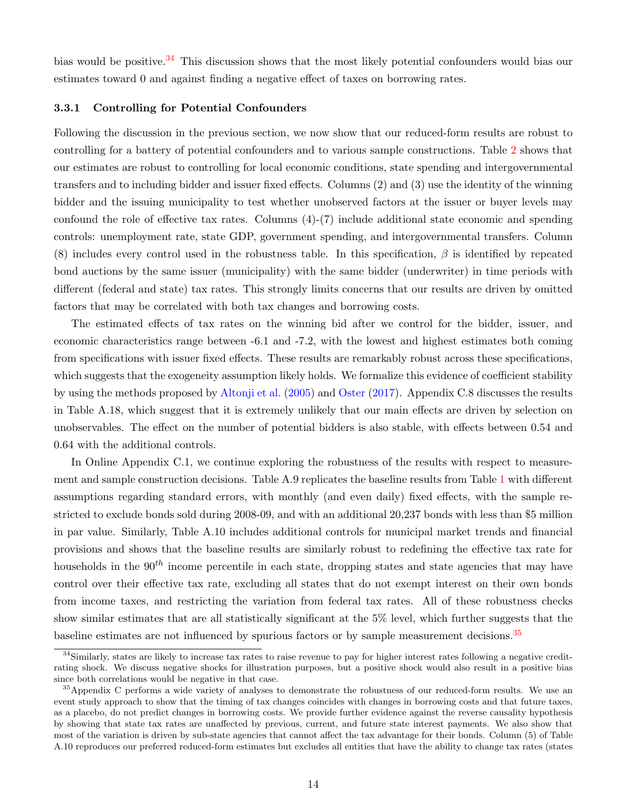bias would be positive.<sup>[34](#page-14-1)</sup> This discussion shows that the most likely potential confounders would bias our estimates toward 0 and against finding a negative effect of taxes on borrowing rates.

# <span id="page-14-0"></span>3.3.1 Controlling for Potential Confounders

Following the discussion in the previous section, we now show that our reduced-form results are robust to controlling for a battery of potential confounders and to various sample constructions. Table [2](#page-15-0) shows that our estimates are robust to controlling for local economic conditions, state spending and intergovernmental transfers and to including bidder and issuer fixed effects. Columns (2) and (3) use the identity of the winning bidder and the issuing municipality to test whether unobserved factors at the issuer or buyer levels may confound the role of effective tax rates. Columns  $(4)-(7)$  include additional state economic and spending controls: unemployment rate, state GDP, government spending, and intergovernmental transfers. Column (8) includes every control used in the robustness table. In this specification,  $\beta$  is identified by repeated bond auctions by the same issuer (municipality) with the same bidder (underwriter) in time periods with different (federal and state) tax rates. This strongly limits concerns that our results are driven by omitted factors that may be correlated with both tax changes and borrowing costs.

The estimated effects of tax rates on the winning bid after we control for the bidder, issuer, and economic characteristics range between -6.1 and -7.2, with the lowest and highest estimates both coming from specifications with issuer fixed effects. These results are remarkably robust across these specifications, which suggests that the exogeneity assumption likely holds. We formalize this evidence of coefficient stability by using the methods proposed by [Altonji et al.](#page-37-17) [\(2005\)](#page-37-17) and [Oster](#page-39-20) [\(2017\)](#page-39-20). Appendix C.8 discusses the results in Table A.18, which suggest that it is extremely unlikely that our main effects are driven by selection on unobservables. The effect on the number of potential bidders is also stable, with effects between 0.54 and 0.64 with the additional controls.

In Online Appendix C.1, we continue exploring the robustness of the results with respect to measurement and sample construction decisions. Table A.9 replicates the baseline results from Table [1](#page-11-0) with different assumptions regarding standard errors, with monthly (and even daily) fixed effects, with the sample restricted to exclude bonds sold during 2008-09, and with an additional 20,237 bonds with less than \$5 million in par value. Similarly, Table A.10 includes additional controls for municipal market trends and financial provisions and shows that the baseline results are similarly robust to redefining the effective tax rate for households in the  $90<sup>th</sup>$  income percentile in each state, dropping states and state agencies that may have control over their effective tax rate, excluding all states that do not exempt interest on their own bonds from income taxes, and restricting the variation from federal tax rates. All of these robustness checks show similar estimates that are all statistically significant at the 5% level, which further suggests that the baseline estimates are not influenced by spurious factors or by sample measurement decisions.<sup>[35](#page-14-2)</sup>

<span id="page-14-1"></span><sup>&</sup>lt;sup>34</sup>Similarly, states are likely to increase tax rates to raise revenue to pay for higher interest rates following a negative creditrating shock. We discuss negative shocks for illustration purposes, but a positive shock would also result in a positive bias since both correlations would be negative in that case.

<span id="page-14-2"></span><sup>&</sup>lt;sup>35</sup>Appendix C performs a wide variety of analyses to demonstrate the robustness of our reduced-form results. We use an event study approach to show that the timing of tax changes coincides with changes in borrowing costs and that future taxes, as a placebo, do not predict changes in borrowing costs. We provide further evidence against the reverse causality hypothesis by showing that state tax rates are unaffected by previous, current, and future state interest payments. We also show that most of the variation is driven by sub-state agencies that cannot affect the tax advantage for their bonds. Column (5) of Table A.10 reproduces our preferred reduced-form estimates but excludes all entities that have the ability to change tax rates (states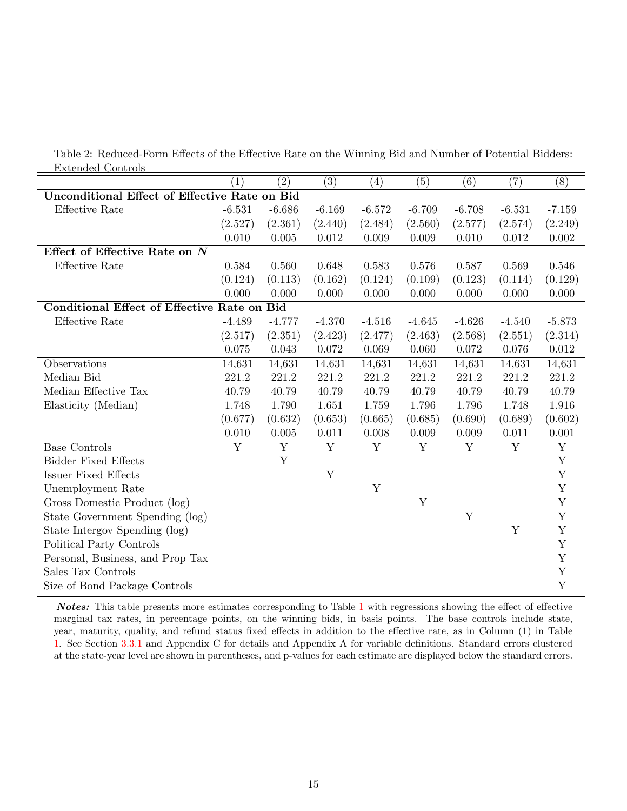<span id="page-15-0"></span>Table 2: Reduced-Form Effects of the Effective Rate on the Winning Bid and Number of Potential Bidders: Extended Controls

|                                                      | $\left(1\right)$        | $\left( 2\right)$ | (3)            | $\left( 4\right)$ | (5)            | (6)                     | (7)            | (8)            |  |
|------------------------------------------------------|-------------------------|-------------------|----------------|-------------------|----------------|-------------------------|----------------|----------------|--|
| <b>Unconditional Effect of Effective Rate on Bid</b> |                         |                   |                |                   |                |                         |                |                |  |
| Effective Rate                                       | $-6.531$                | $-6.686$          | $-6.169$       | $-6.572$          | $-6.709$       | $-6.708$                | $-6.531$       | $-7.159$       |  |
|                                                      | (2.527)                 | (2.361)           | (2.440)        | (2.484)           | (2.560)        | (2.577)                 | (2.574)        | (2.249)        |  |
|                                                      | 0.010                   | 0.005             | 0.012          | 0.009             | 0.009          | 0.010                   | 0.012          | 0.002          |  |
| Effect of Effective Rate on N                        |                         |                   |                |                   |                |                         |                |                |  |
| Effective Rate                                       | 0.584                   | 0.560             | 0.648          | 0.583             | 0.576          | 0.587                   | 0.569          | 0.546          |  |
|                                                      | (0.124)                 | (0.113)           | (0.162)        | (0.124)           | (0.109)        | (0.123)                 | (0.114)        | (0.129)        |  |
|                                                      | 0.000                   | 0.000             | 0.000          | 0.000             | 0.000          | 0.000                   | 0.000          | 0.000          |  |
| Conditional Effect of Effective Rate on Bid          |                         |                   |                |                   |                |                         |                |                |  |
| Effective Rate                                       | $-4.489$                | $-4.777$          | $-4.370$       | $-4.516$          | $-4.645$       | $-4.626$                | $-4.540$       | $-5.873$       |  |
|                                                      | (2.517)                 | (2.351)           | (2.423)        | (2.477)           | (2.463)        | (2.568)                 | (2.551)        | (2.314)        |  |
|                                                      | 0.075                   | 0.043             | 0.072          | 0.069             | 0.060          | 0.072                   | 0.076          | 0.012          |  |
| Observations                                         | 14,631                  | 14,631            | 14,631         | 14,631            | 14,631         | 14,631                  | 14,631         | 14,631         |  |
| Median Bid                                           | 221.2                   | $221.2\,$         | 221.2          | 221.2             | 221.2          | 221.2                   | 221.2          | 221.2          |  |
| Median Effective Tax                                 | 40.79                   | 40.79             | 40.79          | 40.79             | 40.79          | 40.79                   | 40.79          | 40.79          |  |
| Elasticity (Median)                                  | 1.748                   | 1.790             | 1.651          | 1.759             | 1.796          | 1.796                   | 1.748          | 1.916          |  |
|                                                      | (0.677)                 | (0.632)           | (0.653)        | (0.665)           | (0.685)        | (0.690)                 | (0.689)        | (0.602)        |  |
|                                                      | $0.010\,$               | 0.005             | 0.011          | 0.008             | $0.009\,$      | 0.009                   | $0.011\,$      | $0.001\,$      |  |
| <b>Base Controls</b>                                 | $\overline{\mathrm{Y}}$ | $\overline{Y}$    | $\overline{Y}$ | $\overline{Y}$    | $\overline{Y}$ | $\overline{\mathrm{Y}}$ | $\overline{Y}$ | $\overline{Y}$ |  |
| <b>Bidder Fixed Effects</b>                          |                         | $\mathbf Y$       |                |                   |                |                         |                | $\mathbf Y$    |  |
| <b>Issuer Fixed Effects</b>                          |                         |                   | $\mathbf Y$    |                   |                |                         |                | $\mathbf Y$    |  |
| Unemployment Rate                                    |                         |                   |                | Y                 |                |                         |                | $\mathbf Y$    |  |
| Gross Domestic Product (log)                         |                         |                   |                |                   | Y              |                         |                | $\mathbf Y$    |  |
| State Government Spending (log)                      |                         |                   |                |                   |                | Y                       |                | $\mathbf Y$    |  |
| State Intergov Spending (log)                        |                         |                   |                |                   |                |                         | $\mathbf Y$    | $\mathbf Y$    |  |
| Political Party Controls                             |                         |                   |                |                   |                |                         |                | $\mathbf Y$    |  |
| Personal, Business, and Prop Tax                     |                         |                   |                |                   |                |                         |                | $\mathbf Y$    |  |
| Sales Tax Controls                                   |                         |                   |                |                   |                |                         |                | Y              |  |
| Size of Bond Package Controls                        |                         |                   |                |                   |                |                         |                | $\mathbf Y$    |  |

Notes: This table presents more estimates corresponding to Table [1](#page-11-0) with regressions showing the effect of effective marginal tax rates, in percentage points, on the winning bids, in basis points. The base controls include state, year, maturity, quality, and refund status fixed effects in addition to the effective rate, as in Column (1) in Table [1.](#page-11-0) See Section [3.3.1](#page-14-0) and Appendix C for details and Appendix A for variable definitions. Standard errors clustered at the state-year level are shown in parentheses, and p-values for each estimate are displayed below the standard errors.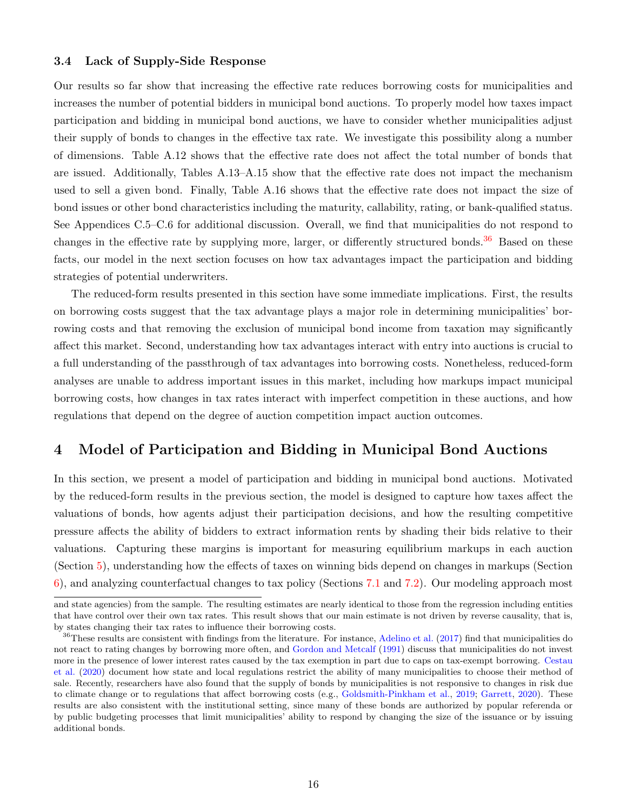# <span id="page-16-3"></span><span id="page-16-0"></span>3.4 Lack of Supply-Side Response

Our results so far show that increasing the effective rate reduces borrowing costs for municipalities and increases the number of potential bidders in municipal bond auctions. To properly model how taxes impact participation and bidding in municipal bond auctions, we have to consider whether municipalities adjust their supply of bonds to changes in the effective tax rate. We investigate this possibility along a number of dimensions. Table A.12 shows that the effective rate does not affect the total number of bonds that are issued. Additionally, Tables A.13–A.15 show that the effective rate does not impact the mechanism used to sell a given bond. Finally, Table A.16 shows that the effective rate does not impact the size of bond issues or other bond characteristics including the maturity, callability, rating, or bank-qualified status. See Appendices C.5–C.6 for additional discussion. Overall, we find that municipalities do not respond to changes in the effective rate by supplying more, larger, or differently structured bonds.<sup>[36](#page-16-2)</sup> Based on these facts, our model in the next section focuses on how tax advantages impact the participation and bidding strategies of potential underwriters.

The reduced-form results presented in this section have some immediate implications. First, the results on borrowing costs suggest that the tax advantage plays a major role in determining municipalities' borrowing costs and that removing the exclusion of municipal bond income from taxation may significantly affect this market. Second, understanding how tax advantages interact with entry into auctions is crucial to a full understanding of the passthrough of tax advantages into borrowing costs. Nonetheless, reduced-form analyses are unable to address important issues in this market, including how markups impact municipal borrowing costs, how changes in tax rates interact with imperfect competition in these auctions, and how regulations that depend on the degree of auction competition impact auction outcomes.

# <span id="page-16-1"></span>4 Model of Participation and Bidding in Municipal Bond Auctions

In this section, we present a model of participation and bidding in municipal bond auctions. Motivated by the reduced-form results in the previous section, the model is designed to capture how taxes affect the valuations of bonds, how agents adjust their participation decisions, and how the resulting competitive pressure affects the ability of bidders to extract information rents by shading their bids relative to their valuations. Capturing these margins is important for measuring equilibrium markups in each auction (Section [5\)](#page-20-0), understanding how the effects of taxes on winning bids depend on changes in markups (Section [6\)](#page-24-0), and analyzing counterfactual changes to tax policy (Sections [7.1](#page-29-0) and [7.2\)](#page-32-0). Our modeling approach most

and state agencies) from the sample. The resulting estimates are nearly identical to those from the regression including entities that have control over their own tax rates. This result shows that our main estimate is not driven by reverse causality, that is, by states changing their tax rates to influence their borrowing costs.

<span id="page-16-2"></span> $36$ These results are consistent with findings from the literature. For instance, [Adelino et al.](#page-37-1) [\(2017\)](#page-37-1) find that municipalities do not react to rating changes by borrowing more often, and [Gordon and Metcalf](#page-38-17) [\(1991\)](#page-38-17) discuss that municipalities do not invest more in the presence of lower interest rates caused by the tax exemption in part due to caps on tax-exempt borrowing. [Cestau](#page-37-18) [et al.](#page-37-18) [\(2020\)](#page-37-18) document how state and local regulations restrict the ability of many municipalities to choose their method of sale. Recently, researchers have also found that the supply of bonds by municipalities is not responsive to changes in risk due to climate change or to regulations that affect borrowing costs (e.g., [Goldsmith-Pinkham et al.,](#page-38-18) [2019;](#page-38-18) [Garrett,](#page-38-19) [2020\)](#page-38-19). These results are also consistent with the institutional setting, since many of these bonds are authorized by popular referenda or by public budgeting processes that limit municipalities' ability to respond by changing the size of the issuance or by issuing additional bonds.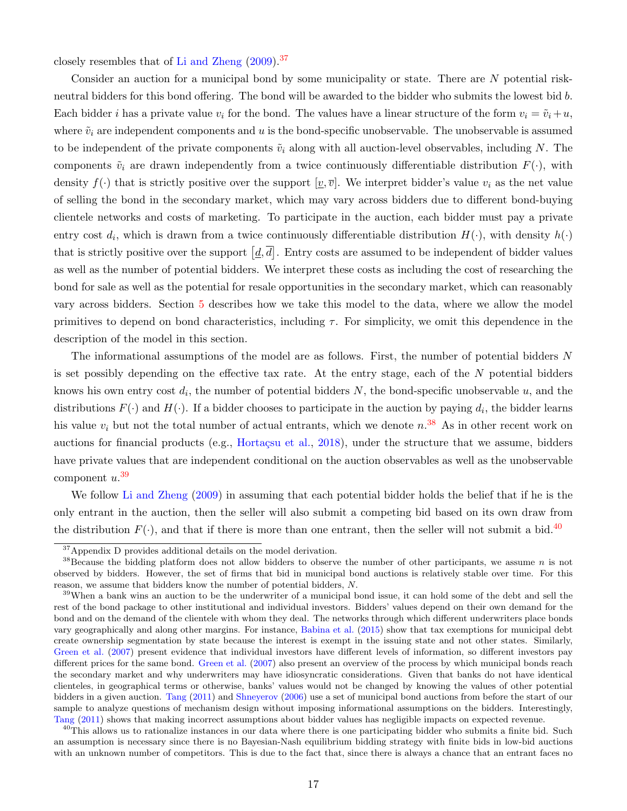closely resembles that of [Li and Zheng](#page-39-3) [\(2009\)](#page-39-3).[37](#page-17-0)

Consider an auction for a municipal bond by some municipality or state. There are N potential riskneutral bidders for this bond offering. The bond will be awarded to the bidder who submits the lowest bid b. Each bidder i has a private value  $v_i$  for the bond. The values have a linear structure of the form  $v_i = \tilde{v}_i + u$ , where  $\tilde{v}_i$  are independent components and u is the bond-specific unobservable. The unobservable is assumed to be independent of the private components  $\tilde{v}_i$  along with all auction-level observables, including N. The components  $\tilde{v}_i$  are drawn independently from a twice continuously differentiable distribution  $F(\cdot)$ , with density  $f(\cdot)$  that is strictly positive over the support  $[\underline{v}, \overline{v}]$ . We interpret bidder's value  $v_i$  as the net value of selling the bond in the secondary market, which may vary across bidders due to different bond-buying clientele networks and costs of marketing. To participate in the auction, each bidder must pay a private entry cost  $d_i$ , which is drawn from a twice continuously differentiable distribution  $H(\cdot)$ , with density  $h(\cdot)$ that is strictly positive over the support  $[\underline{d}, \overline{d}]$ . Entry costs are assumed to be independent of bidder values as well as the number of potential bidders. We interpret these costs as including the cost of researching the bond for sale as well as the potential for resale opportunities in the secondary market, which can reasonably vary across bidders. Section [5](#page-20-0) describes how we take this model to the data, where we allow the model primitives to depend on bond characteristics, including  $\tau$ . For simplicity, we omit this dependence in the description of the model in this section.

The informational assumptions of the model are as follows. First, the number of potential bidders N is set possibly depending on the effective tax rate. At the entry stage, each of the N potential bidders knows his own entry cost  $d_i$ , the number of potential bidders N, the bond-specific unobservable u, and the distributions  $F(\cdot)$  and  $H(\cdot)$ . If a bidder chooses to participate in the auction by paying  $d_i$ , the bidder learns his value  $v_i$  but not the total number of actual entrants, which we denote  $n^{.38}$  $n^{.38}$  $n^{.38}$  As in other recent work on auctions for financial products (e.g., Hortaçsu et al., [2018\)](#page-38-2), under the structure that we assume, bidders have private values that are independent conditional on the auction observables as well as the unobservable component  $u.$ <sup>[39](#page-17-2)</sup>

We follow [Li and Zheng](#page-39-3) [\(2009\)](#page-39-3) in assuming that each potential bidder holds the belief that if he is the only entrant in the auction, then the seller will also submit a competing bid based on its own draw from the distribution  $F(\cdot)$ , and that if there is more than one entrant, then the seller will not submit a bid.<sup>[40](#page-17-3)</sup>

<span id="page-17-1"></span><span id="page-17-0"></span><sup>37</sup>Appendix D provides additional details on the model derivation.

 $38$ Because the bidding platform does not allow bidders to observe the number of other participants, we assume n is not observed by bidders. However, the set of firms that bid in municipal bond auctions is relatively stable over time. For this reason, we assume that bidders know the number of potential bidders, N.

<span id="page-17-2"></span><sup>&</sup>lt;sup>39</sup>When a bank wins an auction to be the underwriter of a municipal bond issue, it can hold some of the debt and sell the rest of the bond package to other institutional and individual investors. Bidders' values depend on their own demand for the bond and on the demand of the clientele with whom they deal. The networks through which different underwriters place bonds vary geographically and along other margins. For instance, [Babina et al.](#page-37-19) [\(2015\)](#page-37-19) show that tax exemptions for municipal debt create ownership segmentation by state because the interest is exempt in the issuing state and not other states. Similarly, [Green et al.](#page-38-9) [\(2007\)](#page-38-9) present evidence that individual investors have different levels of information, so different investors pay different prices for the same bond. [Green et al.](#page-38-9) [\(2007\)](#page-38-9) also present an overview of the process by which municipal bonds reach the secondary market and why underwriters may have idiosyncratic considerations. Given that banks do not have identical clienteles, in geographical terms or otherwise, banks' values would not be changed by knowing the values of other potential bidders in a given auction. [Tang](#page-39-4) [\(2011\)](#page-39-4) and [Shneyerov](#page-39-5) [\(2006\)](#page-39-5) use a set of municipal bond auctions from before the start of our sample to analyze questions of mechanism design without imposing informational assumptions on the bidders. Interestingly, [Tang](#page-39-4) [\(2011\)](#page-39-4) shows that making incorrect assumptions about bidder values has negligible impacts on expected revenue.

<span id="page-17-3"></span> $^{40}$ This allows us to rationalize instances in our data where there is one participating bidder who submits a finite bid. Such an assumption is necessary since there is no Bayesian-Nash equilibrium bidding strategy with finite bids in low-bid auctions with an unknown number of competitors. This is due to the fact that, since there is always a chance that an entrant faces no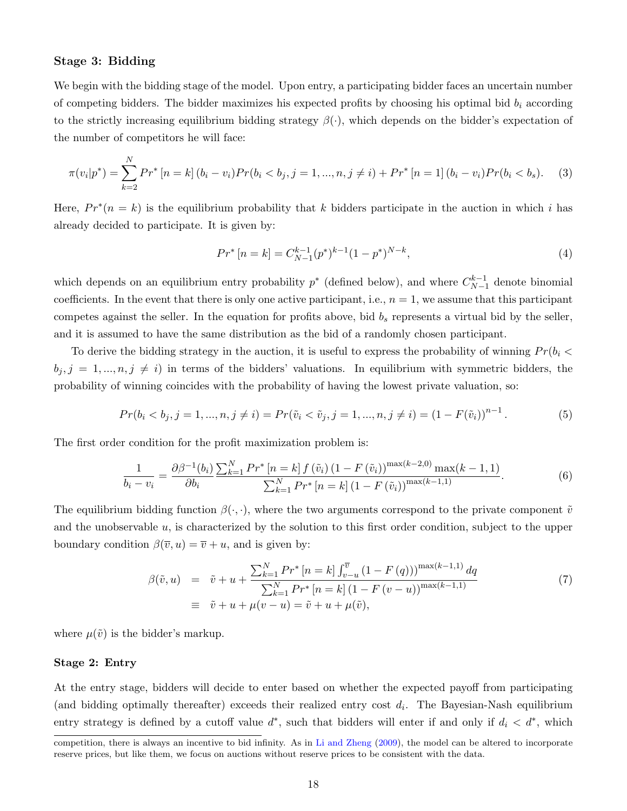# Stage 3: Bidding

We begin with the bidding stage of the model. Upon entry, a participating bidder faces an uncertain number of competing bidders. The bidder maximizes his expected profits by choosing his optimal bid  $b_i$  according to the strictly increasing equilibrium bidding strategy  $\beta(\cdot)$ , which depends on the bidder's expectation of the number of competitors he will face:

$$
\pi(v_i|p^*) = \sum_{k=2}^{N} Pr^* \left[ n = k \right] (b_i - v_i) Pr(b_i < b_j, j = 1, \dots, n, j \neq i) + Pr^* \left[ n = 1 \right] (b_i - v_i) Pr(b_i < b_s). \tag{3}
$$

Here,  $Pr^*(n = k)$  is the equilibrium probability that k bidders participate in the auction in which i has already decided to participate. It is given by:

$$
Pr^*[n=k] = C_{N-1}^{k-1}(p^*)^{k-1}(1-p^*)^{N-k},\tag{4}
$$

which depends on an equilibrium entry probability  $p^*$  (defined below), and where  $C_{N-1}^{k-1}$  $N-1$  denote binomial coefficients. In the event that there is only one active participant, i.e.,  $n = 1$ , we assume that this participant competes against the seller. In the equation for profits above, bid  $b_s$  represents a virtual bid by the seller, and it is assumed to have the same distribution as the bid of a randomly chosen participant.

To derive the bidding strategy in the auction, it is useful to express the probability of winning  $Pr(b_i \leq$  $b_j$ ,  $j = 1, ..., n, j \neq i$ ) in terms of the bidders' valuations. In equilibrium with symmetric bidders, the probability of winning coincides with the probability of having the lowest private valuation, so:

$$
Pr(b_i < b_j, j = 1, \dots, n, j \neq i) = Pr(\tilde{v}_i < \tilde{v}_j, j = 1, \dots, n, j \neq i) = (1 - F(\tilde{v}_i))^{n-1}.
$$
\n<sup>(5)</sup>

The first order condition for the profit maximization problem is:

$$
\frac{1}{b_i - v_i} = \frac{\partial \beta^{-1}(b_i)}{\partial b_i} \frac{\sum_{k=1}^N Pr^* \left[ n = k \right] f(\tilde{v}_i) \left( 1 - F(\tilde{v}_i) \right)^{\max(k-2,0)} \max(k-1,1)}{\sum_{k=1}^N Pr^* \left[ n = k \right] \left( 1 - F(\tilde{v}_i) \right)^{\max(k-1,1)}}.
$$
(6)

The equilibrium bidding function  $\beta(\cdot,\cdot)$ , where the two arguments correspond to the private component  $\tilde{v}$ and the unobservable  $u$ , is characterized by the solution to this first order condition, subject to the upper boundary condition  $\beta(\overline{v}, u) = \overline{v} + u$ , and is given by:

<span id="page-18-0"></span>
$$
\beta(\tilde{v}, u) = \tilde{v} + u + \frac{\sum_{k=1}^{N} Pr^* [n = k] \int_{v-u}^{\overline{v}} (1 - F(q)))^{\max(k-1,1)} dq}{\sum_{k=1}^{N} Pr^* [n = k] (1 - F(v-u))^{\max(k-1,1)}}
$$
\n
$$
\equiv \tilde{v} + u + \mu(v - u) = \tilde{v} + u + \mu(\tilde{v}), \tag{7}
$$

where  $\mu(\tilde{v})$  is the bidder's markup.

#### Stage 2: Entry

At the entry stage, bidders will decide to enter based on whether the expected payoff from participating (and bidding optimally thereafter) exceeds their realized entry cost  $d_i$ . The Bayesian-Nash equilibrium entry strategy is defined by a cutoff value  $d^*$ , such that bidders will enter if and only if  $d_i < d^*$ , which

competition, there is always an incentive to bid infinity. As in [Li and Zheng](#page-39-3) [\(2009\)](#page-39-3), the model can be altered to incorporate reserve prices, but like them, we focus on auctions without reserve prices to be consistent with the data.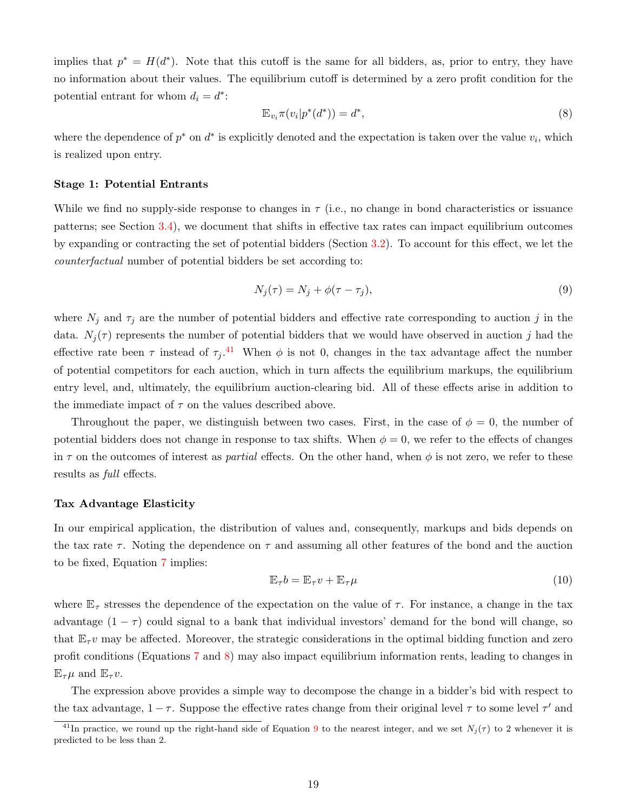implies that  $p^* = H(d^*)$ . Note that this cutoff is the same for all bidders, as, prior to entry, they have no information about their values. The equilibrium cutoff is determined by a zero profit condition for the potential entrant for whom  $d_i = d^*$ :

<span id="page-19-1"></span>
$$
\mathbb{E}_{v_i} \pi(v_i|p^*(d^*)) = d^*,\tag{8}
$$

where the dependence of  $p^*$  on  $d^*$  is explicitly denoted and the expectation is taken over the value  $v_i$ , which is realized upon entry.

## Stage 1: Potential Entrants

While we find no supply-side response to changes in  $\tau$  (i.e., no change in bond characteristics or issuance patterns; see Section [3.4\)](#page-16-0), we document that shifts in effective tax rates can impact equilibrium outcomes by expanding or contracting the set of potential bidders (Section [3.2\)](#page-12-0). To account for this effect, we let the counterfactual number of potential bidders be set according to:

<span id="page-19-2"></span>
$$
N_j(\tau) = N_j + \phi(\tau - \tau_j),\tag{9}
$$

where  $N_j$  and  $\tau_j$  are the number of potential bidders and effective rate corresponding to auction j in the data.  $N_j(\tau)$  represents the number of potential bidders that we would have observed in auction j had the effective rate been  $\tau$  instead of  $\tau_j$ .<sup>[41](#page-19-0)</sup> When  $\phi$  is not 0, changes in the tax advantage affect the number of potential competitors for each auction, which in turn affects the equilibrium markups, the equilibrium entry level, and, ultimately, the equilibrium auction-clearing bid. All of these effects arise in addition to the immediate impact of  $\tau$  on the values described above.

Throughout the paper, we distinguish between two cases. First, in the case of  $\phi = 0$ , the number of potential bidders does not change in response to tax shifts. When  $\phi = 0$ , we refer to the effects of changes in  $\tau$  on the outcomes of interest as *partial* effects. On the other hand, when  $\phi$  is not zero, we refer to these results as full effects.

#### Tax Advantage Elasticity

In our empirical application, the distribution of values and, consequently, markups and bids depends on the tax rate  $\tau$ . Noting the dependence on  $\tau$  and assuming all other features of the bond and the auction to be fixed, Equation [7](#page-18-0) implies:

$$
\mathbb{E}_{\tau}b = \mathbb{E}_{\tau}v + \mathbb{E}_{\tau}\mu\tag{10}
$$

where  $\mathbb{E}_{\tau}$  stresses the dependence of the expectation on the value of  $\tau$ . For instance, a change in the tax advantage  $(1 - \tau)$  could signal to a bank that individual investors' demand for the bond will change, so that  $\mathbb{E}_{\tau}v$  may be affected. Moreover, the strategic considerations in the optimal bidding function and zero profit conditions (Equations [7](#page-18-0) and [8\)](#page-19-1) may also impact equilibrium information rents, leading to changes in  $\mathbb{E}_{\tau}\mu$  and  $\mathbb{E}_{\tau}v$ .

The expression above provides a simple way to decompose the change in a bidder's bid with respect to the tax advantage,  $1 - \tau$ . Suppose the effective rates change from their original level  $\tau$  to some level  $\tau'$  and

<span id="page-19-0"></span><sup>&</sup>lt;sup>41</sup>In practice, we round up the right-hand side of Equation [9](#page-19-2) to the nearest integer, and we set  $N_i(\tau)$  to 2 whenever it is predicted to be less than 2.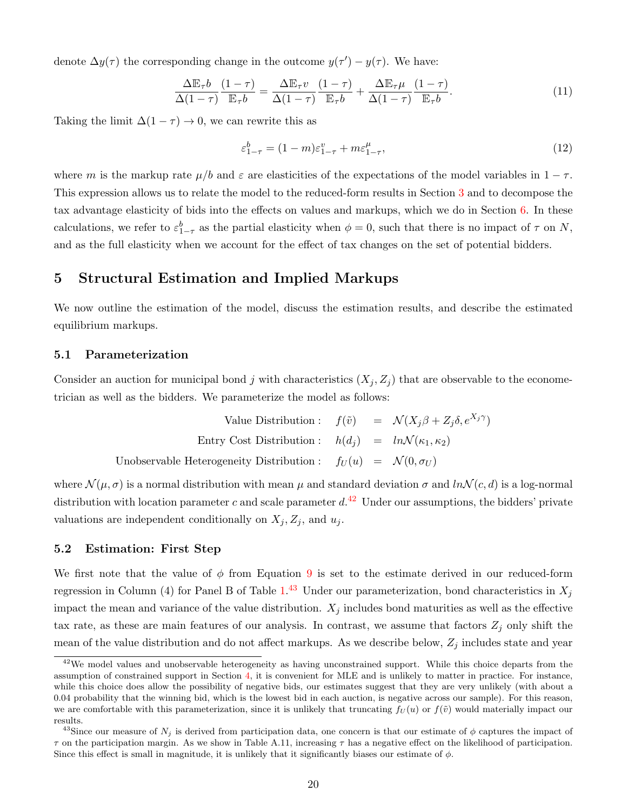denote  $\Delta y(\tau)$  the corresponding change in the outcome  $y(\tau') - y(\tau)$ . We have:

$$
\frac{\Delta \mathbb{E}_{\tau} b}{\Delta (1-\tau)} \frac{(1-\tau)}{\mathbb{E}_{\tau} b} = \frac{\Delta \mathbb{E}_{\tau} v}{\Delta (1-\tau)} \frac{(1-\tau)}{\mathbb{E}_{\tau} b} + \frac{\Delta \mathbb{E}_{\tau} \mu}{\Delta (1-\tau)} \frac{(1-\tau)}{\mathbb{E}_{\tau} b}.
$$
(11)

Taking the limit  $\Delta(1-\tau) \to 0$ , we can rewrite this as

<span id="page-20-3"></span>
$$
\varepsilon_{1-\tau}^b = (1-m)\varepsilon_{1-\tau}^v + m\varepsilon_{1-\tau}^\mu,\tag{12}
$$

where m is the markup rate  $\mu/b$  and  $\varepsilon$  are elasticities of the expectations of the model variables in  $1-\tau$ . This expression allows us to relate the model to the reduced-form results in Section [3](#page-10-0) and to decompose the tax advantage elasticity of bids into the effects on values and markups, which we do in Section [6.](#page-24-0) In these calculations, we refer to  $\varepsilon_{1-\tau}^b$  as the partial elasticity when  $\phi = 0$ , such that there is no impact of  $\tau$  on N, and as the full elasticity when we account for the effect of tax changes on the set of potential bidders.

# <span id="page-20-0"></span>5 Structural Estimation and Implied Markups

We now outline the estimation of the model, discuss the estimation results, and describe the estimated equilibrium markups.

# 5.1 Parameterization

Consider an auction for municipal bond j with characteristics  $(X_j, Z_j)$  that are observable to the econometrician as well as the bidders. We parameterize the model as follows:

Value Distribution: 
$$
f(\tilde{v}) = \mathcal{N}(X_j \beta + Z_j \delta, e^{X_j \gamma})
$$
  
Entry Cost Distribution:  $h(d_j) = ln \mathcal{N}(\kappa_1, \kappa_2)$   
Unobservable Heterogeneity Distribution:  $f_U(u) = \mathcal{N}(0, \sigma_U)$ 

where  $\mathcal{N}(\mu,\sigma)$  is a normal distribution with mean  $\mu$  and standard deviation  $\sigma$  and  $ln \mathcal{N}(c, d)$  is a log-normal distribution with location parameter c and scale parameter  $d<sup>42</sup>$  $d<sup>42</sup>$  $d<sup>42</sup>$  Under our assumptions, the bidders' private valuations are independent conditionally on  $X_j, Z_j$ , and  $u_j$ .

# 5.2 Estimation: First Step

We first note that the value of  $\phi$  from Equation [9](#page-19-2) is set to the estimate derived in our reduced-form regression in Column (4) for Panel B of Table [1.](#page-11-0)<sup>[43](#page-20-2)</sup> Under our parameterization, bond characteristics in  $X_j$ impact the mean and variance of the value distribution.  $X_j$  includes bond maturities as well as the effective tax rate, as these are main features of our analysis. In contrast, we assume that factors  $Z_i$  only shift the mean of the value distribution and do not affect markups. As we describe below,  $Z_j$  includes state and year

<span id="page-20-1"></span><sup>&</sup>lt;sup>42</sup>We model values and unobservable heterogeneity as having unconstrained support. While this choice departs from the assumption of constrained support in Section [4,](#page-16-1) it is convenient for MLE and is unlikely to matter in practice. For instance, while this choice does allow the possibility of negative bids, our estimates suggest that they are very unlikely (with about a 0.04 probability that the winning bid, which is the lowest bid in each auction, is negative across our sample). For this reason, we are comfortable with this parameterization, since it is unlikely that truncating  $f_U(u)$  or  $f(\tilde{v})$  would materially impact our results.

<span id="page-20-2"></span><sup>&</sup>lt;sup>43</sup>Since our measure of  $N_j$  is derived from participation data, one concern is that our estimate of  $\phi$  captures the impact of  $\tau$  on the participation margin. As we show in Table A.11, increasing  $\tau$  has a negative effect on the likelihood of participation. Since this effect is small in magnitude, it is unlikely that it significantly biases our estimate of  $\phi$ .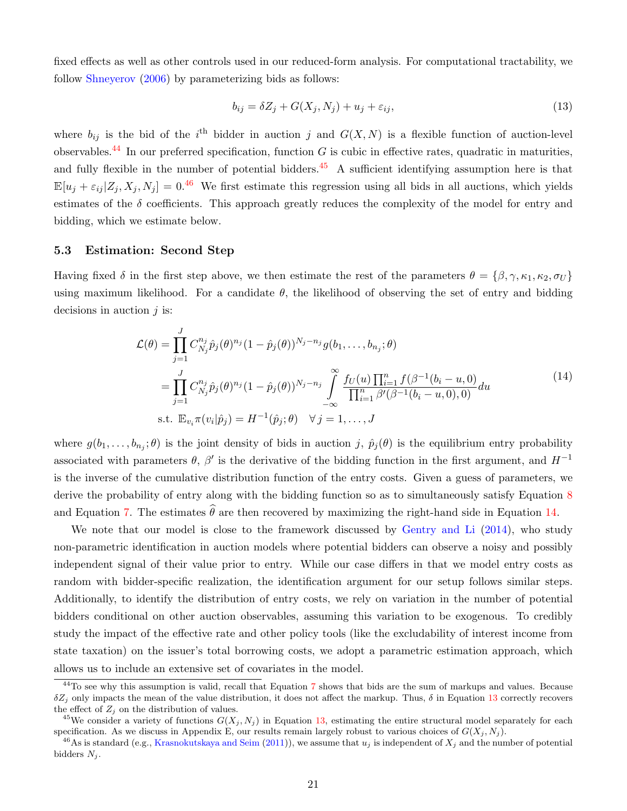fixed effects as well as other controls used in our reduced-form analysis. For computational tractability, we follow [Shneyerov](#page-39-5) [\(2006\)](#page-39-5) by parameterizing bids as follows:

<span id="page-21-4"></span>
$$
b_{ij} = \delta Z_j + G(X_j, N_j) + u_j + \varepsilon_{ij},\tag{13}
$$

where  $b_{ij}$  is the bid of the i<sup>th</sup> bidder in auction j and  $G(X, N)$  is a flexible function of auction-level observables.<sup>[44](#page-21-0)</sup> In our preferred specification, function G is cubic in effective rates, quadratic in maturities, and fully flexible in the number of potential bidders.<sup>[45](#page-21-1)</sup> A sufficient identifying assumption here is that  $\mathbb{E}[u_i + \varepsilon_{ij} | Z_i, X_j, N_j] = 0^{46}$  $\mathbb{E}[u_i + \varepsilon_{ij} | Z_i, X_j, N_j] = 0^{46}$  $\mathbb{E}[u_i + \varepsilon_{ij} | Z_i, X_j, N_j] = 0^{46}$  We first estimate this regression using all bids in all auctions, which yields estimates of the  $\delta$  coefficients. This approach greatly reduces the complexity of the model for entry and bidding, which we estimate below.

# 5.3 Estimation: Second Step

Having fixed  $\delta$  in the first step above, we then estimate the rest of the parameters  $\theta = {\beta, \gamma, \kappa_1, \kappa_2, \sigma_U}$ using maximum likelihood. For a candidate  $\theta$ , the likelihood of observing the set of entry and bidding decisions in auction  $j$  is:

<span id="page-21-3"></span>
$$
\mathcal{L}(\theta) = \prod_{j=1}^{J} C_{N_j}^{n_j} \hat{p}_j(\theta)^{n_j} (1 - \hat{p}_j(\theta))^{N_j - n_j} g(b_1, \dots, b_{n_j}; \theta)
$$
\n
$$
= \prod_{j=1}^{J} C_{N_j}^{n_j} \hat{p}_j(\theta)^{n_j} (1 - \hat{p}_j(\theta))^{N_j - n_j} \int_{-\infty}^{\infty} \frac{f_U(u) \prod_{i=1}^{n} f(\beta^{-1}(b_i - u, 0))}{\prod_{i=1}^{n} \beta'(\beta^{-1}(b_i - u, 0), 0)} du
$$
\ns.t.  $\mathbb{E}_{v_i} \pi(v_i | \hat{p}_j) = H^{-1}(\hat{p}_j; \theta) \quad \forall j = 1, \dots, J$ \n
$$
(14)
$$

where  $g(b_1,\ldots,b_{n_j};\theta)$  is the joint density of bids in auction j,  $\hat{p}_j(\theta)$  is the equilibrium entry probability associated with parameters  $\theta$ ,  $\beta'$  is the derivative of the bidding function in the first argument, and  $H^{-1}$ is the inverse of the cumulative distribution function of the entry costs. Given a guess of parameters, we derive the probability of entry along with the bidding function so as to simultaneously satisfy Equation [8](#page-19-1) and Equation [7.](#page-18-0) The estimates  $\hat{\theta}$  are then recovered by maximizing the right-hand side in Equation [14.](#page-21-3)

We note that our model is close to the framework discussed by [Gentry and Li](#page-38-20)  $(2014)$ , who study non-parametric identification in auction models where potential bidders can observe a noisy and possibly independent signal of their value prior to entry. While our case differs in that we model entry costs as random with bidder-specific realization, the identification argument for our setup follows similar steps. Additionally, to identify the distribution of entry costs, we rely on variation in the number of potential bidders conditional on other auction observables, assuming this variation to be exogenous. To credibly study the impact of the effective rate and other policy tools (like the excludability of interest income from state taxation) on the issuer's total borrowing costs, we adopt a parametric estimation approach, which allows us to include an extensive set of covariates in the model.

<span id="page-21-0"></span> $44$ To see why this assumption is valid, recall that Equation [7](#page-18-0) shows that bids are the sum of markups and values. Because  $\delta Z_i$  only impacts the mean of the value distribution, it does not affect the markup. Thus,  $\delta$  in Equation [13](#page-21-4) correctly recovers the effect of  $Z_j$  on the distribution of values.

<span id="page-21-1"></span><sup>&</sup>lt;sup>45</sup>We consider a variety of functions  $G(X_i, N_i)$  in Equation [13,](#page-21-4) estimating the entire structural model separately for each specification. As we discuss in Appendix E, our results remain largely robust to various choices of  $G(X_i, N_i)$ .

<span id="page-21-2"></span><sup>&</sup>lt;sup>46</sup>As is standard (e.g., [Krasnokutskaya and Seim](#page-38-13) [\(2011\)](#page-38-13)), we assume that  $u_j$  is independent of  $X_j$  and the number of potential bidders  $N_j$ .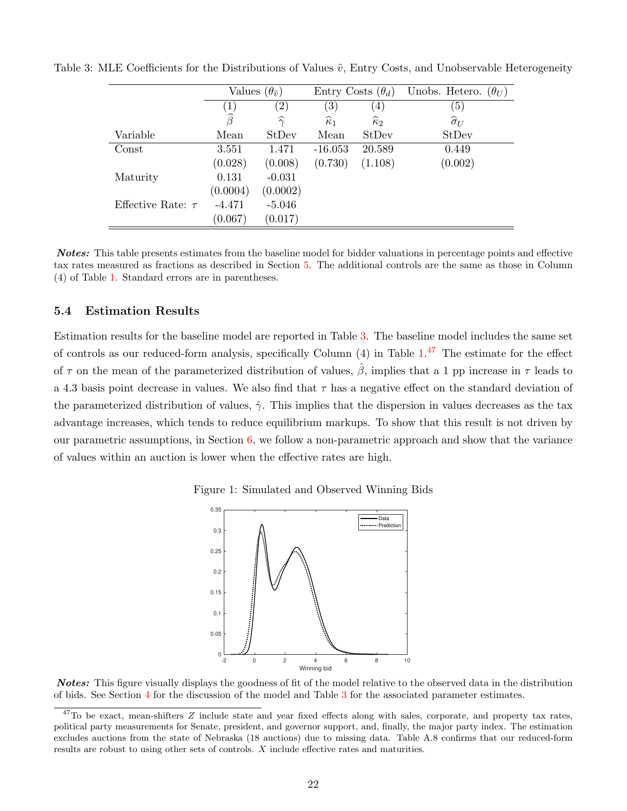<span id="page-22-0"></span>

|                        | Values $(\theta_{\tilde{v}})$ |                    | Entry Costs $(\theta_d)$ |                      | Unobs. Hetero.<br>$(\theta_U)$ |
|------------------------|-------------------------------|--------------------|--------------------------|----------------------|--------------------------------|
|                        | $\left(1\right)$              | $\left( 2\right)$  | $\left( 3\right)$        | (4)                  | (5)                            |
|                        | $\widehat{\beta}$             | $\widehat{\gamma}$ | $\widehat{\kappa}_1$     | $\widehat{\kappa}_2$ | $\widehat{\sigma}_U$           |
| Variable               | Mean                          | StDev              | Mean                     | StDev                | StDev                          |
| Const                  | 3.551                         | 1.471              | $-16.053$                | 20.589               | 0.449                          |
|                        | (0.028)                       | (0.008)            | (0.730)                  | (1.108)              | (0.002)                        |
| Maturity               | 0.131                         | $-0.031$           |                          |                      |                                |
|                        | (0.0004)                      | (0.0002)           |                          |                      |                                |
| Effective Rate: $\tau$ | $-4.471$                      | $-5.046$           |                          |                      |                                |
|                        | (0.067)                       | (0.017)            |                          |                      |                                |

Table 3: MLE Coefficients for the Distributions of Values  $\tilde{v}$ , Entry Costs, and Unobservable Heterogeneity

Notes: This table presents estimates from the baseline model for bidder valuations in percentage points and effective tax rates measured as fractions as described in Section [5.](#page-20-0) The additional controls are the same as those in Column (4) of Table [1.](#page-11-0) Standard errors are in parentheses.

## <span id="page-22-3"></span>5.4 Estimation Results

Estimation results for the baseline model are reported in Table [3.](#page-22-0) The baseline model includes the same set of controls as our reduced-form analysis, specifically Column (4) in Table [1.](#page-11-0)<sup>[47](#page-22-1)</sup> The estimate for the effect of  $\tau$  on the mean of the parameterized distribution of values,  $\hat{\beta}$ , implies that a 1 pp increase in  $\tau$  leads to a 4.3 basis point decrease in values. We also find that  $\tau$  has a negative effect on the standard deviation of the parameterized distribution of values,  $\hat{\gamma}$ . This implies that the dispersion in values decreases as the tax advantage increases, which tends to reduce equilibrium markups. To show that this result is not driven by our parametric assumptions, in Section  $6$ , we follow a non-parametric approach and show that the variance of values within an auction is lower when the effective rates are high.



<span id="page-22-2"></span>

**Notes:** This figure visually displays the goodness of fit of the model relative to the observed data in the distribution of bids. See Section [4](#page-16-1) for the discussion of the model and Table [3](#page-22-0) for the associated parameter estimates.

<span id="page-22-1"></span> $47$ To be exact, mean-shifters  $Z$  include state and year fixed effects along with sales, corporate, and property tax rates, political party measurements for Senate, president, and governor support, and, finally, the major party index. The estimation excludes auctions from the state of Nebraska (18 auctions) due to missing data. Table A.8 confirms that our reduced-form results are robust to using other sets of controls. X include effective rates and maturities.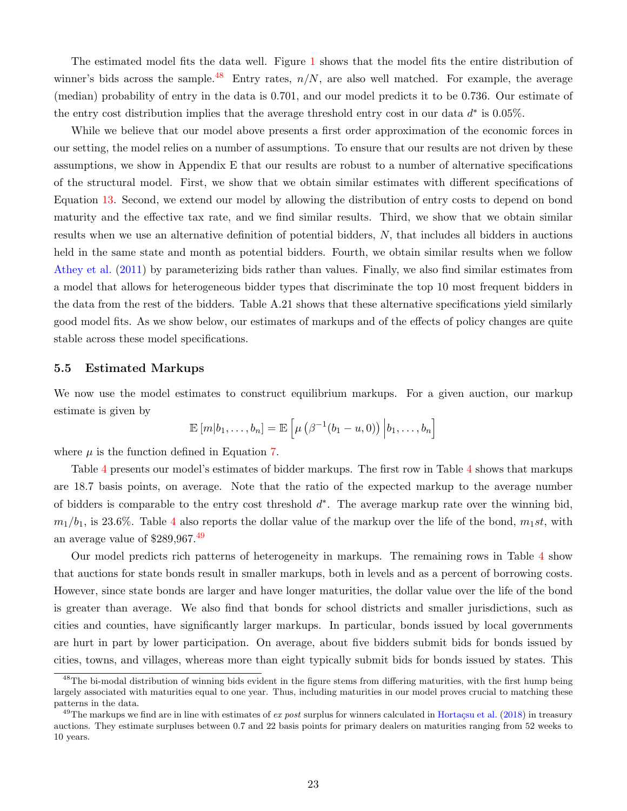The estimated model fits the data well. Figure [1](#page-22-2) shows that the model fits the entire distribution of winner's bids across the sample.<sup>[48](#page-23-0)</sup> Entry rates,  $n/N$ , are also well matched. For example, the average (median) probability of entry in the data is 0.701, and our model predicts it to be 0.736. Our estimate of the entry cost distribution implies that the average threshold entry cost in our data  $d^*$  is 0.05%.

While we believe that our model above presents a first order approximation of the economic forces in our setting, the model relies on a number of assumptions. To ensure that our results are not driven by these assumptions, we show in Appendix E that our results are robust to a number of alternative specifications of the structural model. First, we show that we obtain similar estimates with different specifications of Equation [13.](#page-21-4) Second, we extend our model by allowing the distribution of entry costs to depend on bond maturity and the effective tax rate, and we find similar results. Third, we show that we obtain similar results when we use an alternative definition of potential bidders, N, that includes all bidders in auctions held in the same state and month as potential bidders. Fourth, we obtain similar results when we follow [Athey et al.](#page-37-13) [\(2011\)](#page-37-13) by parameterizing bids rather than values. Finally, we also find similar estimates from a model that allows for heterogeneous bidder types that discriminate the top 10 most frequent bidders in the data from the rest of the bidders. Table A.21 shows that these alternative specifications yield similarly good model fits. As we show below, our estimates of markups and of the effects of policy changes are quite stable across these model specifications.

## 5.5 Estimated Markups

We now use the model estimates to construct equilibrium markups. For a given auction, our markup estimate is given by

$$
\mathbb{E}\left[m|b_1,\ldots,b_n\right] = \mathbb{E}\left[\mu\left(\beta^{-1}(b_1-u,0)\right)\Big|b_1,\ldots,b_n\right]
$$

where  $\mu$  is the function defined in Equation [7.](#page-18-0)

Table [4](#page-24-1) presents our model's estimates of bidder markups. The first row in Table [4](#page-24-1) shows that markups are 18.7 basis points, on average. Note that the ratio of the expected markup to the average number of bidders is comparable to the entry cost threshold  $d^*$ . The average markup rate over the winning bid,  $m_1/b_1$ , is 23.6%. Table [4](#page-24-1) also reports the dollar value of the markup over the life of the bond,  $m_1st$ , with an average value of \$289,967.[49](#page-23-1)

Our model predicts rich patterns of heterogeneity in markups. The remaining rows in Table [4](#page-24-1) show that auctions for state bonds result in smaller markups, both in levels and as a percent of borrowing costs. However, since state bonds are larger and have longer maturities, the dollar value over the life of the bond is greater than average. We also find that bonds for school districts and smaller jurisdictions, such as cities and counties, have significantly larger markups. In particular, bonds issued by local governments are hurt in part by lower participation. On average, about five bidders submit bids for bonds issued by cities, towns, and villages, whereas more than eight typically submit bids for bonds issued by states. This

<span id="page-23-0"></span><sup>&</sup>lt;sup>48</sup>The bi-modal distribution of winning bids evident in the figure stems from differing maturities, with the first hump being largely associated with maturities equal to one year. Thus, including maturities in our model proves crucial to matching these patterns in the data.

<span id="page-23-1"></span><sup>&</sup>lt;sup>49</sup>The markups we find are in line with estimates of ex post surplus for winners calculated in Hortacsu et al. [\(2018\)](#page-38-2) in treasury auctions. They estimate surpluses between 0.7 and 22 basis points for primary dealers on maturities ranging from 52 weeks to 10 years.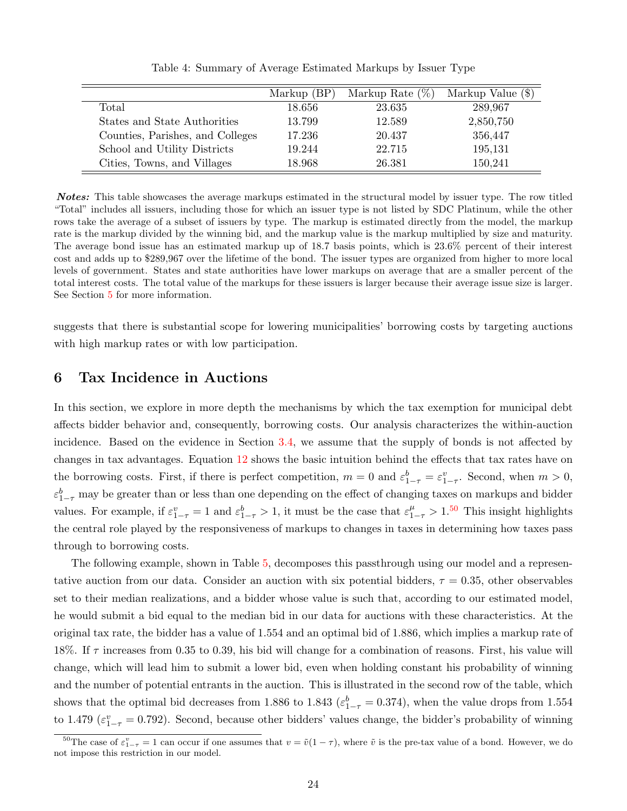|                                  | Markup $(BP)$ | Markup Rate $(\%)$ | Markup Value (\$) |
|----------------------------------|---------------|--------------------|-------------------|
| Total                            | 18.656        | 23.635             | 289,967           |
| States and State Authorities     | 13.799        | 12.589             | 2,850,750         |
| Counties, Parishes, and Colleges | 17.236        | 20.437             | 356,447           |
| School and Utility Districts     | 19.244        | 22.715             | 195,131           |
| Cities, Towns, and Villages      | 18.968        | 26.381             | 150,241           |

<span id="page-24-1"></span>Table 4: Summary of Average Estimated Markups by Issuer Type

Notes: This table showcases the average markups estimated in the structural model by issuer type. The row titled "Total" includes all issuers, including those for which an issuer type is not listed by SDC Platinum, while the other rows take the average of a subset of issuers by type. The markup is estimated directly from the model, the markup rate is the markup divided by the winning bid, and the markup value is the markup multiplied by size and maturity. The average bond issue has an estimated markup up of 18.7 basis points, which is 23.6% percent of their interest cost and adds up to \$289,967 over the lifetime of the bond. The issuer types are organized from higher to more local levels of government. States and state authorities have lower markups on average that are a smaller percent of the total interest costs. The total value of the markups for these issuers is larger because their average issue size is larger. See Section [5](#page-20-0) for more information.

suggests that there is substantial scope for lowering municipalities' borrowing costs by targeting auctions with high markup rates or with low participation.

# <span id="page-24-0"></span>6 Tax Incidence in Auctions

In this section, we explore in more depth the mechanisms by which the tax exemption for municipal debt affects bidder behavior and, consequently, borrowing costs. Our analysis characterizes the within-auction incidence. Based on the evidence in Section [3.4,](#page-16-0) we assume that the supply of bonds is not affected by changes in tax advantages. Equation [12](#page-20-3) shows the basic intuition behind the effects that tax rates have on the borrowing costs. First, if there is perfect competition,  $m = 0$  and  $\varepsilon_{1-\tau}^b = \varepsilon_{1-\tau}^v$ . Second, when  $m > 0$ ,  $\varepsilon_{1-\tau}^b$  may be greater than or less than one depending on the effect of changing taxes on markups and bidder values. For example, if  $\varepsilon_{1-\tau}^v = 1$  and  $\varepsilon_{1-\tau}^b > 1$ , it must be the case that  $\varepsilon_{1-\tau}^\mu > 1$ .<sup>[50](#page-24-2)</sup> This insight highlights the central role played by the responsiveness of markups to changes in taxes in determining how taxes pass through to borrowing costs.

The following example, shown in Table [5,](#page-25-0) decomposes this passthrough using our model and a representative auction from our data. Consider an auction with six potential bidders,  $\tau = 0.35$ , other observables set to their median realizations, and a bidder whose value is such that, according to our estimated model, he would submit a bid equal to the median bid in our data for auctions with these characteristics. At the original tax rate, the bidder has a value of 1.554 and an optimal bid of 1.886, which implies a markup rate of 18%. If  $\tau$  increases from 0.35 to 0.39, his bid will change for a combination of reasons. First, his value will change, which will lead him to submit a lower bid, even when holding constant his probability of winning and the number of potential entrants in the auction. This is illustrated in the second row of the table, which shows that the optimal bid decreases from 1.886 to 1.843 ( $\varepsilon_{1-\tau}^{b} = 0.374$ ), when the value drops from 1.554 to 1.479 ( $\varepsilon_{1-\tau}^v = 0.792$ ). Second, because other bidders' values change, the bidder's probability of winning

<span id="page-24-2"></span><sup>&</sup>lt;sup>50</sup>The case of  $\varepsilon_{1-\tau}^v = 1$  can occur if one assumes that  $v = \tilde{v}(1-\tau)$ , where  $\tilde{v}$  is the pre-tax value of a bond. However, we do not impose this restriction in our model.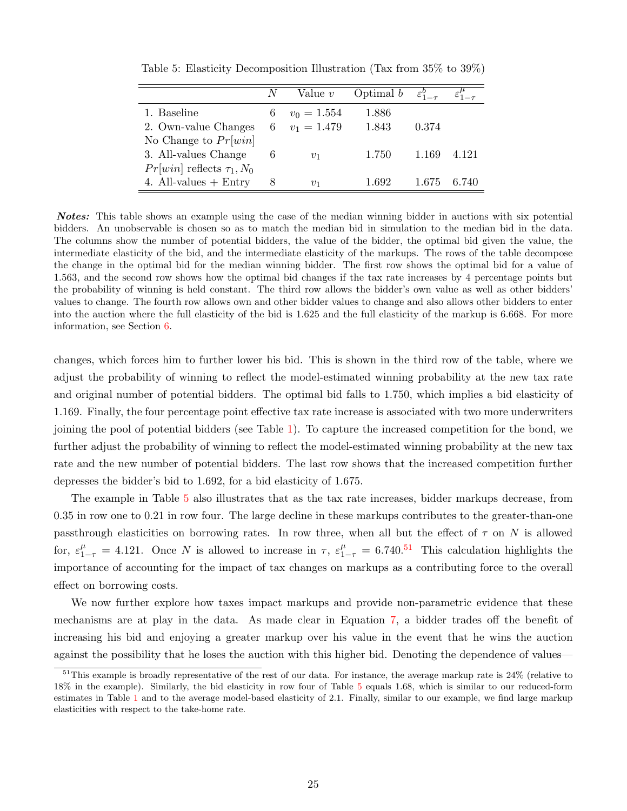|                                  | N | Value $v$       | Optimal $b$ | $\varepsilon_{1-\tau}^{\bm{\theta}}$ |       |
|----------------------------------|---|-----------------|-------------|--------------------------------------|-------|
| 1. Baseline                      | 6 | $v_0 = 1.554$   | 1.886       |                                      |       |
| 2. Own-value Changes             |   | 6 $v_1 = 1.479$ | 1.843       | 0.374                                |       |
| No Change to $Pr[win]$           |   |                 |             |                                      |       |
| 3. All-values Change             | 6 | $v_1$           | 1.750       | 1.169                                | 4.121 |
| $Pr[win]$ reflects $\tau_1, N_0$ |   |                 |             |                                      |       |
| 4. All-values $+$ Entry          |   | $v_1$           | 1.692       | 1.675                                | 6.740 |

<span id="page-25-0"></span>Table 5: Elasticity Decomposition Illustration (Tax from 35% to 39%)

Notes: This table shows an example using the case of the median winning bidder in auctions with six potential bidders. An unobservable is chosen so as to match the median bid in simulation to the median bid in the data. The columns show the number of potential bidders, the value of the bidder, the optimal bid given the value, the intermediate elasticity of the bid, and the intermediate elasticity of the markups. The rows of the table decompose the change in the optimal bid for the median winning bidder. The first row shows the optimal bid for a value of 1.563, and the second row shows how the optimal bid changes if the tax rate increases by 4 percentage points but the probability of winning is held constant. The third row allows the bidder's own value as well as other bidders' values to change. The fourth row allows own and other bidder values to change and also allows other bidders to enter into the auction where the full elasticity of the bid is 1.625 and the full elasticity of the markup is 6.668. For more information, see Section [6.](#page-24-0)

changes, which forces him to further lower his bid. This is shown in the third row of the table, where we adjust the probability of winning to reflect the model-estimated winning probability at the new tax rate and original number of potential bidders. The optimal bid falls to 1.750, which implies a bid elasticity of 1.169. Finally, the four percentage point effective tax rate increase is associated with two more underwriters joining the pool of potential bidders (see Table [1\)](#page-11-0). To capture the increased competition for the bond, we further adjust the probability of winning to reflect the model-estimated winning probability at the new tax rate and the new number of potential bidders. The last row shows that the increased competition further depresses the bidder's bid to 1.692, for a bid elasticity of 1.675.

The example in Table [5](#page-25-0) also illustrates that as the tax rate increases, bidder markups decrease, from 0.35 in row one to 0.21 in row four. The large decline in these markups contributes to the greater-than-one passthrough elasticities on borrowing rates. In row three, when all but the effect of  $\tau$  on N is allowed for,  $\varepsilon_{1-\tau}^{\mu} = 4.121$ . Once N is allowed to increase in  $\tau$ ,  $\varepsilon_{1-\tau}^{\mu} = 6.740$ .<sup>[51](#page-25-1)</sup> This calculation highlights the importance of accounting for the impact of tax changes on markups as a contributing force to the overall effect on borrowing costs.

We now further explore how taxes impact markups and provide non-parametric evidence that these mechanisms are at play in the data. As made clear in Equation [7,](#page-18-0) a bidder trades off the benefit of increasing his bid and enjoying a greater markup over his value in the event that he wins the auction against the possibility that he loses the auction with this higher bid. Denoting the dependence of values—

<span id="page-25-1"></span> $51$ This example is broadly representative of the rest of our data. For instance, the average markup rate is  $24\%$  (relative to 18% in the example). Similarly, the bid elasticity in row four of Table [5](#page-25-0) equals 1.68, which is similar to our reduced-form estimates in Table [1](#page-11-0) and to the average model-based elasticity of 2.1. Finally, similar to our example, we find large markup elasticities with respect to the take-home rate.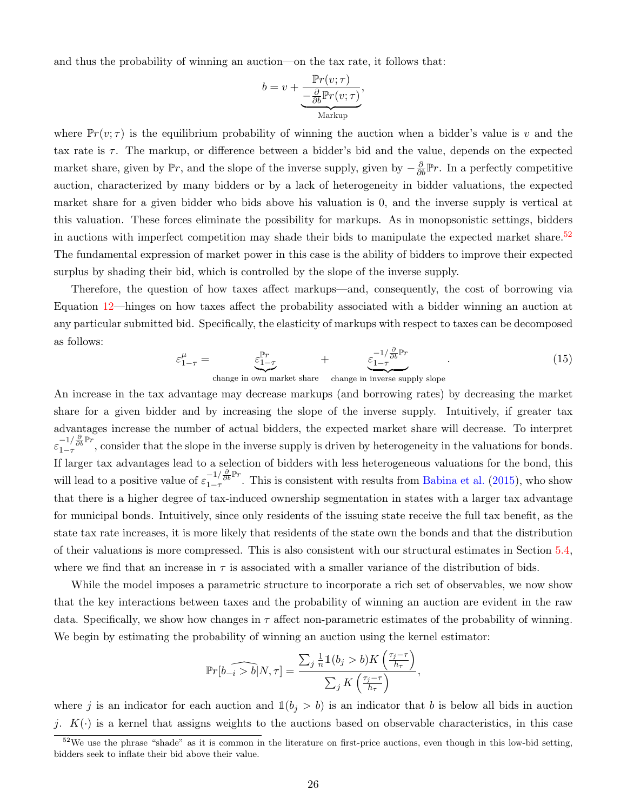and thus the probability of winning an auction—on the tax rate, it follows that:

$$
b = v + \underbrace{\frac{\mathbb{P}r(v; \tau)}{-\frac{\partial}{\partial b}\mathbb{P}r(v; \tau)}}_{\text{Markup}},
$$

where  $\mathbb{P}r(v;\tau)$  is the equilibrium probability of winning the auction when a bidder's value is v and the tax rate is  $\tau$ . The markup, or difference between a bidder's bid and the value, depends on the expected market share, given by  $\mathbb{P}r$ , and the slope of the inverse supply, given by  $-\frac{\partial}{\partial b}\mathbb{P}r$ . In a perfectly competitive auction, characterized by many bidders or by a lack of heterogeneity in bidder valuations, the expected market share for a given bidder who bids above his valuation is 0, and the inverse supply is vertical at this valuation. These forces eliminate the possibility for markups. As in monopsonistic settings, bidders in auctions with imperfect competition may shade their bids to manipulate the expected market share.<sup>[52](#page-26-0)</sup> The fundamental expression of market power in this case is the ability of bidders to improve their expected surplus by shading their bid, which is controlled by the slope of the inverse supply.

Therefore, the question of how taxes affect markups—and, consequently, the cost of borrowing via Equation [12—](#page-20-3)hinges on how taxes affect the probability associated with a bidder winning an auction at any particular submitted bid. Specifically, the elasticity of markups with respect to taxes can be decomposed as follows:

$$
\varepsilon_{1-\tau}^{\mu} = \underbrace{\varepsilon_{1-\tau}^{\mathbb{P}r}}_{\text{change in own market share}} + \underbrace{\varepsilon_{1-\tau}^{-1/\frac{\partial}{\partial b}\mathbb{P}r}}_{\text{change in inverse supply slope}}.
$$
(15)

An increase in the tax advantage may decrease markups (and borrowing rates) by decreasing the market share for a given bidder and by increasing the slope of the inverse supply. Intuitively, if greater tax advantages increase the number of actual bidders, the expected market share will decrease. To interpret  $\varepsilon_{1-\tau}^{-1/\frac{\partial}{\partial b}\mathbb{P}r}$ , consider that the slope in the inverse supply is driven by heterogeneity in the valuations for bonds. If larger tax advantages lead to a selection of bidders with less heterogeneous valuations for the bond, this will lead to a positive value of  $\varepsilon_{1-\tau}^{-1/\frac{\partial}{\partial b}\mathbb{P}r}$ . This is consistent with results from [Babina et al.](#page-37-19) [\(2015\)](#page-37-19), who show that there is a higher degree of tax-induced ownership segmentation in states with a larger tax advantage for municipal bonds. Intuitively, since only residents of the issuing state receive the full tax benefit, as the state tax rate increases, it is more likely that residents of the state own the bonds and that the distribution of their valuations is more compressed. This is also consistent with our structural estimates in Section [5.4,](#page-22-3) where we find that an increase in  $\tau$  is associated with a smaller variance of the distribution of bids.

While the model imposes a parametric structure to incorporate a rich set of observables, we now show that the key interactions between taxes and the probability of winning an auction are evident in the raw data. Specifically, we show how changes in  $\tau$  affect non-parametric estimates of the probability of winning. We begin by estimating the probability of winning an auction using the kernel estimator:

$$
\mathbb{P}r\widehat{[b_{-i} > b]}N, \tau] = \frac{\sum_{j} \frac{1}{n} \mathbb{1}(b_j > b) K\left(\frac{\tau_j - \tau}{h_{\tau}}\right)}{\sum_{j} K\left(\frac{\tau_j - \tau}{h_{\tau}}\right)},
$$

where j is an indicator for each auction and  $\mathbb{1}(b_i > b)$  is an indicator that b is below all bids in auction j.  $K(\cdot)$  is a kernel that assigns weights to the auctions based on observable characteristics, in this case

<span id="page-26-0"></span> $52$ We use the phrase "shade" as it is common in the literature on first-price auctions, even though in this low-bid setting, bidders seek to inflate their bid above their value.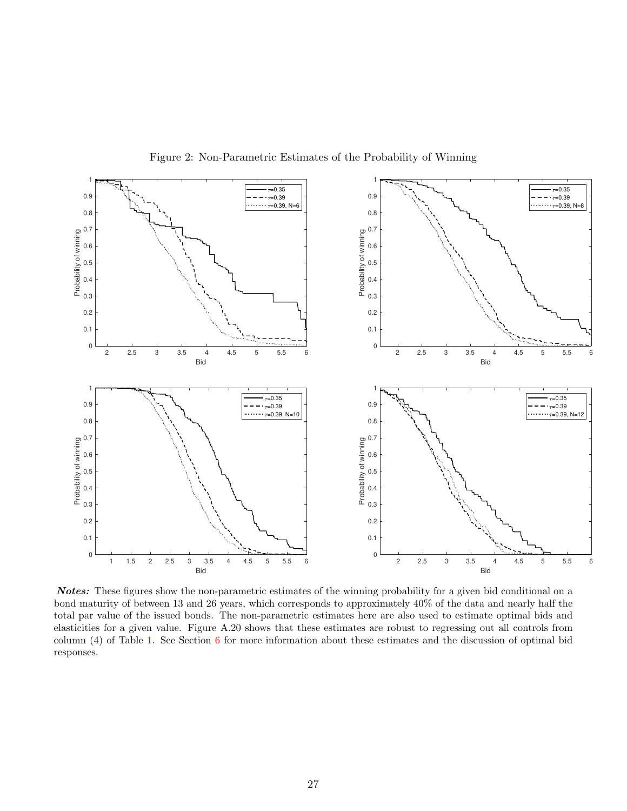

<span id="page-27-0"></span>Figure 2: Non-Parametric Estimates of the Probability of Winning

Notes: These figures show the non-parametric estimates of the winning probability for a given bid conditional on a bond maturity of between 13 and 26 years, which corresponds to approximately 40% of the data and nearly half the total par value of the issued bonds. The non-parametric estimates here are also used to estimate optimal bids and elasticities for a given value. Figure A.20 shows that these estimates are robust to regressing out all controls from column (4) of Table [1.](#page-11-0) See Section [6](#page-24-0) for more information about these estimates and the discussion of optimal bid responses.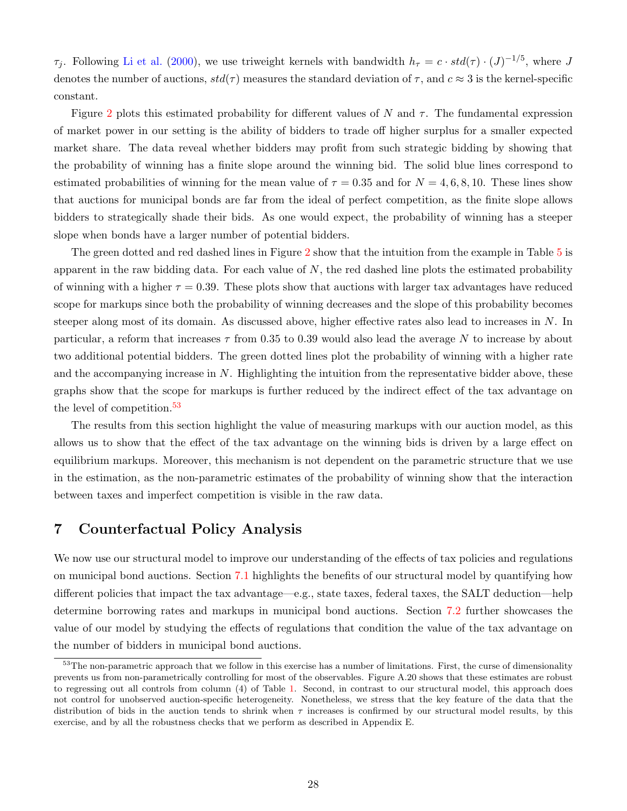$\tau_j$ . Following [Li et al.](#page-39-16) [\(2000\)](#page-39-16), we use triweight kernels with bandwidth  $h_{\tau} = c \cdot std(\tau) \cdot (J)^{-1/5}$ , where J denotes the number of auctions,  $std(\tau)$  measures the standard deviation of  $\tau$ , and  $c \approx 3$  is the kernel-specific constant.

Figure [2](#page-27-0) plots this estimated probability for different values of N and  $\tau$ . The fundamental expression of market power in our setting is the ability of bidders to trade off higher surplus for a smaller expected market share. The data reveal whether bidders may profit from such strategic bidding by showing that the probability of winning has a finite slope around the winning bid. The solid blue lines correspond to estimated probabilities of winning for the mean value of  $\tau = 0.35$  and for  $N = 4, 6, 8, 10$ . These lines show that auctions for municipal bonds are far from the ideal of perfect competition, as the finite slope allows bidders to strategically shade their bids. As one would expect, the probability of winning has a steeper slope when bonds have a larger number of potential bidders.

The green dotted and red dashed lines in Figure [2](#page-27-0) show that the intuition from the example in Table [5](#page-25-0) is apparent in the raw bidding data. For each value of  $N$ , the red dashed line plots the estimated probability of winning with a higher  $\tau = 0.39$ . These plots show that auctions with larger tax advantages have reduced scope for markups since both the probability of winning decreases and the slope of this probability becomes steeper along most of its domain. As discussed above, higher effective rates also lead to increases in N. In particular, a reform that increases  $\tau$  from 0.35 to 0.39 would also lead the average N to increase by about two additional potential bidders. The green dotted lines plot the probability of winning with a higher rate and the accompanying increase in  $N$ . Highlighting the intuition from the representative bidder above, these graphs show that the scope for markups is further reduced by the indirect effect of the tax advantage on the level of competition.<sup>[53](#page-28-0)</sup>

The results from this section highlight the value of measuring markups with our auction model, as this allows us to show that the effect of the tax advantage on the winning bids is driven by a large effect on equilibrium markups. Moreover, this mechanism is not dependent on the parametric structure that we use in the estimation, as the non-parametric estimates of the probability of winning show that the interaction between taxes and imperfect competition is visible in the raw data.

# 7 Counterfactual Policy Analysis

We now use our structural model to improve our understanding of the effects of tax policies and regulations on municipal bond auctions. Section [7.1](#page-29-0) highlights the benefits of our structural model by quantifying how different policies that impact the tax advantage—e.g., state taxes, federal taxes, the SALT deduction—help determine borrowing rates and markups in municipal bond auctions. Section [7.2](#page-32-0) further showcases the value of our model by studying the effects of regulations that condition the value of the tax advantage on the number of bidders in municipal bond auctions.

<span id="page-28-0"></span> $53$ The non-parametric approach that we follow in this exercise has a number of limitations. First, the curse of dimensionality prevents us from non-parametrically controlling for most of the observables. Figure A.20 shows that these estimates are robust to regressing out all controls from column (4) of Table [1.](#page-11-0) Second, in contrast to our structural model, this approach does not control for unobserved auction-specific heterogeneity. Nonetheless, we stress that the key feature of the data that the distribution of bids in the auction tends to shrink when  $\tau$  increases is confirmed by our structural model results, by this exercise, and by all the robustness checks that we perform as described in Appendix E.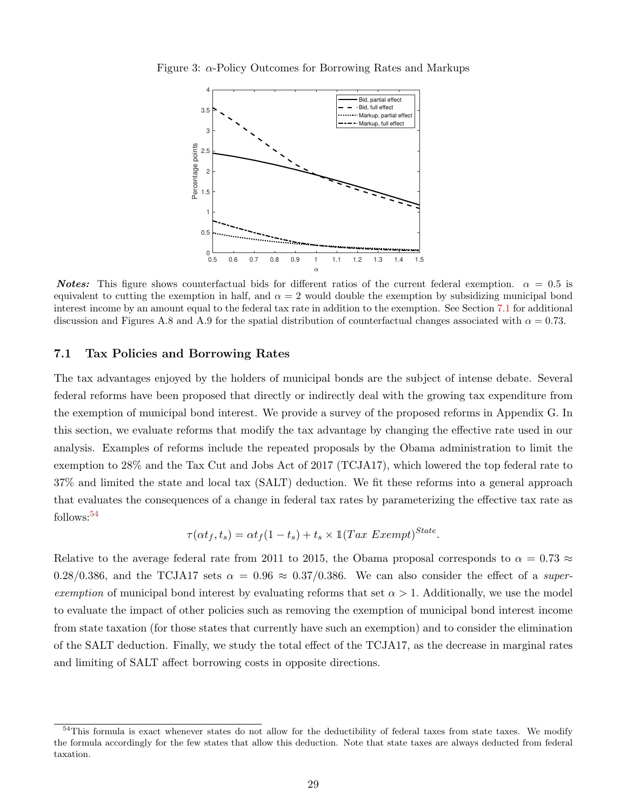Figure 3:  $\alpha$ -Policy Outcomes for Borrowing Rates and Markups

<span id="page-29-3"></span><span id="page-29-2"></span>

**Notes:** This figure shows counterfactual bids for different ratios of the current federal exemption.  $\alpha = 0.5$  is equivalent to cutting the exemption in half, and  $\alpha = 2$  would double the exemption by subsidizing municipal bond interest income by an amount equal to the federal tax rate in addition to the exemption. See Section [7.1](#page-29-0) for additional discussion and Figures A.8 and A.9 for the spatial distribution of counterfactual changes associated with  $\alpha = 0.73$ .

## <span id="page-29-0"></span>7.1 Tax Policies and Borrowing Rates

The tax advantages enjoyed by the holders of municipal bonds are the subject of intense debate. Several federal reforms have been proposed that directly or indirectly deal with the growing tax expenditure from the exemption of municipal bond interest. We provide a survey of the proposed reforms in Appendix G. In this section, we evaluate reforms that modify the tax advantage by changing the effective rate used in our analysis. Examples of reforms include the repeated proposals by the Obama administration to limit the exemption to 28% and the Tax Cut and Jobs Act of 2017 (TCJA17), which lowered the top federal rate to 37% and limited the state and local tax (SALT) deduction. We fit these reforms into a general approach that evaluates the consequences of a change in federal tax rates by parameterizing the effective tax rate as follows:[54](#page-29-1)

$$
\tau(\alpha t_f, t_s) = \alpha t_f (1 - t_s) + t_s \times \mathbb{1} (Tax\ Exempt)^{State}.
$$

Relative to the average federal rate from 2011 to 2015, the Obama proposal corresponds to  $\alpha = 0.73 \approx$ 0.28/0.386, and the TCJA17 sets  $\alpha = 0.96 \approx 0.37/0.386$ . We can also consider the effect of a superexemption of municipal bond interest by evaluating reforms that set  $\alpha > 1$ . Additionally, we use the model to evaluate the impact of other policies such as removing the exemption of municipal bond interest income from state taxation (for those states that currently have such an exemption) and to consider the elimination of the SALT deduction. Finally, we study the total effect of the TCJA17, as the decrease in marginal rates and limiting of SALT affect borrowing costs in opposite directions.

<span id="page-29-1"></span><sup>&</sup>lt;sup>54</sup>This formula is exact whenever states do not allow for the deductibility of federal taxes from state taxes. We modify the formula accordingly for the few states that allow this deduction. Note that state taxes are always deducted from federal taxation.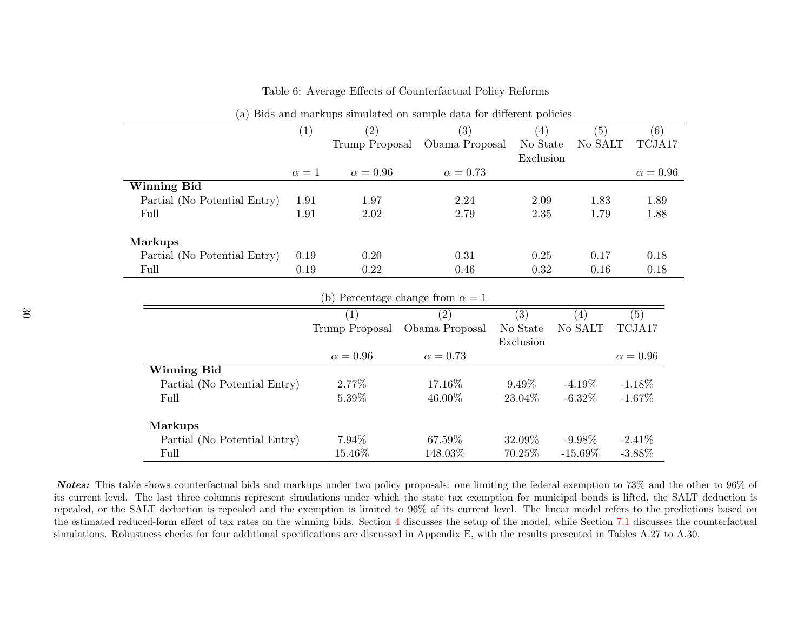| $\sqrt{2}$                   |            |                 |                                         |           |            |               |
|------------------------------|------------|-----------------|-----------------------------------------|-----------|------------|---------------|
|                              | (1)        | (2)             | (3)                                     | (4)       | (5)        | (6)           |
|                              |            | Trump Proposal  | Obama Proposal                          | No State  | No SALT    | TCJA17        |
|                              |            |                 |                                         | Exclusion |            |               |
|                              | $\alpha=1$ | $\alpha = 0.96$ | $\alpha = 0.73$                         |           |            | $\alpha=0.96$ |
| <b>Winning Bid</b>           |            |                 |                                         |           |            |               |
| Partial (No Potential Entry) | 1.91       | 1.97            | 2.24                                    | 2.09      | 1.83       | 1.89          |
| Full                         | 1.91       | 2.02            | 2.79                                    | 2.35      | 1.79       | 1.88          |
|                              |            |                 |                                         |           |            |               |
| <b>Markups</b>               |            |                 |                                         |           |            |               |
| Partial (No Potential Entry) | 0.19       | 0.20            | 0.31                                    | 0.25      | 0.17       | 0.18          |
| Full                         | 0.19       | 0.22            | 0.46                                    | 0.32      | 0.16       | 0.18          |
|                              |            |                 |                                         |           |            |               |
|                              |            |                 | (b) Percentage change from $\alpha = 1$ |           |            |               |
|                              |            | (1)             | (2)                                     | (3)       | (4)        | (5)           |
|                              |            | Trump Proposal  | Obama Proposal                          | No State  | No SALT    | TCJA17        |
|                              |            |                 |                                         | Exclusion |            |               |
|                              |            | $\alpha = 0.96$ | $\alpha = 0.73$                         |           |            | $\alpha=0.96$ |
| <b>Winning Bid</b>           |            |                 |                                         |           |            |               |
| Partial (No Potential Entry) |            | 2.77%           | 17.16\%                                 | $9.49\%$  | $-4.19\%$  | $-1.18\%$     |
| Full                         |            | 5.39%           | 46.00%                                  | 23.04\%   | $-6.32\%$  | $-1.67\%$     |
| <b>Markups</b>               |            |                 |                                         |           |            |               |
| Partial (No Potential Entry) |            | 7.94%           | 67.59%                                  | 32.09%    | $-9.98\%$  | $-2.41%$      |
| Full                         |            | 15.46%          | 148.03%                                 | 70.25%    | $-15.69\%$ | $-3.88\%$     |
|                              |            |                 |                                         |           |            |               |

<span id="page-30-0"></span>Table 6: Average Effects of Counterfactual Policy Reforms

(a) Bids and markups simulated on sample data for different policies

Notes: This table shows counterfactual bids and markups under two policy proposals: one limiting the federal exemption to 73% and the other to 96% of its current level. The last three columns represent simulations under which the state tax exemption for municipal bonds is lifted, the SALT deduction is repealed, or the SALT deduction is repealed and the exemption is limited to 96% of its current level. The linear model refers to the predictions based on the estimated reduced-form effect of tax rates on the winning bids. Section [4](#page-16-3) discusses the setup of the model, while Section [7.1](#page-29-2) discusses the counterfactual simulations. Robustness checks for four additional specifications are discussed in Appendix E, with the results presented in Tables A.27 to A.30.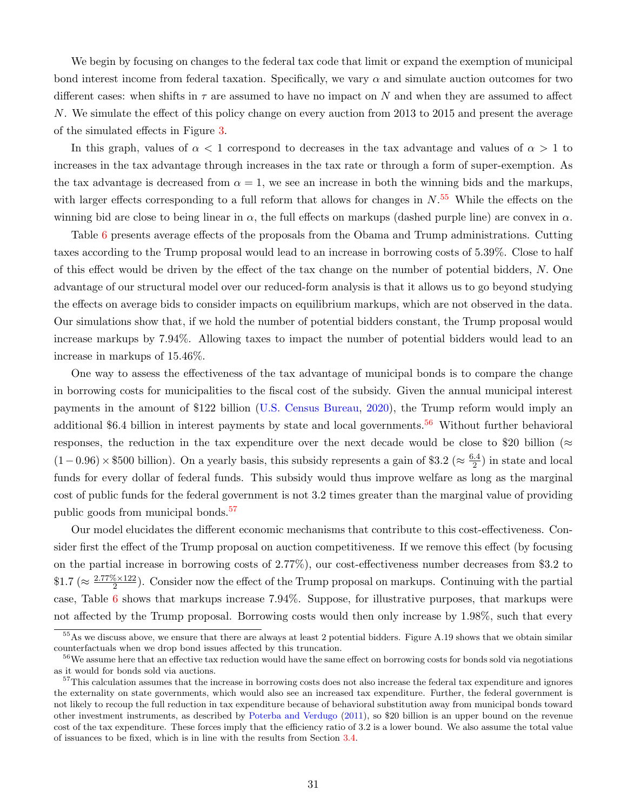We begin by focusing on changes to the federal tax code that limit or expand the exemption of municipal bond interest income from federal taxation. Specifically, we vary  $\alpha$  and simulate auction outcomes for two different cases: when shifts in  $\tau$  are assumed to have no impact on N and when they are assumed to affect N. We simulate the effect of this policy change on every auction from 2013 to 2015 and present the average of the simulated effects in Figure [3.](#page-29-3)

In this graph, values of  $\alpha < 1$  correspond to decreases in the tax advantage and values of  $\alpha > 1$  to increases in the tax advantage through increases in the tax rate or through a form of super-exemption. As the tax advantage is decreased from  $\alpha = 1$ , we see an increase in both the winning bids and the markups, with larger effects corresponding to a full reform that allows for changes in  $N$ .<sup>[55](#page-31-0)</sup> While the effects on the winning bid are close to being linear in  $\alpha$ , the full effects on markups (dashed purple line) are convex in  $\alpha$ .

Table [6](#page-30-0) presents average effects of the proposals from the Obama and Trump administrations. Cutting taxes according to the Trump proposal would lead to an increase in borrowing costs of 5.39%. Close to half of this effect would be driven by the effect of the tax change on the number of potential bidders, N. One advantage of our structural model over our reduced-form analysis is that it allows us to go beyond studying the effects on average bids to consider impacts on equilibrium markups, which are not observed in the data. Our simulations show that, if we hold the number of potential bidders constant, the Trump proposal would increase markups by 7.94%. Allowing taxes to impact the number of potential bidders would lead to an increase in markups of 15.46%.

One way to assess the effectiveness of the tax advantage of municipal bonds is to compare the change in borrowing costs for municipalities to the fiscal cost of the subsidy. Given the annual municipal interest payments in the amount of \$122 billion [\(U.S. Census Bureau,](#page-39-1) [2020\)](#page-39-1), the Trump reform would imply an additional \$6.4 billion in interest payments by state and local governments.<sup>[56](#page-31-1)</sup> Without further behavioral responses, the reduction in the tax expenditure over the next decade would be close to \$20 billion ( $\approx$  $(1-0.96) \times $500$  billion). On a yearly basis, this subsidy represents a gain of \$3.2 ( $\approx \frac{6.4}{2}$ )  $\frac{1}{2}$ ) in state and local funds for every dollar of federal funds. This subsidy would thus improve welfare as long as the marginal cost of public funds for the federal government is not 3.2 times greater than the marginal value of providing public goods from municipal bonds.<sup>[57](#page-31-2)</sup>

Our model elucidates the different economic mechanisms that contribute to this cost-effectiveness. Consider first the effect of the Trump proposal on auction competitiveness. If we remove this effect (by focusing on the partial increase in borrowing costs of 2.77%), our cost-effectiveness number decreases from \$3.2 to  $\$1.7 \approx \frac{2.77\% \times 122}{2}$  $\frac{6 \times 122}{2}$ ). Consider now the effect of the Trump proposal on markups. Continuing with the partial case, Table [6](#page-30-0) shows that markups increase 7.94%. Suppose, for illustrative purposes, that markups were not affected by the Trump proposal. Borrowing costs would then only increase by 1.98%, such that every

<span id="page-31-0"></span> $55\,\mathrm{As}$  we discuss above, we ensure that there are always at least 2 potential bidders. Figure A.19 shows that we obtain similar counterfactuals when we drop bond issues affected by this truncation.

<span id="page-31-1"></span><sup>&</sup>lt;sup>56</sup>We assume here that an effective tax reduction would have the same effect on borrowing costs for bonds sold via negotiations as it would for bonds sold via auctions.

<span id="page-31-2"></span><sup>&</sup>lt;sup>57</sup>This calculation assumes that the increase in borrowing costs does not also increase the federal tax expenditure and ignores the externality on state governments, which would also see an increased tax expenditure. Further, the federal government is not likely to recoup the full reduction in tax expenditure because of behavioral substitution away from municipal bonds toward other investment instruments, as described by [Poterba and Verdugo](#page-39-13) [\(2011\)](#page-39-13), so \$20 billion is an upper bound on the revenue cost of the tax expenditure. These forces imply that the efficiency ratio of 3.2 is a lower bound. We also assume the total value of issuances to be fixed, which is in line with the results from Section [3.4.](#page-16-0)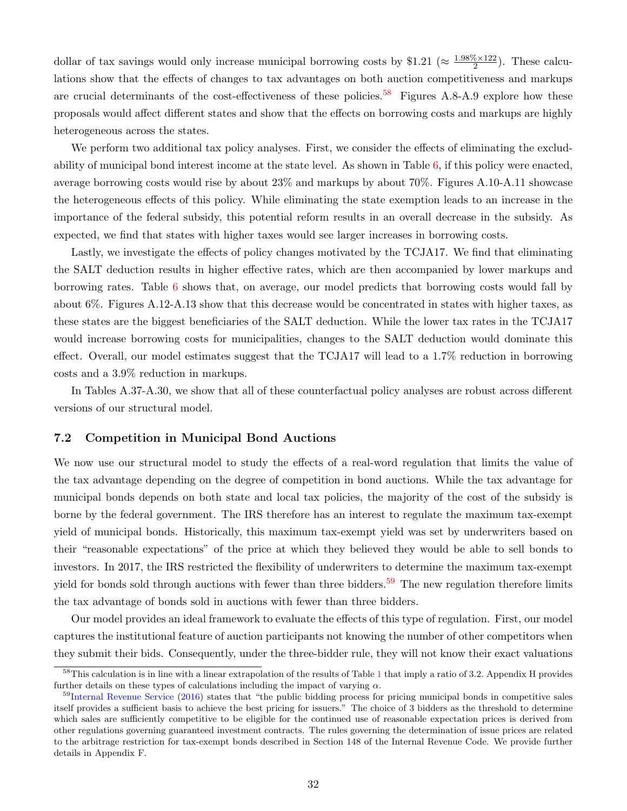dollar of tax savings would only increase municipal borrowing costs by \$1.21 ( $\approx \frac{1.98\% \times 122}{2}$  $\frac{\sqrt{6}\times122}{2}$ . These calculations show that the effects of changes to tax advantages on both auction competitiveness and markups are crucial determinants of the cost-effectiveness of these policies.<sup>[58](#page-32-1)</sup> Figures A.8-A.9 explore how these proposals would affect different states and show that the effects on borrowing costs and markups are highly heterogeneous across the states.

We perform two additional tax policy analyses. First, we consider the effects of eliminating the excludability of municipal bond interest income at the state level. As shown in Table [6,](#page-30-0) if this policy were enacted, average borrowing costs would rise by about 23% and markups by about 70%. Figures A.10-A.11 showcase the heterogeneous effects of this policy. While eliminating the state exemption leads to an increase in the importance of the federal subsidy, this potential reform results in an overall decrease in the subsidy. As expected, we find that states with higher taxes would see larger increases in borrowing costs.

Lastly, we investigate the effects of policy changes motivated by the TCJA17. We find that eliminating the SALT deduction results in higher effective rates, which are then accompanied by lower markups and borrowing rates. Table [6](#page-30-0) shows that, on average, our model predicts that borrowing costs would fall by about 6%. Figures A.12-A.13 show that this decrease would be concentrated in states with higher taxes, as these states are the biggest beneficiaries of the SALT deduction. While the lower tax rates in the TCJA17 would increase borrowing costs for municipalities, changes to the SALT deduction would dominate this effect. Overall, our model estimates suggest that the TCJA17 will lead to a 1.7% reduction in borrowing costs and a 3.9% reduction in markups.

In Tables A.37-A.30, we show that all of these counterfactual policy analyses are robust across different versions of our structural model.

## <span id="page-32-0"></span>7.2 Competition in Municipal Bond Auctions

We now use our structural model to study the effects of a real-word regulation that limits the value of the tax advantage depending on the degree of competition in bond auctions. While the tax advantage for municipal bonds depends on both state and local tax policies, the majority of the cost of the subsidy is borne by the federal government. The IRS therefore has an interest to regulate the maximum tax-exempt yield of municipal bonds. Historically, this maximum tax-exempt yield was set by underwriters based on their "reasonable expectations" of the price at which they believed they would be able to sell bonds to investors. In 2017, the IRS restricted the flexibility of underwriters to determine the maximum tax-exempt yield for bonds sold through auctions with fewer than three bidders.<sup>[59](#page-32-2)</sup> The new regulation therefore limits the tax advantage of bonds sold in auctions with fewer than three bidders.

Our model provides an ideal framework to evaluate the effects of this type of regulation. First, our model captures the institutional feature of auction participants not knowing the number of other competitors when they submit their bids. Consequently, under the three-bidder rule, they will not know their exact valuations

<span id="page-32-1"></span><sup>&</sup>lt;sup>58</sup>This calculation is in line with a linear extrapolation of the results of Table [1](#page-11-0) that imply a ratio of 3.2. Appendix H provides further details on these types of calculations including the impact of varying  $\alpha$ .

<span id="page-32-2"></span><sup>&</sup>lt;sup>59</sup>[Internal Revenue Service](#page-38-1) [\(2016\)](#page-38-1) states that "the public bidding process for pricing municipal bonds in competitive sales itself provides a sufficient basis to achieve the best pricing for issuers." The choice of 3 bidders as the threshold to determine which sales are sufficiently competitive to be eligible for the continued use of reasonable expectation prices is derived from other regulations governing guaranteed investment contracts. The rules governing the determination of issue prices are related to the arbitrage restriction for tax-exempt bonds described in Section 148 of the Internal Revenue Code. We provide further details in Appendix F.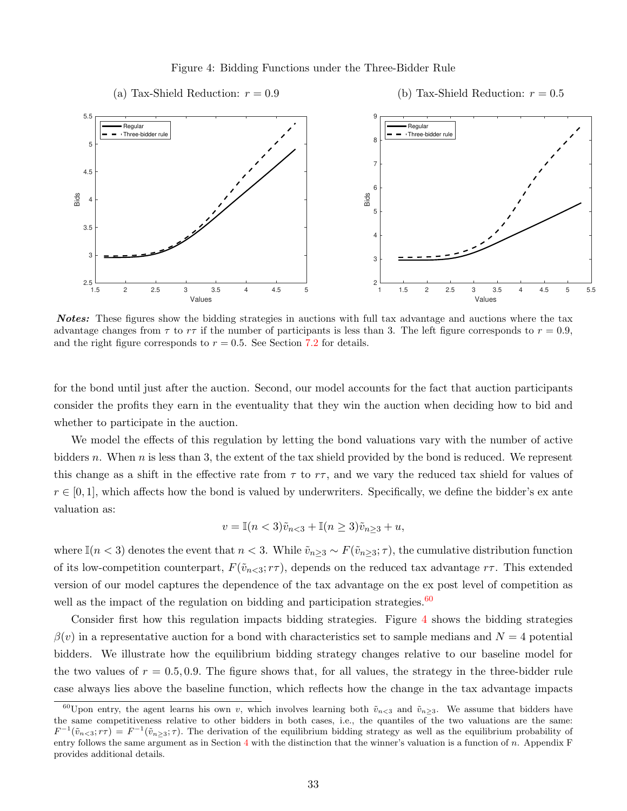#### <span id="page-33-1"></span>Figure 4: Bidding Functions under the Three-Bidder Rule



Notes: These figures show the bidding strategies in auctions with full tax advantage and auctions where the tax advantage changes from  $\tau$  to  $r\tau$  if the number of participants is less than 3. The left figure corresponds to  $r = 0.9$ , and the right figure corresponds to  $r = 0.5$ . See Section [7.2](#page-32-0) for details.

for the bond until just after the auction. Second, our model accounts for the fact that auction participants consider the profits they earn in the eventuality that they win the auction when deciding how to bid and whether to participate in the auction.

We model the effects of this regulation by letting the bond valuations vary with the number of active bidders n. When n is less than 3, the extent of the tax shield provided by the bond is reduced. We represent this change as a shift in the effective rate from  $\tau$  to  $r\tau$ , and we vary the reduced tax shield for values of  $r \in [0,1]$ , which affects how the bond is valued by underwriters. Specifically, we define the bidder's ex ante valuation as:

$$
v = \mathbb{I}(n < 3)\tilde{v}_{n < 3} + \mathbb{I}(n \ge 3)\tilde{v}_{n \ge 3} + u,
$$

where  $\mathbb{I}(n < 3)$  denotes the event that  $n < 3$ . While  $\tilde{v}_{n \geq 3} \sim F(\tilde{v}_{n \geq 3}; \tau)$ , the cumulative distribution function of its low-competition counterpart,  $F(\tilde{v}_{n<3}; r\tau)$ , depends on the reduced tax advantage  $r\tau$ . This extended version of our model captures the dependence of the tax advantage on the ex post level of competition as well as the impact of the regulation on bidding and participation strategies.  $60$ 

Consider first how this regulation impacts bidding strategies. Figure [4](#page-33-1) shows the bidding strategies  $\beta(v)$  in a representative auction for a bond with characteristics set to sample medians and  $N=4$  potential bidders. We illustrate how the equilibrium bidding strategy changes relative to our baseline model for the two values of  $r = 0.5, 0.9$ . The figure shows that, for all values, the strategy in the three-bidder rule case always lies above the baseline function, which reflects how the change in the tax advantage impacts

<span id="page-33-0"></span><sup>&</sup>lt;sup>60</sup>Upon entry, the agent learns his own v, which involves learning both  $\tilde{v}_{n<3}$  and  $\tilde{v}_{n\geq3}$ . We assume that bidders have the same competitiveness relative to other bidders in both cases, i.e., the quantiles of the two valuations are the same:  $F^{-1}(\tilde{v}_{n<3}; r\tau) = F^{-1}(\tilde{v}_{n\geq 3}; \tau)$ . The derivation of the equilibrium bidding strategy as well as the equilibrium probability of entry follows the same argument as in Section  $4$  with the distinction that the winner's valuation is a function of n. Appendix  $F$ provides additional details.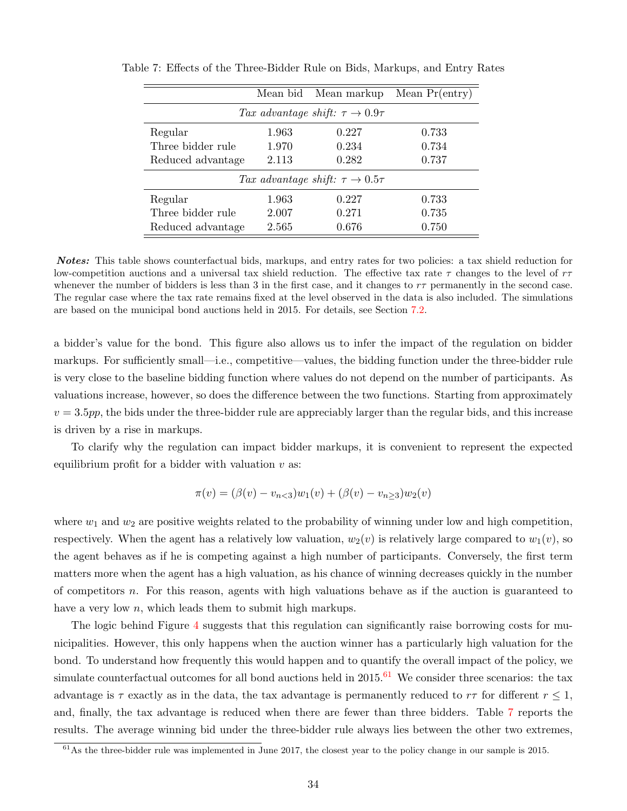<span id="page-34-1"></span>

|                                                 | Mean bid | Mean markup | Mean $Pr(entry)$ |  |  |  |  |
|-------------------------------------------------|----------|-------------|------------------|--|--|--|--|
| Tax advantage shift: $\tau \rightarrow 0.9\tau$ |          |             |                  |  |  |  |  |
| Regular                                         | 1.963    | 0.227       | 0.733            |  |  |  |  |
| Three bidder rule                               | 1.970    | 0.234       | 0.734            |  |  |  |  |
| Reduced advantage                               | 2.113    | 0.282       | 0.737            |  |  |  |  |
| Tax advantage shift: $\tau \rightarrow 0.5\tau$ |          |             |                  |  |  |  |  |
| Regular                                         | 1.963    | 0.227       | 0.733            |  |  |  |  |
| Three bidder rule                               | 2.007    | 0.271       | 0.735            |  |  |  |  |
| Reduced advantage                               | 2.565    | 0.676       | 0.750            |  |  |  |  |

Table 7: Effects of the Three-Bidder Rule on Bids, Markups, and Entry Rates

Notes: This table shows counterfactual bids, markups, and entry rates for two policies: a tax shield reduction for low-competition auctions and a universal tax shield reduction. The effective tax rate  $\tau$  changes to the level of  $r\tau$ whenever the number of bidders is less than 3 in the first case, and it changes to  $r\tau$  permanently in the second case. The regular case where the tax rate remains fixed at the level observed in the data is also included. The simulations are based on the municipal bond auctions held in 2015. For details, see Section [7.2.](#page-32-0)

a bidder's value for the bond. This figure also allows us to infer the impact of the regulation on bidder markups. For sufficiently small—i.e., competitive—values, the bidding function under the three-bidder rule is very close to the baseline bidding function where values do not depend on the number of participants. As valuations increase, however, so does the difference between the two functions. Starting from approximately  $v = 3.5$ pp, the bids under the three-bidder rule are appreciably larger than the regular bids, and this increase is driven by a rise in markups.

To clarify why the regulation can impact bidder markups, it is convenient to represent the expected equilibrium profit for a bidder with valuation  $v$  as:

$$
\pi(v) = (\beta(v) - v_{n<3})w_1(v) + (\beta(v) - v_{n\geq 3})w_2(v)
$$

where  $w_1$  and  $w_2$  are positive weights related to the probability of winning under low and high competition, respectively. When the agent has a relatively low valuation,  $w_2(v)$  is relatively large compared to  $w_1(v)$ , so the agent behaves as if he is competing against a high number of participants. Conversely, the first term matters more when the agent has a high valuation, as his chance of winning decreases quickly in the number of competitors n. For this reason, agents with high valuations behave as if the auction is guaranteed to have a very low  $n$ , which leads them to submit high markups.

The logic behind Figure [4](#page-33-1) suggests that this regulation can significantly raise borrowing costs for municipalities. However, this only happens when the auction winner has a particularly high valuation for the bond. To understand how frequently this would happen and to quantify the overall impact of the policy, we simulate counterfactual outcomes for all bond auctions held in  $2015$ .<sup>[61](#page-34-0)</sup> We consider three scenarios: the tax advantage is  $\tau$  exactly as in the data, the tax advantage is permanently reduced to  $r\tau$  for different  $r \leq 1$ , and, finally, the tax advantage is reduced when there are fewer than three bidders. Table [7](#page-34-1) reports the results. The average winning bid under the three-bidder rule always lies between the other two extremes,

<span id="page-34-0"></span> $61\text{As}$  the three-bidder rule was implemented in June 2017, the closest year to the policy change in our sample is 2015.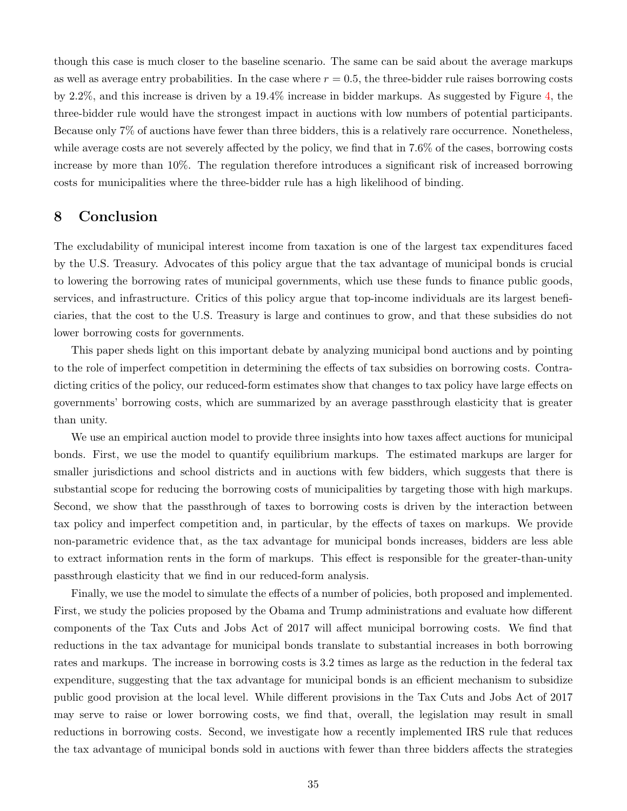though this case is much closer to the baseline scenario. The same can be said about the average markups as well as average entry probabilities. In the case where  $r = 0.5$ , the three-bidder rule raises borrowing costs by 2.2%, and this increase is driven by a 19.4% increase in bidder markups. As suggested by Figure [4,](#page-33-1) the three-bidder rule would have the strongest impact in auctions with low numbers of potential participants. Because only 7% of auctions have fewer than three bidders, this is a relatively rare occurrence. Nonetheless, while average costs are not severely affected by the policy, we find that in 7.6% of the cases, borrowing costs increase by more than 10%. The regulation therefore introduces a significant risk of increased borrowing costs for municipalities where the three-bidder rule has a high likelihood of binding.

# <span id="page-35-0"></span>8 Conclusion

The excludability of municipal interest income from taxation is one of the largest tax expenditures faced by the U.S. Treasury. Advocates of this policy argue that the tax advantage of municipal bonds is crucial to lowering the borrowing rates of municipal governments, which use these funds to finance public goods, services, and infrastructure. Critics of this policy argue that top-income individuals are its largest beneficiaries, that the cost to the U.S. Treasury is large and continues to grow, and that these subsidies do not lower borrowing costs for governments.

This paper sheds light on this important debate by analyzing municipal bond auctions and by pointing to the role of imperfect competition in determining the effects of tax subsidies on borrowing costs. Contradicting critics of the policy, our reduced-form estimates show that changes to tax policy have large effects on governments' borrowing costs, which are summarized by an average passthrough elasticity that is greater than unity.

We use an empirical auction model to provide three insights into how taxes affect auctions for municipal bonds. First, we use the model to quantify equilibrium markups. The estimated markups are larger for smaller jurisdictions and school districts and in auctions with few bidders, which suggests that there is substantial scope for reducing the borrowing costs of municipalities by targeting those with high markups. Second, we show that the passthrough of taxes to borrowing costs is driven by the interaction between tax policy and imperfect competition and, in particular, by the effects of taxes on markups. We provide non-parametric evidence that, as the tax advantage for municipal bonds increases, bidders are less able to extract information rents in the form of markups. This effect is responsible for the greater-than-unity passthrough elasticity that we find in our reduced-form analysis.

Finally, we use the model to simulate the effects of a number of policies, both proposed and implemented. First, we study the policies proposed by the Obama and Trump administrations and evaluate how different components of the Tax Cuts and Jobs Act of 2017 will affect municipal borrowing costs. We find that reductions in the tax advantage for municipal bonds translate to substantial increases in both borrowing rates and markups. The increase in borrowing costs is 3.2 times as large as the reduction in the federal tax expenditure, suggesting that the tax advantage for municipal bonds is an efficient mechanism to subsidize public good provision at the local level. While different provisions in the Tax Cuts and Jobs Act of 2017 may serve to raise or lower borrowing costs, we find that, overall, the legislation may result in small reductions in borrowing costs. Second, we investigate how a recently implemented IRS rule that reduces the tax advantage of municipal bonds sold in auctions with fewer than three bidders affects the strategies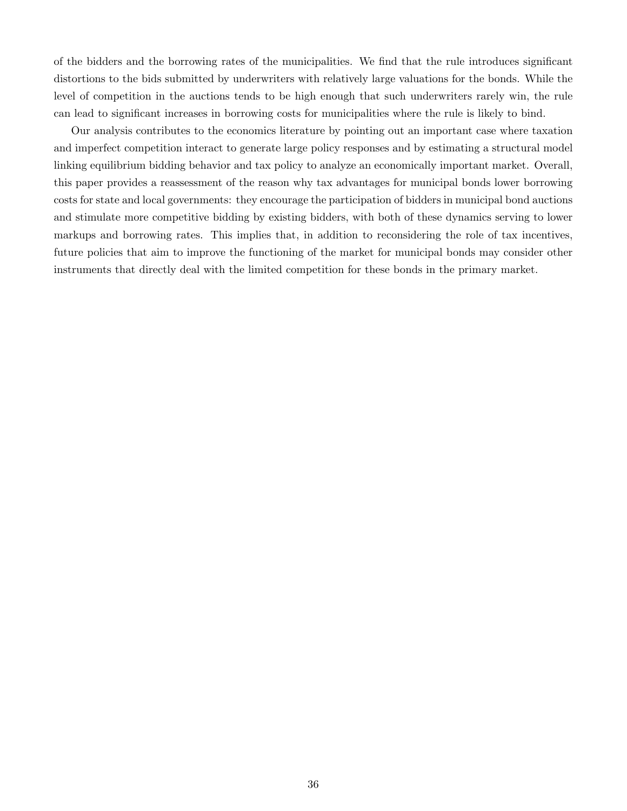of the bidders and the borrowing rates of the municipalities. We find that the rule introduces significant distortions to the bids submitted by underwriters with relatively large valuations for the bonds. While the level of competition in the auctions tends to be high enough that such underwriters rarely win, the rule can lead to significant increases in borrowing costs for municipalities where the rule is likely to bind.

Our analysis contributes to the economics literature by pointing out an important case where taxation and imperfect competition interact to generate large policy responses and by estimating a structural model linking equilibrium bidding behavior and tax policy to analyze an economically important market. Overall, this paper provides a reassessment of the reason why tax advantages for municipal bonds lower borrowing costs for state and local governments: they encourage the participation of bidders in municipal bond auctions and stimulate more competitive bidding by existing bidders, with both of these dynamics serving to lower markups and borrowing rates. This implies that, in addition to reconsidering the role of tax incentives, future policies that aim to improve the functioning of the market for municipal bonds may consider other instruments that directly deal with the limited competition for these bonds in the primary market.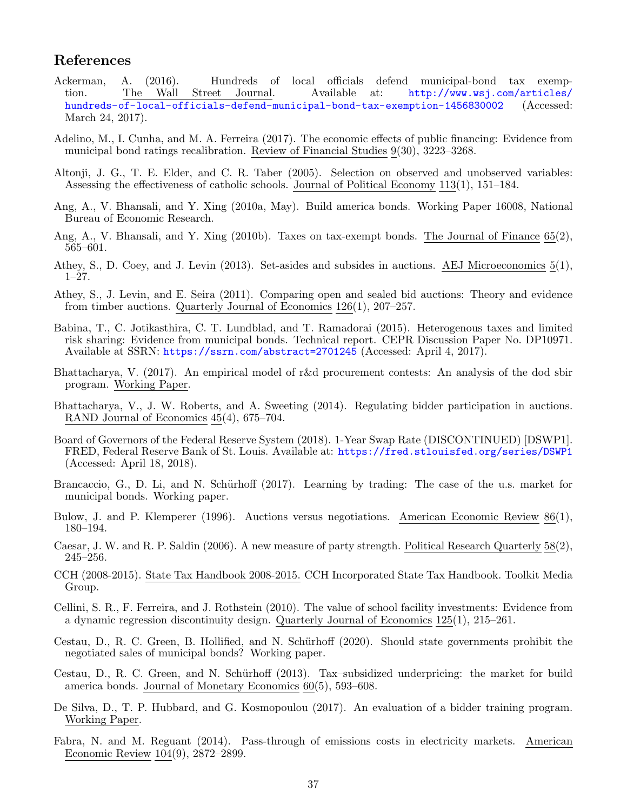# References

- <span id="page-37-11"></span>Ackerman, A. (2016). Hundreds of local officials defend municipal-bond tax exemption. The Wall Street Journal. Available at:  $\frac{http://www.wsj.com/articles/}$ tion. The Wall Street Journal. Available at: [http://www.wsj.com/articles/](http://www.wsj.com/articles/hundreds-of-local-officials-defend-municipal-bond-tax-exemption-1456830002) [hundreds-of-local-officials-defend-municipal-bond-tax-exemption-1456830002](http://www.wsj.com/articles/hundreds-of-local-officials-defend-municipal-bond-tax-exemption-1456830002) (Accessed: March 24, 2017).
- <span id="page-37-1"></span>Adelino, M., I. Cunha, and M. A. Ferreira (2017). The economic effects of public financing: Evidence from municipal bond ratings recalibration. Review of Financial Studies 9(30), 3223–3268.
- <span id="page-37-17"></span>Altonji, J. G., T. E. Elder, and C. R. Taber (2005). Selection on observed and unobserved variables: Assessing the effectiveness of catholic schools. Journal of Political Economy 113(1), 151–184.
- <span id="page-37-5"></span>Ang, A., V. Bhansali, and Y. Xing (2010a, May). Build america bonds. Working Paper 16008, National Bureau of Economic Research.
- <span id="page-37-3"></span>Ang, A., V. Bhansali, and Y. Xing (2010b). Taxes on tax-exempt bonds. The Journal of Finance 65(2), 565–601.
- <span id="page-37-9"></span>Athey, S., D. Coey, and J. Levin (2013). Set-asides and subsides in auctions. AEJ Microeconomics 5(1), 1–27.
- <span id="page-37-13"></span>Athey, S., J. Levin, and E. Seira (2011). Comparing open and sealed bid auctions: Theory and evidence from timber auctions. Quarterly Journal of Economics 126(1), 207–257.
- <span id="page-37-19"></span>Babina, T., C. Jotikasthira, C. T. Lundblad, and T. Ramadorai (2015). Heterogenous taxes and limited risk sharing: Evidence from municipal bonds. Technical report. CEPR Discussion Paper No. DP10971. Available at SSRN: <https://ssrn.com/abstract=2701245> (Accessed: April 4, 2017).
- <span id="page-37-7"></span>Bhattacharya, V. (2017). An empirical model of r&d procurement contests: An analysis of the dod sbir program. Working Paper.
- <span id="page-37-12"></span>Bhattacharya, V., J. W. Roberts, and A. Sweeting (2014). Regulating bidder participation in auctions. RAND Journal of Economics 45(4), 675–704.
- <span id="page-37-16"></span>Board of Governors of the Federal Reserve System (2018). 1-Year Swap Rate (DISCONTINUED) [DSWP1]. FRED, Federal Reserve Bank of St. Louis. Available at: <https://fred.stlouisfed.org/series/DSWP1> (Accessed: April 18, 2018).
- <span id="page-37-0"></span>Brancaccio, G., D. Li, and N. Schürhoff (2017). Learning by trading: The case of the u.s. market for municipal bonds. Working paper.
- <span id="page-37-6"></span>Bulow, J. and P. Klemperer (1996). Auctions versus negotiations. American Economic Review 86(1), 180–194.
- <span id="page-37-15"></span>Caesar, J. W. and R. P. Saldin (2006). A new measure of party strength. Political Research Quarterly 58(2), 245–256.
- <span id="page-37-14"></span>CCH (2008-2015). State Tax Handbook 2008-2015. CCH Incorporated State Tax Handbook. Toolkit Media Group.
- <span id="page-37-2"></span>Cellini, S. R., F. Ferreira, and J. Rothstein (2010). The value of school facility investments: Evidence from a dynamic regression discontinuity design. Quarterly Journal of Economics 125(1), 215–261.
- <span id="page-37-18"></span>Cestau, D., R. C. Green, B. Hollified, and N. Schürhoff (2020). Should state governments prohibit the negotiated sales of municipal bonds? Working paper.
- <span id="page-37-4"></span>Cestau, D., R. C. Green, and N. Schürhoff (2013). Tax-subsidized underpricing: the market for build america bonds. Journal of Monetary Economics 60(5), 593–608.
- <span id="page-37-8"></span>De Silva, D., T. P. Hubbard, and G. Kosmopoulou (2017). An evaluation of a bidder training program. Working Paper.
- <span id="page-37-10"></span>Fabra, N. and M. Reguant (2014). Pass-through of emissions costs in electricity markets. American Economic Review 104(9), 2872–2899.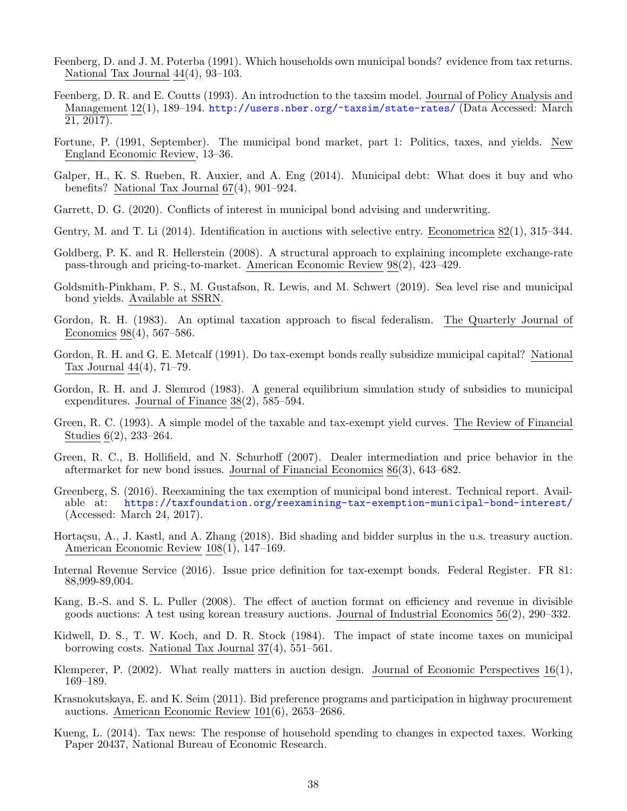- <span id="page-38-5"></span>Feenberg, D. and J. M. Poterba (1991). Which households own municipal bonds? evidence from tax returns. National Tax Journal 44(4), 93–103.
- <span id="page-38-16"></span>Feenberg, D. R. and E. Coutts (1993). An introduction to the taxsim model. Journal of Policy Analysis and Management 12(1), 189–194. <http://users.nber.org/~taxsim/state-rates/> (Data Accessed: March 21, 2017).
- <span id="page-38-15"></span>Fortune, P. (1991, September). The municipal bond market, part 1: Politics, taxes, and yields. New England Economic Review, 13–36.
- <span id="page-38-11"></span>Galper, H., K. S. Rueben, R. Auxier, and A. Eng (2014). Municipal debt: What does it buy and who benefits? National Tax Journal 67(4), 901–924.
- <span id="page-38-19"></span>Garrett, D. G. (2020). Conflicts of interest in municipal bond advising and underwriting.
- <span id="page-38-20"></span>Gentry, M. and T. Li (2014). Identification in auctions with selective entry. Econometrica 82(1), 315–344.
- <span id="page-38-14"></span>Goldberg, P. K. and R. Hellerstein (2008). A structural approach to explaining incomplete exchange-rate pass-through and pricing-to-market. American Economic Review 98(2), 423–429.
- <span id="page-38-18"></span>Goldsmith-Pinkham, P. S., M. Gustafson, R. Lewis, and M. Schwert (2019). Sea level rise and municipal bond yields. Available at SSRN.
- <span id="page-38-4"></span>Gordon, R. H. (1983). An optimal taxation approach to fiscal federalism. The Quarterly Journal of Economics 98(4), 567–586.
- <span id="page-38-17"></span>Gordon, R. H. and G. E. Metcalf (1991). Do tax-exempt bonds really subsidize municipal capital? National Tax Journal 44(4), 71–79.
- <span id="page-38-10"></span>Gordon, R. H. and J. Slemrod (1983). A general equilibrium simulation study of subsidies to municipal expenditures. Journal of Finance 38(2), 585–594.
- <span id="page-38-6"></span>Green, R. C. (1993). A simple model of the taxable and tax-exempt yield curves. The Review of Financial Studies 6(2), 233–264.
- <span id="page-38-9"></span>Green, R. C., B. Hollifield, and N. Schurhoff (2007). Dealer intermediation and price behavior in the aftermarket for new bond issues. Journal of Financial Economics 86(3), 643–682.
- <span id="page-38-0"></span>Greenberg, S. (2016). Reexamining the tax exemption of municipal bond interest. Technical report. Available at: <https://taxfoundation.org/reexamining-tax-exemption-municipal-bond-interest/> (Accessed: March 24, 2017).
- <span id="page-38-2"></span>Hortaçsu, A., J. Kastl, and A. Zhang (2018). Bid shading and bidder surplus in the u.s. treasury auction. American Economic Review 108(1), 147–169.
- <span id="page-38-1"></span>Internal Revenue Service (2016). Issue price definition for tax-exempt bonds. Federal Register. FR 81: 88,999-89,004.
- <span id="page-38-3"></span>Kang, B.-S. and S. L. Puller (2008). The effect of auction format on efficiency and revenue in divisible goods auctions: A test using korean treasury auctions. Journal of Industrial Economics 56(2), 290–332.
- <span id="page-38-8"></span>Kidwell, D. S., T. W. Koch, and D. R. Stock (1984). The impact of state income taxes on municipal borrowing costs. National Tax Journal 37(4), 551–561.
- <span id="page-38-12"></span>Klemperer, P. (2002). What really matters in auction design. Journal of Economic Perspectives 16(1), 169–189.
- <span id="page-38-13"></span>Krasnokutskaya, E. and K. Seim (2011). Bid preference programs and participation in highway procurement auctions. American Economic Review 101(6), 2653–2686.
- <span id="page-38-7"></span>Kueng, L. (2014). Tax news: The response of household spending to changes in expected taxes. Working Paper 20437, National Bureau of Economic Research.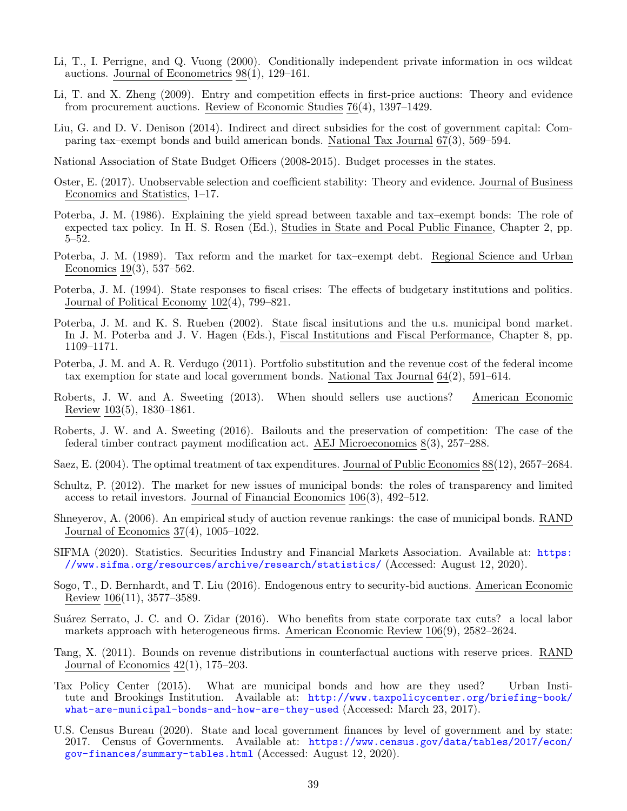- <span id="page-39-16"></span>Li, T., I. Perrigne, and Q. Vuong (2000). Conditionally independent private information in ocs wildcat auctions. Journal of Econometrics 98(1), 129–161.
- <span id="page-39-3"></span>Li, T. and X. Zheng (2009). Entry and competition effects in first-price auctions: Theory and evidence from procurement auctions. Review of Economic Studies 76(4), 1397–1429.
- <span id="page-39-11"></span>Liu, G. and D. V. Denison (2014). Indirect and direct subsidies for the cost of government capital: Comparing tax–exempt bonds and build american bonds. National Tax Journal 67(3), 569–594.
- <span id="page-39-15"></span>National Association of State Budget Officers (2008-2015). Budget processes in the states.
- <span id="page-39-20"></span>Oster, E. (2017). Unobservable selection and coefficient stability: Theory and evidence. Journal of Business Economics and Statistics, 1–17.
- <span id="page-39-9"></span>Poterba, J. M. (1986). Explaining the yield spread between taxable and tax–exempt bonds: The role of expected tax policy. In H. S. Rosen (Ed.), Studies in State and Pocal Public Finance, Chapter 2, pp.  $5 - 52$ .
- <span id="page-39-12"></span>Poterba, J. M. (1989). Tax reform and the market for tax–exempt debt. Regional Science and Urban Economics 19(3), 537–562.
- <span id="page-39-19"></span>Poterba, J. M. (1994). State responses to fiscal crises: The effects of budgetary institutions and politics. Journal of Political Economy 102(4), 799–821.
- <span id="page-39-18"></span>Poterba, J. M. and K. S. Rueben (2002). State fiscal insitutions and the u.s. municipal bond market. In J. M. Poterba and J. V. Hagen (Eds.), Fiscal Institutions and Fiscal Performance, Chapter 8, pp. 1109–1171.
- <span id="page-39-13"></span>Poterba, J. M. and A. R. Verdugo (2011). Portfolio substitution and the revenue cost of the federal income tax exemption for state and local government bonds. National Tax Journal 64(2), 591–614.
- <span id="page-39-7"></span>Roberts, J. W. and A. Sweeting (2013). When should sellers use auctions? American Economic Review 103(5), 1830–1861.
- <span id="page-39-14"></span>Roberts, J. W. and A. Sweeting (2016). Bailouts and the preservation of competition: The case of the federal timber contract payment modification act. AEJ Microeconomics 8(3), 257–288.
- <span id="page-39-8"></span>Saez, E. (2004). The optimal treatment of tax expenditures. Journal of Public Economics 88(12), 2657–2684.
- <span id="page-39-10"></span>Schultz, P. (2012). The market for new issues of municipal bonds: the roles of transparency and limited access to retail investors. Journal of Financial Economics 106(3), 492–512.
- <span id="page-39-5"></span>Shneyerov, A. (2006). An empirical study of auction revenue rankings: the case of municipal bonds. RAND Journal of Economics 37(4), 1005–1022.
- <span id="page-39-0"></span>SIFMA (2020). Statistics. Securities Industry and Financial Markets Association. Available at: [https:](https://www.sifma.org/resources/archive/research/statistics/) [//www.sifma.org/resources/archive/research/statistics/](https://www.sifma.org/resources/archive/research/statistics/) (Accessed: August 12, 2020).
- <span id="page-39-6"></span>Sogo, T., D. Bernhardt, and T. Liu (2016). Endogenous entry to security-bid auctions. American Economic Review 106(11), 3577–3589.
- <span id="page-39-17"></span>Suárez Serrato, J. C. and O. Zidar (2016). Who benefits from state corporate tax cuts? a local labor markets approach with heterogeneous firms. American Economic Review 106(9), 2582–2624.
- <span id="page-39-4"></span>Tang, X. (2011). Bounds on revenue distributions in counterfactual auctions with reserve prices. RAND Journal of Economics 42(1), 175–203.
- <span id="page-39-2"></span>Tax Policy Center (2015). What are municipal bonds and how are they used? Urban Institute and Brookings Institution. Available at: [http://www.taxpolicycenter.org/briefing-book/](http://www.taxpolicycenter.org/briefing-book/what-are-municipal-bonds-and-how-are-they-used) [what-are-municipal-bonds-and-how-are-they-used](http://www.taxpolicycenter.org/briefing-book/what-are-municipal-bonds-and-how-are-they-used) (Accessed: March 23, 2017).
- <span id="page-39-1"></span>U.S. Census Bureau (2020). State and local government finances by level of government and by state: 2017. Census of Governments. Available at: [https://www.census.gov/data/tables/2017/econ/](https://www.census.gov/data/tables/2017/econ/gov-finances/summary-tables.html) [gov-finances/summary-tables.html](https://www.census.gov/data/tables/2017/econ/gov-finances/summary-tables.html) (Accessed: August 12, 2020).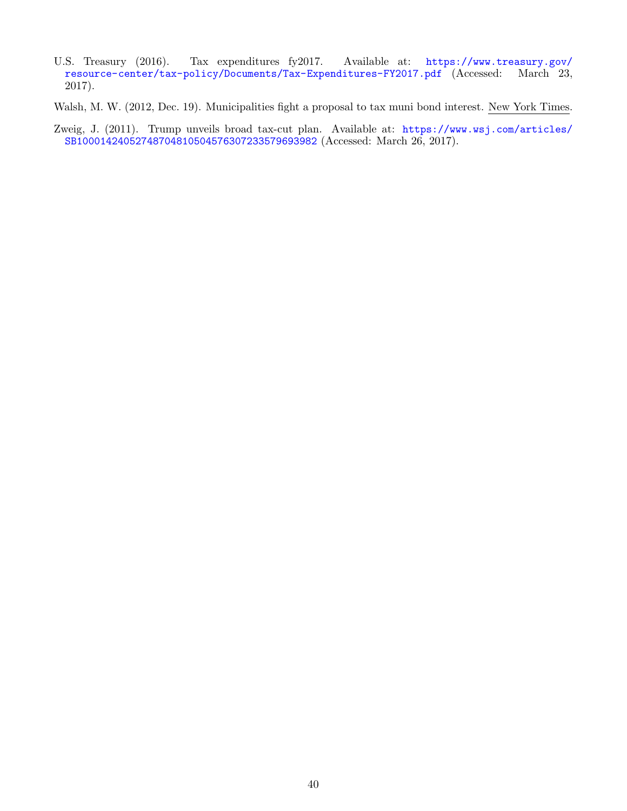<span id="page-40-0"></span>U.S. Treasury (2016). Tax expenditures fy2017. Available at: [https://www.treasury.gov/](https://www.treasury.gov/resource-center/tax-policy/Documents/Tax-Expenditures-FY2017.pdf) [resource-center/tax-policy/Documents/Tax-Expenditures-FY2017.pdf](https://www.treasury.gov/resource-center/tax-policy/Documents/Tax-Expenditures-FY2017.pdf) (Accessed: March 23, 2017).

<span id="page-40-2"></span>Walsh, M. W. (2012, Dec. 19). Municipalities fight a proposal to tax muni bond interest. New York Times.

<span id="page-40-1"></span>Zweig, J. (2011). Trump unveils broad tax-cut plan. Available at: [https://www.wsj.com/articles/](https://www.wsj.com/articles/SB10001424052748704810504576307233579693982) [SB10001424052748704810504576307233579693982](https://www.wsj.com/articles/SB10001424052748704810504576307233579693982) (Accessed: March 26, 2017).